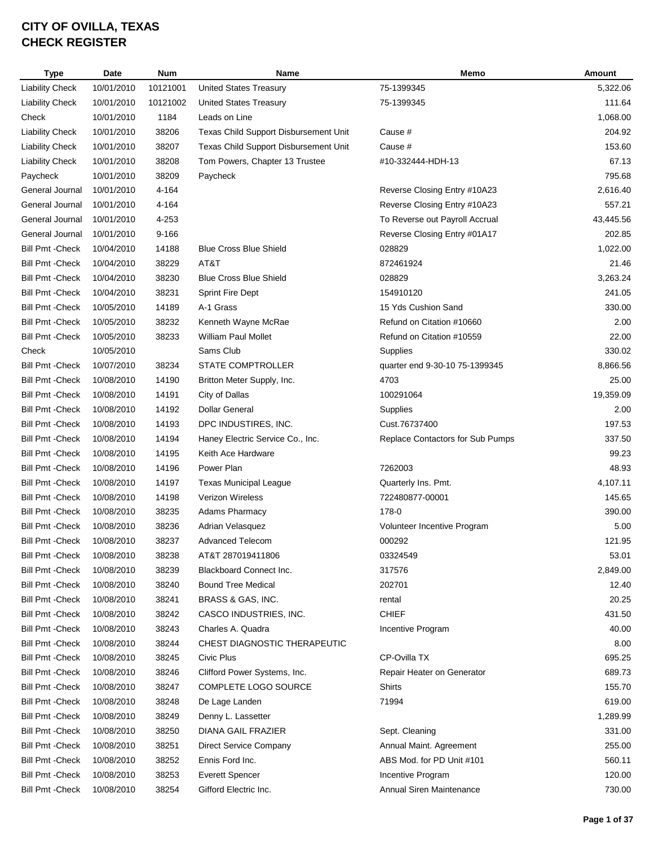| <b>Type</b>             | Date       | <b>Num</b> | Name                                  | Memo                             | <b>Amount</b> |
|-------------------------|------------|------------|---------------------------------------|----------------------------------|---------------|
| <b>Liability Check</b>  | 10/01/2010 | 10121001   | <b>United States Treasury</b>         | 75-1399345                       | 5,322.06      |
| <b>Liability Check</b>  | 10/01/2010 | 10121002   | <b>United States Treasury</b>         | 75-1399345                       | 111.64        |
| Check                   | 10/01/2010 | 1184       | Leads on Line                         |                                  | 1,068.00      |
| <b>Liability Check</b>  | 10/01/2010 | 38206      | Texas Child Support Disbursement Unit | Cause #                          | 204.92        |
| <b>Liability Check</b>  | 10/01/2010 | 38207      | Texas Child Support Disbursement Unit | Cause #                          | 153.60        |
| <b>Liability Check</b>  | 10/01/2010 | 38208      | Tom Powers, Chapter 13 Trustee        | #10-332444-HDH-13                | 67.13         |
| Paycheck                | 10/01/2010 | 38209      | Paycheck                              |                                  | 795.68        |
| General Journal         | 10/01/2010 | 4-164      |                                       | Reverse Closing Entry #10A23     | 2,616.40      |
| General Journal         | 10/01/2010 | 4-164      |                                       | Reverse Closing Entry #10A23     | 557.21        |
| General Journal         | 10/01/2010 | 4-253      |                                       | To Reverse out Payroll Accrual   | 43,445.56     |
| General Journal         | 10/01/2010 | $9 - 166$  |                                       | Reverse Closing Entry #01A17     | 202.85        |
| <b>Bill Pmt - Check</b> | 10/04/2010 | 14188      | <b>Blue Cross Blue Shield</b>         | 028829                           | 1,022.00      |
| <b>Bill Pmt - Check</b> | 10/04/2010 | 38229      | AT&T                                  | 872461924                        | 21.46         |
| <b>Bill Pmt - Check</b> | 10/04/2010 | 38230      | <b>Blue Cross Blue Shield</b>         | 028829                           | 3.263.24      |
| <b>Bill Pmt - Check</b> | 10/04/2010 | 38231      | <b>Sprint Fire Dept</b>               | 154910120                        | 241.05        |
| <b>Bill Pmt - Check</b> | 10/05/2010 | 14189      | A-1 Grass                             | 15 Yds Cushion Sand              | 330.00        |
| <b>Bill Pmt - Check</b> | 10/05/2010 | 38232      | Kenneth Wayne McRae                   | Refund on Citation #10660        | 2.00          |
| <b>Bill Pmt - Check</b> | 10/05/2010 | 38233      | <b>William Paul Mollet</b>            | Refund on Citation #10559        | 22.00         |
| Check                   | 10/05/2010 |            | Sams Club                             | Supplies                         | 330.02        |
| <b>Bill Pmt - Check</b> | 10/07/2010 | 38234      | STATE COMPTROLLER                     | quarter end 9-30-10 75-1399345   | 8,866.56      |
| <b>Bill Pmt - Check</b> | 10/08/2010 | 14190      | Britton Meter Supply, Inc.            | 4703                             | 25.00         |
| <b>Bill Pmt - Check</b> | 10/08/2010 | 14191      | City of Dallas                        | 100291064                        | 19,359.09     |
| <b>Bill Pmt - Check</b> | 10/08/2010 | 14192      | <b>Dollar General</b>                 | Supplies                         | 2.00          |
| <b>Bill Pmt - Check</b> | 10/08/2010 | 14193      | DPC INDUSTIRES, INC.                  | Cust.76737400                    | 197.53        |
| <b>Bill Pmt - Check</b> | 10/08/2010 | 14194      | Haney Electric Service Co., Inc.      | Replace Contactors for Sub Pumps | 337.50        |
| <b>Bill Pmt - Check</b> | 10/08/2010 | 14195      | Keith Ace Hardware                    |                                  | 99.23         |
| <b>Bill Pmt - Check</b> | 10/08/2010 | 14196      | Power Plan                            | 7262003                          | 48.93         |
| <b>Bill Pmt - Check</b> | 10/08/2010 | 14197      | <b>Texas Municipal League</b>         | Quarterly Ins. Pmt.              | 4,107.11      |
| <b>Bill Pmt - Check</b> | 10/08/2010 | 14198      | <b>Verizon Wireless</b>               | 722480877-00001                  | 145.65        |
| <b>Bill Pmt - Check</b> | 10/08/2010 | 38235      | Adams Pharmacy                        | 178-0                            | 390.00        |
| <b>Bill Pmt - Check</b> | 10/08/2010 | 38236      | Adrian Velasquez                      | Volunteer Incentive Program      | 5.00          |
| <b>Bill Pmt - Check</b> | 10/08/2010 | 38237      | <b>Advanced Telecom</b>               | 000292                           | 121.95        |
| <b>Bill Pmt - Check</b> | 10/08/2010 | 38238      | AT&T 287019411806                     | 03324549                         | 53.01         |
| <b>Bill Pmt - Check</b> | 10/08/2010 | 38239      | Blackboard Connect Inc.               | 317576                           | 2,849.00      |
| <b>Bill Pmt - Check</b> | 10/08/2010 | 38240      | <b>Bound Tree Medical</b>             | 202701                           | 12.40         |
| <b>Bill Pmt - Check</b> | 10/08/2010 | 38241      | BRASS & GAS, INC.                     | rental                           | 20.25         |
| <b>Bill Pmt - Check</b> | 10/08/2010 | 38242      | CASCO INDUSTRIES, INC.                | <b>CHIEF</b>                     | 431.50        |
| Bill Pmt - Check        | 10/08/2010 | 38243      | Charles A. Quadra                     | Incentive Program                | 40.00         |
| <b>Bill Pmt - Check</b> | 10/08/2010 | 38244      | CHEST DIAGNOSTIC THERAPEUTIC          |                                  | 8.00          |
| <b>Bill Pmt - Check</b> | 10/08/2010 | 38245      | Civic Plus                            | CP-Ovilla TX                     | 695.25        |
| <b>Bill Pmt - Check</b> | 10/08/2010 | 38246      | Clifford Power Systems, Inc.          | Repair Heater on Generator       | 689.73        |
| <b>Bill Pmt - Check</b> | 10/08/2010 | 38247      | COMPLETE LOGO SOURCE                  | Shirts                           | 155.70        |
| <b>Bill Pmt - Check</b> | 10/08/2010 | 38248      | De Lage Landen                        | 71994                            | 619.00        |
| <b>Bill Pmt - Check</b> | 10/08/2010 | 38249      | Denny L. Lassetter                    |                                  | 1,289.99      |
| <b>Bill Pmt - Check</b> | 10/08/2010 | 38250      | DIANA GAIL FRAZIER                    | Sept. Cleaning                   | 331.00        |
| <b>Bill Pmt - Check</b> | 10/08/2010 | 38251      | Direct Service Company                | Annual Maint. Agreement          | 255.00        |
| <b>Bill Pmt - Check</b> | 10/08/2010 | 38252      | Ennis Ford Inc.                       | ABS Mod. for PD Unit #101        | 560.11        |
| <b>Bill Pmt - Check</b> | 10/08/2010 | 38253      | <b>Everett Spencer</b>                | Incentive Program                | 120.00        |
| <b>Bill Pmt - Check</b> | 10/08/2010 | 38254      | Gifford Electric Inc.                 | Annual Siren Maintenance         | 730.00        |
|                         |            |            |                                       |                                  |               |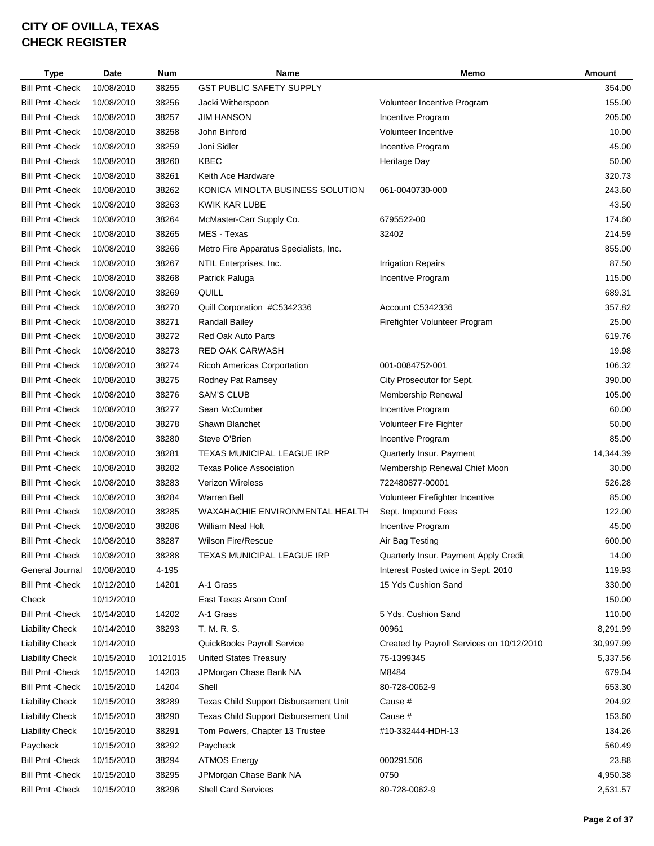| <b>Type</b>             | Date       | Num      | Name                                   | Memo                                      | Amount    |
|-------------------------|------------|----------|----------------------------------------|-------------------------------------------|-----------|
| <b>Bill Pmt - Check</b> | 10/08/2010 | 38255    | <b>GST PUBLIC SAFETY SUPPLY</b>        |                                           | 354.00    |
| <b>Bill Pmt - Check</b> | 10/08/2010 | 38256    | Jacki Witherspoon                      | Volunteer Incentive Program               | 155.00    |
| <b>Bill Pmt - Check</b> | 10/08/2010 | 38257    | <b>JIM HANSON</b>                      | Incentive Program                         | 205.00    |
| <b>Bill Pmt - Check</b> | 10/08/2010 | 38258    | John Binford                           | Volunteer Incentive                       | 10.00     |
| <b>Bill Pmt - Check</b> | 10/08/2010 | 38259    | Joni Sidler                            | Incentive Program                         | 45.00     |
| <b>Bill Pmt - Check</b> | 10/08/2010 | 38260    | <b>KBEC</b>                            | Heritage Day                              | 50.00     |
| <b>Bill Pmt - Check</b> | 10/08/2010 | 38261    | Keith Ace Hardware                     |                                           | 320.73    |
| <b>Bill Pmt - Check</b> | 10/08/2010 | 38262    | KONICA MINOLTA BUSINESS SOLUTION       | 061-0040730-000                           | 243.60    |
| <b>Bill Pmt - Check</b> | 10/08/2010 | 38263    | KWIK KAR LUBE                          |                                           | 43.50     |
| <b>Bill Pmt - Check</b> | 10/08/2010 | 38264    | McMaster-Carr Supply Co.               | 6795522-00                                | 174.60    |
| <b>Bill Pmt - Check</b> | 10/08/2010 | 38265    | MES - Texas                            | 32402                                     | 214.59    |
| <b>Bill Pmt - Check</b> | 10/08/2010 | 38266    | Metro Fire Apparatus Specialists, Inc. |                                           | 855.00    |
| <b>Bill Pmt - Check</b> | 10/08/2010 | 38267    | NTIL Enterprises, Inc.                 | <b>Irrigation Repairs</b>                 | 87.50     |
| <b>Bill Pmt - Check</b> | 10/08/2010 | 38268    | Patrick Paluga                         | Incentive Program                         | 115.00    |
| <b>Bill Pmt - Check</b> | 10/08/2010 | 38269    | QUILL                                  |                                           | 689.31    |
| <b>Bill Pmt - Check</b> | 10/08/2010 | 38270    | Quill Corporation #C5342336            | Account C5342336                          | 357.82    |
| <b>Bill Pmt - Check</b> | 10/08/2010 | 38271    | Randall Bailey                         | Firefighter Volunteer Program             | 25.00     |
| <b>Bill Pmt - Check</b> | 10/08/2010 | 38272    | <b>Red Oak Auto Parts</b>              |                                           | 619.76    |
| <b>Bill Pmt - Check</b> | 10/08/2010 | 38273    | <b>RED OAK CARWASH</b>                 |                                           | 19.98     |
| <b>Bill Pmt - Check</b> | 10/08/2010 | 38274    | Ricoh Americas Corportation            | 001-0084752-001                           | 106.32    |
| <b>Bill Pmt - Check</b> | 10/08/2010 | 38275    | Rodney Pat Ramsey                      | City Prosecutor for Sept.                 | 390.00    |
| <b>Bill Pmt - Check</b> | 10/08/2010 | 38276    | <b>SAM'S CLUB</b>                      | Membership Renewal                        | 105.00    |
| <b>Bill Pmt - Check</b> | 10/08/2010 | 38277    | Sean McCumber                          | Incentive Program                         | 60.00     |
| <b>Bill Pmt - Check</b> |            | 38278    |                                        |                                           |           |
|                         | 10/08/2010 |          | Shawn Blanchet                         | <b>Volunteer Fire Fighter</b>             | 50.00     |
| <b>Bill Pmt - Check</b> | 10/08/2010 | 38280    | Steve O'Brien                          | Incentive Program                         | 85.00     |
| <b>Bill Pmt - Check</b> | 10/08/2010 | 38281    | <b>TEXAS MUNICIPAL LEAGUE IRP</b>      | Quarterly Insur. Payment                  | 14,344.39 |
| <b>Bill Pmt - Check</b> | 10/08/2010 | 38282    | <b>Texas Police Association</b>        | Membership Renewal Chief Moon             | 30.00     |
| <b>Bill Pmt - Check</b> | 10/08/2010 | 38283    | <b>Verizon Wireless</b>                | 722480877-00001                           | 526.28    |
| <b>Bill Pmt - Check</b> | 10/08/2010 | 38284    | <b>Warren Bell</b>                     | Volunteer Firefighter Incentive           | 85.00     |
| <b>Bill Pmt - Check</b> | 10/08/2010 | 38285    | WAXAHACHIE ENVIRONMENTAL HEALTH        | Sept. Impound Fees                        | 122.00    |
| <b>Bill Pmt - Check</b> | 10/08/2010 | 38286    | <b>William Neal Holt</b>               | Incentive Program                         | 45.00     |
| Bill Pmt - Check        | 10/08/2010 | 38287    | <b>Wilson Fire/Rescue</b>              | Air Bag Testing                           | 600.00    |
| <b>Bill Pmt - Check</b> | 10/08/2010 | 38288    | TEXAS MUNICIPAL LEAGUE IRP             | Quarterly Insur. Payment Apply Credit     | 14.00     |
| General Journal         | 10/08/2010 | 4-195    |                                        | Interest Posted twice in Sept. 2010       | 119.93    |
| <b>Bill Pmt - Check</b> | 10/12/2010 | 14201    | A-1 Grass                              | 15 Yds Cushion Sand                       | 330.00    |
| Check                   | 10/12/2010 |          | East Texas Arson Conf                  |                                           | 150.00    |
| <b>Bill Pmt - Check</b> | 10/14/2010 | 14202    | A-1 Grass                              | 5 Yds. Cushion Sand                       | 110.00    |
| <b>Liability Check</b>  | 10/14/2010 | 38293    | T. M. R. S.                            | 00961                                     | 8,291.99  |
| <b>Liability Check</b>  | 10/14/2010 |          | QuickBooks Payroll Service             | Created by Payroll Services on 10/12/2010 | 30,997.99 |
| <b>Liability Check</b>  | 10/15/2010 | 10121015 | <b>United States Treasury</b>          | 75-1399345                                | 5,337.56  |
| <b>Bill Pmt - Check</b> | 10/15/2010 | 14203    | JPMorgan Chase Bank NA                 | M8484                                     | 679.04    |
| <b>Bill Pmt - Check</b> | 10/15/2010 | 14204    | Shell                                  | 80-728-0062-9                             | 653.30    |
| <b>Liability Check</b>  | 10/15/2010 | 38289    | Texas Child Support Disbursement Unit  | Cause #                                   | 204.92    |
| <b>Liability Check</b>  | 10/15/2010 | 38290    | Texas Child Support Disbursement Unit  | Cause #                                   | 153.60    |
| <b>Liability Check</b>  | 10/15/2010 | 38291    | Tom Powers, Chapter 13 Trustee         | #10-332444-HDH-13                         | 134.26    |
| Paycheck                | 10/15/2010 | 38292    | Paycheck                               |                                           | 560.49    |
| <b>Bill Pmt - Check</b> | 10/15/2010 | 38294    | <b>ATMOS Energy</b>                    | 000291506                                 | 23.88     |
| <b>Bill Pmt - Check</b> | 10/15/2010 | 38295    | JPMorgan Chase Bank NA                 | 0750                                      | 4,950.38  |
| <b>Bill Pmt - Check</b> | 10/15/2010 | 38296    | <b>Shell Card Services</b>             | 80-728-0062-9                             | 2,531.57  |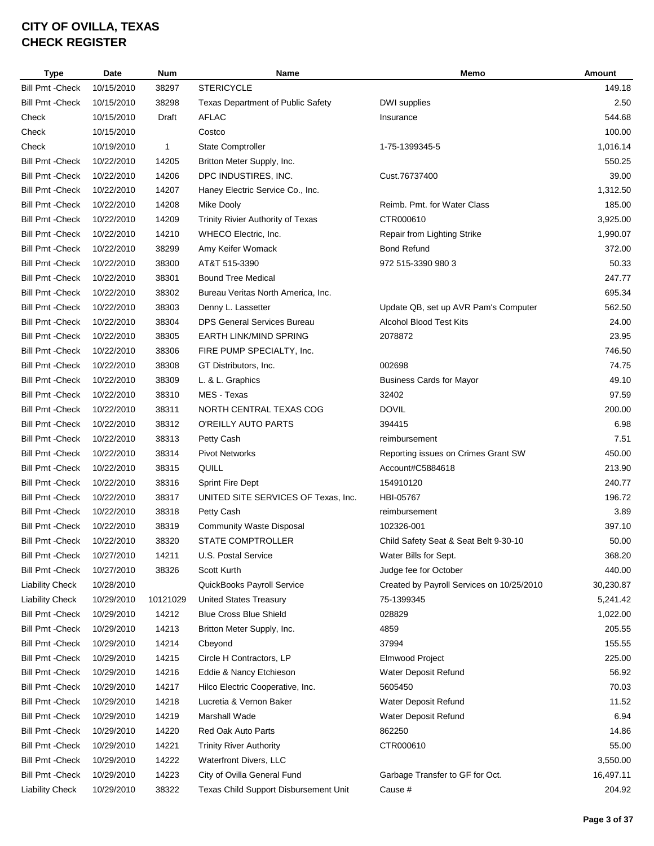| <b>Type</b>             | Date                     | <b>Num</b>   | Name                                     | Memo                                      | Amount    |
|-------------------------|--------------------------|--------------|------------------------------------------|-------------------------------------------|-----------|
| <b>Bill Pmt - Check</b> | 10/15/2010               | 38297        | <b>STERICYCLE</b>                        |                                           | 149.18    |
| <b>Bill Pmt - Check</b> | 10/15/2010               | 38298        | <b>Texas Department of Public Safety</b> | DWI supplies                              | 2.50      |
| Check                   | 10/15/2010               | Draft        | <b>AFLAC</b>                             | Insurance                                 | 544.68    |
| Check                   | 10/15/2010               |              | Costco                                   |                                           | 100.00    |
| Check                   | 10/19/2010               | $\mathbf{1}$ | State Comptroller                        | 1-75-1399345-5                            | 1,016.14  |
| <b>Bill Pmt - Check</b> | 10/22/2010               | 14205        | Britton Meter Supply, Inc.               |                                           | 550.25    |
| <b>Bill Pmt - Check</b> | 10/22/2010               | 14206        | DPC INDUSTIRES, INC.                     | Cust.76737400                             | 39.00     |
| <b>Bill Pmt - Check</b> | 10/22/2010               | 14207        | Haney Electric Service Co., Inc.         |                                           | 1,312.50  |
| <b>Bill Pmt - Check</b> | 10/22/2010               | 14208        | <b>Mike Dooly</b>                        | Reimb. Pmt. for Water Class               | 185.00    |
| <b>Bill Pmt - Check</b> | 10/22/2010               | 14209        | Trinity Rivier Authority of Texas        | CTR000610                                 | 3,925.00  |
| <b>Bill Pmt - Check</b> | 10/22/2010               | 14210        | WHECO Electric, Inc.                     | Repair from Lighting Strike               | 1,990.07  |
| <b>Bill Pmt - Check</b> | 10/22/2010               | 38299        | Amy Keifer Womack                        | <b>Bond Refund</b>                        | 372.00    |
| <b>Bill Pmt - Check</b> | 10/22/2010               | 38300        | AT&T 515-3390                            | 972 515-3390 980 3                        | 50.33     |
| <b>Bill Pmt - Check</b> | 10/22/2010               | 38301        | <b>Bound Tree Medical</b>                |                                           | 247.77    |
| <b>Bill Pmt - Check</b> | 10/22/2010               | 38302        | Bureau Veritas North America, Inc.       |                                           | 695.34    |
| <b>Bill Pmt - Check</b> | 10/22/2010               | 38303        | Denny L. Lassetter                       | Update QB, set up AVR Pam's Computer      | 562.50    |
| <b>Bill Pmt - Check</b> | 10/22/2010               | 38304        | <b>DPS General Services Bureau</b>       | <b>Alcohol Blood Test Kits</b>            | 24.00     |
| <b>Bill Pmt - Check</b> | 10/22/2010               | 38305        | <b>EARTH LINK/MIND SPRING</b>            | 2078872                                   | 23.95     |
| <b>Bill Pmt - Check</b> | 10/22/2010               | 38306        | FIRE PUMP SPECIALTY, Inc.                |                                           | 746.50    |
| <b>Bill Pmt - Check</b> | 10/22/2010               | 38308        | GT Distributors, Inc.                    | 002698                                    | 74.75     |
| <b>Bill Pmt - Check</b> | 10/22/2010               | 38309        | L. & L. Graphics                         | <b>Business Cards for Mayor</b>           | 49.10     |
| <b>Bill Pmt - Check</b> | 10/22/2010               | 38310        | MES - Texas                              | 32402                                     | 97.59     |
| <b>Bill Pmt - Check</b> | 10/22/2010               | 38311        | NORTH CENTRAL TEXAS COG                  | <b>DOVIL</b>                              | 200.00    |
| <b>Bill Pmt - Check</b> | 10/22/2010               | 38312        | O'REILLY AUTO PARTS                      | 394415                                    | 6.98      |
| <b>Bill Pmt - Check</b> | 10/22/2010               | 38313        | Petty Cash                               | reimbursement                             | 7.51      |
| <b>Bill Pmt - Check</b> | 10/22/2010               | 38314        | <b>Pivot Networks</b>                    | Reporting issues on Crimes Grant SW       | 450.00    |
| <b>Bill Pmt - Check</b> | 10/22/2010               | 38315        | QUILL                                    | Account#C5884618                          | 213.90    |
| <b>Bill Pmt - Check</b> | 10/22/2010               | 38316        | <b>Sprint Fire Dept</b>                  | 154910120                                 | 240.77    |
| <b>Bill Pmt - Check</b> | 10/22/2010               | 38317        | UNITED SITE SERVICES OF Texas, Inc.      | HBI-05767                                 | 196.72    |
| <b>Bill Pmt - Check</b> | 10/22/2010               | 38318        | Petty Cash                               | reimbursement                             | 3.89      |
| <b>Bill Pmt - Check</b> | 10/22/2010               | 38319        | <b>Community Waste Disposal</b>          | 102326-001                                | 397.10    |
| <b>Bill Pmt - Check</b> | 10/22/2010               | 38320        | <b>STATE COMPTROLLER</b>                 | Child Safety Seat & Seat Belt 9-30-10     | 50.00     |
| <b>Bill Pmt - Check</b> | 10/27/2010               | 14211        | U.S. Postal Service                      | Water Bills for Sept.                     | 368.20    |
| <b>Bill Pmt - Check</b> | 10/27/2010               | 38326        | Scott Kurth                              | Judge fee for October                     | 440.00    |
| <b>Liability Check</b>  | 10/28/2010               |              | QuickBooks Payroll Service               | Created by Payroll Services on 10/25/2010 | 30,230.87 |
| <b>Liability Check</b>  | 10/29/2010               | 10121029     | <b>United States Treasury</b>            | 75-1399345                                | 5,241.42  |
| Bill Pmt - Check        | 10/29/2010               | 14212        | <b>Blue Cross Blue Shield</b>            | 028829                                    | 1,022.00  |
| <b>Bill Pmt - Check</b> |                          | 14213        |                                          | 4859                                      | 205.55    |
| <b>Bill Pmt - Check</b> | 10/29/2010<br>10/29/2010 |              | Britton Meter Supply, Inc.               |                                           |           |
|                         |                          | 14214        | Cbeyond                                  | 37994                                     | 155.55    |
| Bill Pmt - Check        | 10/29/2010               | 14215        | Circle H Contractors, LP                 | Elmwood Project                           | 225.00    |
| <b>Bill Pmt - Check</b> | 10/29/2010               | 14216        | Eddie & Nancy Etchieson                  | Water Deposit Refund                      | 56.92     |
| Bill Pmt - Check        | 10/29/2010               | 14217        | Hilco Electric Cooperative, Inc.         | 5605450                                   | 70.03     |
| <b>Bill Pmt - Check</b> | 10/29/2010               | 14218        | Lucretia & Vernon Baker                  | Water Deposit Refund                      | 11.52     |
| <b>Bill Pmt - Check</b> | 10/29/2010               | 14219        | Marshall Wade                            | Water Deposit Refund                      | 6.94      |
| <b>Bill Pmt - Check</b> | 10/29/2010               | 14220        | Red Oak Auto Parts                       | 862250                                    | 14.86     |
| Bill Pmt - Check        | 10/29/2010               | 14221        | <b>Trinity River Authority</b>           | CTR000610                                 | 55.00     |
| Bill Pmt - Check        | 10/29/2010               | 14222        | Waterfront Divers, LLC                   |                                           | 3,550.00  |
| <b>Bill Pmt - Check</b> | 10/29/2010               | 14223        | City of Ovilla General Fund              | Garbage Transfer to GF for Oct.           | 16,497.11 |
| <b>Liability Check</b>  | 10/29/2010               | 38322        | Texas Child Support Disbursement Unit    | Cause #                                   | 204.92    |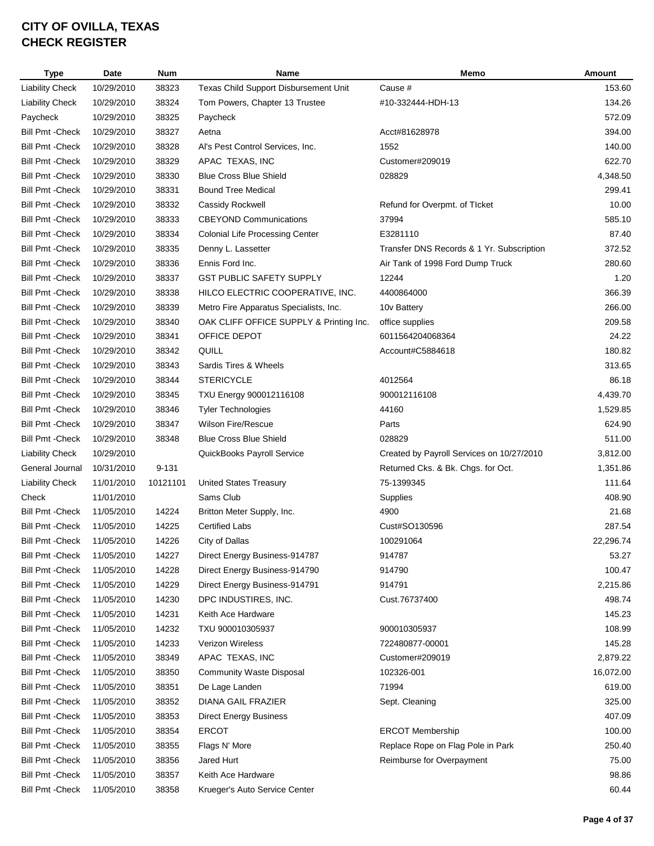| <b>Type</b>             | <b>Date</b> | <b>Num</b> | Name                                    | Memo                                      | Amount    |
|-------------------------|-------------|------------|-----------------------------------------|-------------------------------------------|-----------|
| <b>Liability Check</b>  | 10/29/2010  | 38323      | Texas Child Support Disbursement Unit   | Cause #                                   | 153.60    |
| <b>Liability Check</b>  | 10/29/2010  | 38324      | Tom Powers, Chapter 13 Trustee          | #10-332444-HDH-13                         | 134.26    |
| Paycheck                | 10/29/2010  | 38325      | Paycheck                                |                                           | 572.09    |
| <b>Bill Pmt - Check</b> | 10/29/2010  | 38327      | Aetna                                   | Acct#81628978                             | 394.00    |
| <b>Bill Pmt - Check</b> | 10/29/2010  | 38328      | Al's Pest Control Services, Inc.        | 1552                                      | 140.00    |
| <b>Bill Pmt - Check</b> | 10/29/2010  | 38329      | APAC TEXAS, INC                         | Customer#209019                           | 622.70    |
| <b>Bill Pmt - Check</b> | 10/29/2010  | 38330      | <b>Blue Cross Blue Shield</b>           | 028829                                    | 4,348.50  |
| <b>Bill Pmt - Check</b> | 10/29/2010  | 38331      | <b>Bound Tree Medical</b>               |                                           | 299.41    |
| <b>Bill Pmt - Check</b> | 10/29/2010  | 38332      | Cassidy Rockwell                        | Refund for Overpmt. of TIcket             | 10.00     |
| <b>Bill Pmt - Check</b> | 10/29/2010  | 38333      | <b>CBEYOND Communications</b>           | 37994                                     | 585.10    |
| <b>Bill Pmt - Check</b> | 10/29/2010  | 38334      | <b>Colonial Life Processing Center</b>  | E3281110                                  | 87.40     |
| <b>Bill Pmt - Check</b> | 10/29/2010  | 38335      | Denny L. Lassetter                      | Transfer DNS Records & 1 Yr. Subscription | 372.52    |
| <b>Bill Pmt - Check</b> | 10/29/2010  | 38336      | Ennis Ford Inc.                         | Air Tank of 1998 Ford Dump Truck          | 280.60    |
| <b>Bill Pmt - Check</b> | 10/29/2010  | 38337      | <b>GST PUBLIC SAFETY SUPPLY</b>         | 12244                                     | 1.20      |
| <b>Bill Pmt - Check</b> | 10/29/2010  | 38338      | HILCO ELECTRIC COOPERATIVE, INC.        | 4400864000                                | 366.39    |
| <b>Bill Pmt - Check</b> | 10/29/2010  | 38339      | Metro Fire Apparatus Specialists, Inc.  | 10 <sub>v</sub> Battery                   | 266.00    |
| <b>Bill Pmt - Check</b> | 10/29/2010  | 38340      | OAK CLIFF OFFICE SUPPLY & Printing Inc. | office supplies                           | 209.58    |
| <b>Bill Pmt - Check</b> | 10/29/2010  | 38341      | OFFICE DEPOT                            | 6011564204068364                          | 24.22     |
| <b>Bill Pmt - Check</b> | 10/29/2010  | 38342      | QUILL                                   | Account#C5884618                          | 180.82    |
| <b>Bill Pmt - Check</b> | 10/29/2010  | 38343      | Sardis Tires & Wheels                   |                                           | 313.65    |
| <b>Bill Pmt - Check</b> | 10/29/2010  | 38344      | <b>STERICYCLE</b>                       | 4012564                                   | 86.18     |
| <b>Bill Pmt - Check</b> | 10/29/2010  | 38345      | TXU Energy 900012116108                 | 900012116108                              | 4,439.70  |
| <b>Bill Pmt - Check</b> | 10/29/2010  | 38346      | <b>Tyler Technologies</b>               | 44160                                     | 1,529.85  |
| <b>Bill Pmt - Check</b> | 10/29/2010  | 38347      | <b>Wilson Fire/Rescue</b>               | Parts                                     | 624.90    |
| <b>Bill Pmt - Check</b> | 10/29/2010  | 38348      | <b>Blue Cross Blue Shield</b>           | 028829                                    | 511.00    |
| <b>Liability Check</b>  | 10/29/2010  |            | QuickBooks Payroll Service              | Created by Payroll Services on 10/27/2010 | 3,812.00  |
| General Journal         | 10/31/2010  | $9 - 131$  |                                         | Returned Cks. & Bk. Chgs. for Oct.        | 1,351.86  |
| <b>Liability Check</b>  | 11/01/2010  | 10121101   | <b>United States Treasury</b>           | 75-1399345                                | 111.64    |
| Check                   | 11/01/2010  |            | Sams Club                               | Supplies                                  | 408.90    |
| <b>Bill Pmt - Check</b> | 11/05/2010  | 14224      | Britton Meter Supply, Inc.              | 4900                                      | 21.68     |
| <b>Bill Pmt - Check</b> | 11/05/2010  | 14225      | <b>Certified Labs</b>                   | Cust#SO130596                             | 287.54    |
| <b>Bill Pmt - Check</b> | 11/05/2010  | 14226      | City of Dallas                          | 100291064                                 | 22,296.74 |
| <b>Bill Pmt - Check</b> | 11/05/2010  | 14227      | Direct Energy Business-914787           | 914787                                    | 53.27     |
| <b>Bill Pmt - Check</b> | 11/05/2010  | 14228      | Direct Energy Business-914790           | 914790                                    | 100.47    |
| <b>Bill Pmt - Check</b> | 11/05/2010  | 14229      | Direct Energy Business-914791           | 914791                                    | 2,215.86  |
| <b>Bill Pmt - Check</b> | 11/05/2010  | 14230      | DPC INDUSTIRES, INC.                    | Cust.76737400                             | 498.74    |
| <b>Bill Pmt - Check</b> | 11/05/2010  | 14231      | Keith Ace Hardware                      |                                           | 145.23    |
| <b>Bill Pmt - Check</b> | 11/05/2010  | 14232      | TXU 900010305937                        | 900010305937                              | 108.99    |
| <b>Bill Pmt - Check</b> | 11/05/2010  | 14233      | Verizon Wireless                        | 722480877-00001                           | 145.28    |
| <b>Bill Pmt - Check</b> | 11/05/2010  | 38349      | APAC TEXAS, INC                         | Customer#209019                           | 2,879.22  |
| <b>Bill Pmt - Check</b> | 11/05/2010  | 38350      | <b>Community Waste Disposal</b>         | 102326-001                                | 16,072.00 |
| <b>Bill Pmt - Check</b> | 11/05/2010  | 38351      | De Lage Landen                          | 71994                                     | 619.00    |
| <b>Bill Pmt - Check</b> | 11/05/2010  | 38352      | DIANA GAIL FRAZIER                      | Sept. Cleaning                            | 325.00    |
| <b>Bill Pmt - Check</b> | 11/05/2010  | 38353      | <b>Direct Energy Business</b>           |                                           | 407.09    |
| <b>Bill Pmt - Check</b> | 11/05/2010  | 38354      | <b>ERCOT</b>                            | <b>ERCOT Membership</b>                   | 100.00    |
| <b>Bill Pmt - Check</b> | 11/05/2010  | 38355      | Flags N' More                           | Replace Rope on Flag Pole in Park         | 250.40    |
| <b>Bill Pmt - Check</b> | 11/05/2010  | 38356      | Jared Hurt                              | Reimburse for Overpayment                 | 75.00     |
| <b>Bill Pmt - Check</b> | 11/05/2010  | 38357      | Keith Ace Hardware                      |                                           | 98.86     |
| <b>Bill Pmt - Check</b> | 11/05/2010  | 38358      | Krueger's Auto Service Center           |                                           | 60.44     |
|                         |             |            |                                         |                                           |           |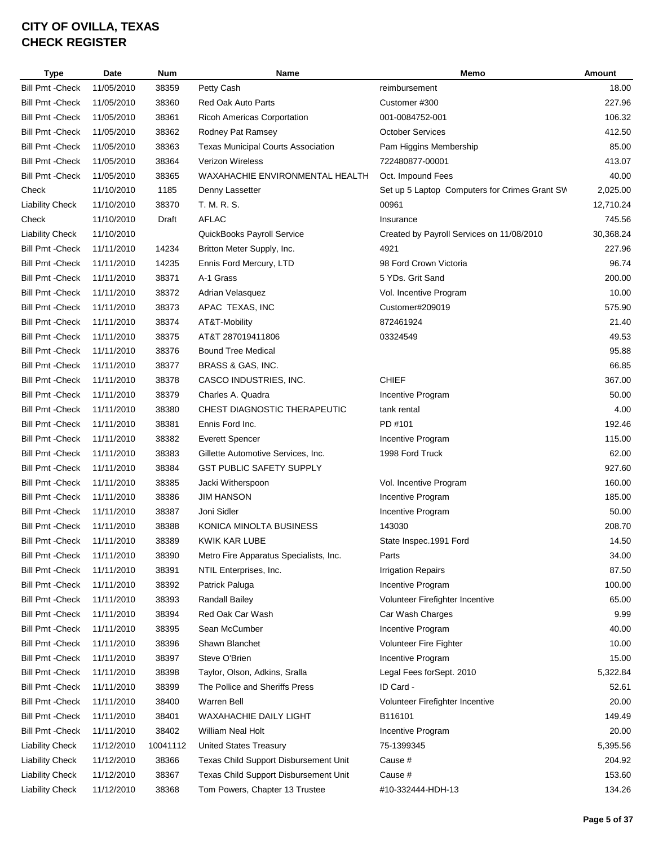| <b>Type</b>             | <b>Date</b> | <b>Num</b> | Name                                      | Memo                                          | Amount    |
|-------------------------|-------------|------------|-------------------------------------------|-----------------------------------------------|-----------|
| <b>Bill Pmt - Check</b> | 11/05/2010  | 38359      | Petty Cash                                | reimbursement                                 | 18.00     |
| <b>Bill Pmt - Check</b> | 11/05/2010  | 38360      | Red Oak Auto Parts                        | Customer #300                                 | 227.96    |
| <b>Bill Pmt - Check</b> | 11/05/2010  | 38361      | <b>Ricoh Americas Corportation</b>        | 001-0084752-001                               | 106.32    |
| <b>Bill Pmt - Check</b> | 11/05/2010  | 38362      | Rodney Pat Ramsey                         | <b>October Services</b>                       | 412.50    |
| <b>Bill Pmt - Check</b> | 11/05/2010  | 38363      | <b>Texas Municipal Courts Association</b> | Pam Higgins Membership                        | 85.00     |
| <b>Bill Pmt - Check</b> | 11/05/2010  | 38364      | <b>Verizon Wireless</b>                   | 722480877-00001                               | 413.07    |
| <b>Bill Pmt - Check</b> | 11/05/2010  | 38365      | WAXAHACHIE ENVIRONMENTAL HEALTH           | Oct. Impound Fees                             | 40.00     |
| Check                   | 11/10/2010  | 1185       | Denny Lassetter                           | Set up 5 Laptop Computers for Crimes Grant SV | 2,025.00  |
| <b>Liability Check</b>  | 11/10/2010  | 38370      | T. M. R. S.                               | 00961                                         | 12,710.24 |
| Check                   | 11/10/2010  | Draft      | <b>AFLAC</b>                              | Insurance                                     | 745.56    |
| <b>Liability Check</b>  | 11/10/2010  |            | QuickBooks Payroll Service                | Created by Payroll Services on 11/08/2010     | 30,368.24 |
| <b>Bill Pmt - Check</b> | 11/11/2010  | 14234      | Britton Meter Supply, Inc.                | 4921                                          | 227.96    |
| <b>Bill Pmt - Check</b> | 11/11/2010  | 14235      | Ennis Ford Mercury, LTD                   | 98 Ford Crown Victoria                        | 96.74     |
| <b>Bill Pmt - Check</b> | 11/11/2010  | 38371      | A-1 Grass                                 | 5 YDs. Grit Sand                              | 200.00    |
| <b>Bill Pmt - Check</b> | 11/11/2010  | 38372      | Adrian Velasquez                          | Vol. Incentive Program                        | 10.00     |
| <b>Bill Pmt - Check</b> | 11/11/2010  | 38373      | APAC TEXAS, INC                           | Customer#209019                               | 575.90    |
| <b>Bill Pmt - Check</b> | 11/11/2010  | 38374      | AT&T-Mobility                             | 872461924                                     | 21.40     |
| <b>Bill Pmt - Check</b> | 11/11/2010  | 38375      | AT&T 287019411806                         | 03324549                                      | 49.53     |
| <b>Bill Pmt - Check</b> | 11/11/2010  | 38376      | <b>Bound Tree Medical</b>                 |                                               | 95.88     |
| <b>Bill Pmt - Check</b> | 11/11/2010  | 38377      | BRASS & GAS, INC.                         |                                               | 66.85     |
| <b>Bill Pmt - Check</b> | 11/11/2010  | 38378      | CASCO INDUSTRIES, INC.                    | <b>CHIEF</b>                                  | 367.00    |
| <b>Bill Pmt - Check</b> | 11/11/2010  | 38379      | Charles A. Quadra                         | Incentive Program                             | 50.00     |
| <b>Bill Pmt - Check</b> | 11/11/2010  | 38380      | CHEST DIAGNOSTIC THERAPEUTIC              | tank rental                                   | 4.00      |
| <b>Bill Pmt - Check</b> | 11/11/2010  | 38381      | Ennis Ford Inc.                           | PD #101                                       | 192.46    |
| <b>Bill Pmt - Check</b> | 11/11/2010  | 38382      | <b>Everett Spencer</b>                    | Incentive Program                             | 115.00    |
| <b>Bill Pmt - Check</b> | 11/11/2010  | 38383      | Gillette Automotive Services, Inc.        | 1998 Ford Truck                               | 62.00     |
| <b>Bill Pmt - Check</b> | 11/11/2010  | 38384      | <b>GST PUBLIC SAFETY SUPPLY</b>           |                                               | 927.60    |
| <b>Bill Pmt - Check</b> | 11/11/2010  | 38385      | Jacki Witherspoon                         | Vol. Incentive Program                        | 160.00    |
| <b>Bill Pmt - Check</b> | 11/11/2010  | 38386      | <b>JIM HANSON</b>                         | Incentive Program                             | 185.00    |
| <b>Bill Pmt - Check</b> | 11/11/2010  | 38387      | Joni Sidler                               | Incentive Program                             | 50.00     |
| <b>Bill Pmt - Check</b> | 11/11/2010  | 38388      | KONICA MINOLTA BUSINESS                   | 143030                                        | 208.70    |
| <b>Bill Pmt - Check</b> | 11/11/2010  | 38389      | <b>KWIK KAR LUBE</b>                      | State Inspec.1991 Ford                        | 14.50     |
| <b>Bill Pmt - Check</b> | 11/11/2010  | 38390      | Metro Fire Apparatus Specialists, Inc.    | Parts                                         | 34.00     |
| <b>Bill Pmt - Check</b> | 11/11/2010  | 38391      | NTIL Enterprises, Inc.                    | <b>Irrigation Repairs</b>                     | 87.50     |
| <b>Bill Pmt - Check</b> | 11/11/2010  | 38392      | Patrick Paluga                            | Incentive Program                             | 100.00    |
| <b>Bill Pmt - Check</b> | 11/11/2010  | 38393      | Randall Bailey                            | Volunteer Firefighter Incentive               | 65.00     |
| <b>Bill Pmt - Check</b> | 11/11/2010  | 38394      | Red Oak Car Wash                          | Car Wash Charges                              | 9.99      |
| <b>Bill Pmt - Check</b> | 11/11/2010  | 38395      | Sean McCumber                             | Incentive Program                             | 40.00     |
| <b>Bill Pmt - Check</b> | 11/11/2010  | 38396      | Shawn Blanchet                            | Volunteer Fire Fighter                        | 10.00     |
| <b>Bill Pmt - Check</b> | 11/11/2010  | 38397      | Steve O'Brien                             | Incentive Program                             | 15.00     |
| <b>Bill Pmt - Check</b> | 11/11/2010  | 38398      | Taylor, Olson, Adkins, Sralla             | Legal Fees forSept. 2010                      | 5,322.84  |
| <b>Bill Pmt - Check</b> | 11/11/2010  | 38399      | The Pollice and Sheriffs Press            | ID Card -                                     | 52.61     |
| <b>Bill Pmt - Check</b> | 11/11/2010  | 38400      | Warren Bell                               | Volunteer Firefighter Incentive               | 20.00     |
| <b>Bill Pmt - Check</b> | 11/11/2010  | 38401      | WAXAHACHIE DAILY LIGHT                    | B116101                                       | 149.49    |
| <b>Bill Pmt - Check</b> | 11/11/2010  | 38402      | <b>William Neal Holt</b>                  | Incentive Program                             | 20.00     |
| <b>Liability Check</b>  | 11/12/2010  | 10041112   | <b>United States Treasury</b>             | 75-1399345                                    | 5,395.56  |
| <b>Liability Check</b>  | 11/12/2010  | 38366      | Texas Child Support Disbursement Unit     | Cause #                                       | 204.92    |
| <b>Liability Check</b>  | 11/12/2010  | 38367      | Texas Child Support Disbursement Unit     | Cause #                                       | 153.60    |
|                         |             | 38368      |                                           | #10-332444-HDH-13                             | 134.26    |
| <b>Liability Check</b>  | 11/12/2010  |            | Tom Powers, Chapter 13 Trustee            |                                               |           |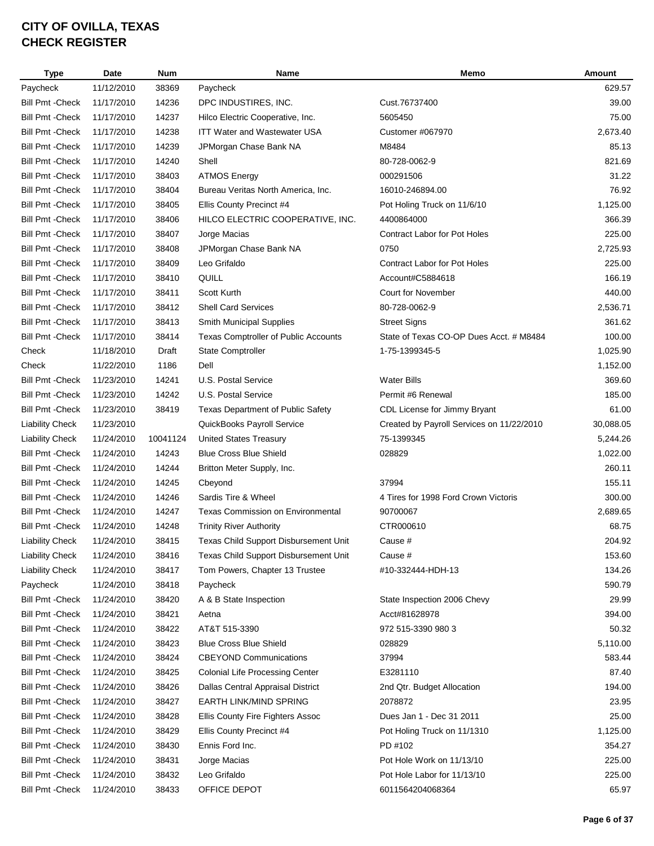| <b>Type</b>             | Date       | <b>Num</b> | Name                                        | Memo                                      | Amount    |
|-------------------------|------------|------------|---------------------------------------------|-------------------------------------------|-----------|
| Paycheck                | 11/12/2010 | 38369      | Paycheck                                    |                                           | 629.57    |
| <b>Bill Pmt - Check</b> | 11/17/2010 | 14236      | DPC INDUSTIRES, INC.                        | Cust.76737400                             | 39.00     |
| <b>Bill Pmt - Check</b> | 11/17/2010 | 14237      | Hilco Electric Cooperative, Inc.            | 5605450                                   | 75.00     |
| <b>Bill Pmt - Check</b> | 11/17/2010 | 14238      | <b>ITT Water and Wastewater USA</b>         | Customer #067970                          | 2,673.40  |
| <b>Bill Pmt - Check</b> | 11/17/2010 | 14239      | JPMorgan Chase Bank NA                      | M8484                                     | 85.13     |
| <b>Bill Pmt - Check</b> | 11/17/2010 | 14240      | Shell                                       | 80-728-0062-9                             | 821.69    |
| <b>Bill Pmt - Check</b> | 11/17/2010 | 38403      | <b>ATMOS Energy</b>                         | 000291506                                 | 31.22     |
| <b>Bill Pmt - Check</b> | 11/17/2010 | 38404      | Bureau Veritas North America, Inc.          | 16010-246894.00                           | 76.92     |
| <b>Bill Pmt - Check</b> | 11/17/2010 | 38405      | Ellis County Precinct #4                    | Pot Holing Truck on 11/6/10               | 1,125.00  |
| <b>Bill Pmt - Check</b> | 11/17/2010 | 38406      | HILCO ELECTRIC COOPERATIVE, INC.            | 4400864000                                | 366.39    |
| <b>Bill Pmt - Check</b> | 11/17/2010 | 38407      | Jorge Macias                                | Contract Labor for Pot Holes              | 225.00    |
| <b>Bill Pmt - Check</b> | 11/17/2010 | 38408      | JPMorgan Chase Bank NA                      | 0750                                      | 2,725.93  |
| <b>Bill Pmt - Check</b> | 11/17/2010 | 38409      | Leo Grifaldo                                | <b>Contract Labor for Pot Holes</b>       | 225.00    |
| <b>Bill Pmt - Check</b> | 11/17/2010 | 38410      | QUILL                                       | Account#C5884618                          | 166.19    |
| <b>Bill Pmt - Check</b> | 11/17/2010 | 38411      | Scott Kurth                                 | <b>Court for November</b>                 | 440.00    |
| <b>Bill Pmt - Check</b> | 11/17/2010 | 38412      | <b>Shell Card Services</b>                  | 80-728-0062-9                             | 2,536.71  |
| <b>Bill Pmt - Check</b> | 11/17/2010 | 38413      | Smith Municipal Supplies                    | <b>Street Signs</b>                       | 361.62    |
| <b>Bill Pmt - Check</b> | 11/17/2010 | 38414      | <b>Texas Comptroller of Public Accounts</b> | State of Texas CO-OP Dues Acct. # M8484   | 100.00    |
| Check                   | 11/18/2010 | Draft      | State Comptroller                           | 1-75-1399345-5                            | 1,025.90  |
| Check                   | 11/22/2010 | 1186       | Dell                                        |                                           | 1,152.00  |
| <b>Bill Pmt - Check</b> | 11/23/2010 | 14241      | U.S. Postal Service                         | <b>Water Bills</b>                        | 369.60    |
| <b>Bill Pmt - Check</b> | 11/23/2010 | 14242      | U.S. Postal Service                         | Permit #6 Renewal                         | 185.00    |
| <b>Bill Pmt - Check</b> | 11/23/2010 | 38419      | <b>Texas Department of Public Safety</b>    | CDL License for Jimmy Bryant              | 61.00     |
| <b>Liability Check</b>  | 11/23/2010 |            | QuickBooks Payroll Service                  | Created by Payroll Services on 11/22/2010 | 30,088.05 |
| <b>Liability Check</b>  | 11/24/2010 | 10041124   | <b>United States Treasury</b>               | 75-1399345                                | 5,244.26  |
| <b>Bill Pmt - Check</b> | 11/24/2010 | 14243      | <b>Blue Cross Blue Shield</b>               | 028829                                    | 1,022.00  |
| <b>Bill Pmt - Check</b> | 11/24/2010 | 14244      | Britton Meter Supply, Inc.                  |                                           | 260.11    |
| <b>Bill Pmt - Check</b> | 11/24/2010 | 14245      | Cbeyond                                     | 37994                                     | 155.11    |
| <b>Bill Pmt - Check</b> | 11/24/2010 | 14246      | Sardis Tire & Wheel                         | 4 Tires for 1998 Ford Crown Victoris      | 300.00    |
| <b>Bill Pmt - Check</b> | 11/24/2010 | 14247      | <b>Texas Commission on Environmental</b>    | 90700067                                  | 2,689.65  |
| <b>Bill Pmt - Check</b> | 11/24/2010 | 14248      | <b>Trinity River Authority</b>              | CTR000610                                 | 68.75     |
| <b>Liability Check</b>  | 11/24/2010 | 38415      | Texas Child Support Disbursement Unit       | Cause #                                   | 204.92    |
| <b>Liability Check</b>  | 11/24/2010 | 38416      | Texas Child Support Disbursement Unit       | Cause #                                   | 153.60    |
| <b>Liability Check</b>  | 11/24/2010 | 38417      | Tom Powers, Chapter 13 Trustee              | #10-332444-HDH-13                         | 134.26    |
| Paycheck                | 11/24/2010 | 38418      | Paycheck                                    |                                           | 590.79    |
| <b>Bill Pmt - Check</b> | 11/24/2010 | 38420      | A & B State Inspection                      | State Inspection 2006 Chevy               | 29.99     |
| <b>Bill Pmt - Check</b> | 11/24/2010 | 38421      | Aetna                                       | Acct#81628978                             | 394.00    |
| <b>Bill Pmt - Check</b> | 11/24/2010 | 38422      | AT&T 515-3390                               | 972 515-3390 980 3                        | 50.32     |
| <b>Bill Pmt - Check</b> | 11/24/2010 | 38423      | <b>Blue Cross Blue Shield</b>               | 028829                                    | 5,110.00  |
| Bill Pmt - Check        | 11/24/2010 | 38424      | <b>CBEYOND Communications</b>               | 37994                                     | 583.44    |
| <b>Bill Pmt - Check</b> | 11/24/2010 | 38425      | <b>Colonial Life Processing Center</b>      | E3281110                                  | 87.40     |
| <b>Bill Pmt - Check</b> | 11/24/2010 | 38426      | Dallas Central Appraisal District           | 2nd Qtr. Budget Allocation                | 194.00    |
| <b>Bill Pmt - Check</b> | 11/24/2010 | 38427      | <b>EARTH LINK/MIND SPRING</b>               | 2078872                                   | 23.95     |
| <b>Bill Pmt - Check</b> | 11/24/2010 | 38428      | Ellis County Fire Fighters Assoc            | Dues Jan 1 - Dec 31 2011                  | 25.00     |
| <b>Bill Pmt - Check</b> | 11/24/2010 | 38429      | Ellis County Precinct #4                    | Pot Holing Truck on 11/1310               | 1,125.00  |
| <b>Bill Pmt - Check</b> | 11/24/2010 | 38430      | Ennis Ford Inc.                             | PD #102                                   | 354.27    |
| <b>Bill Pmt - Check</b> | 11/24/2010 | 38431      | Jorge Macias                                | Pot Hole Work on 11/13/10                 | 225.00    |
| <b>Bill Pmt - Check</b> | 11/24/2010 | 38432      | Leo Grifaldo                                | Pot Hole Labor for 11/13/10               | 225.00    |
| <b>Bill Pmt - Check</b> | 11/24/2010 | 38433      | OFFICE DEPOT                                | 6011564204068364                          | 65.97     |
|                         |            |            |                                             |                                           |           |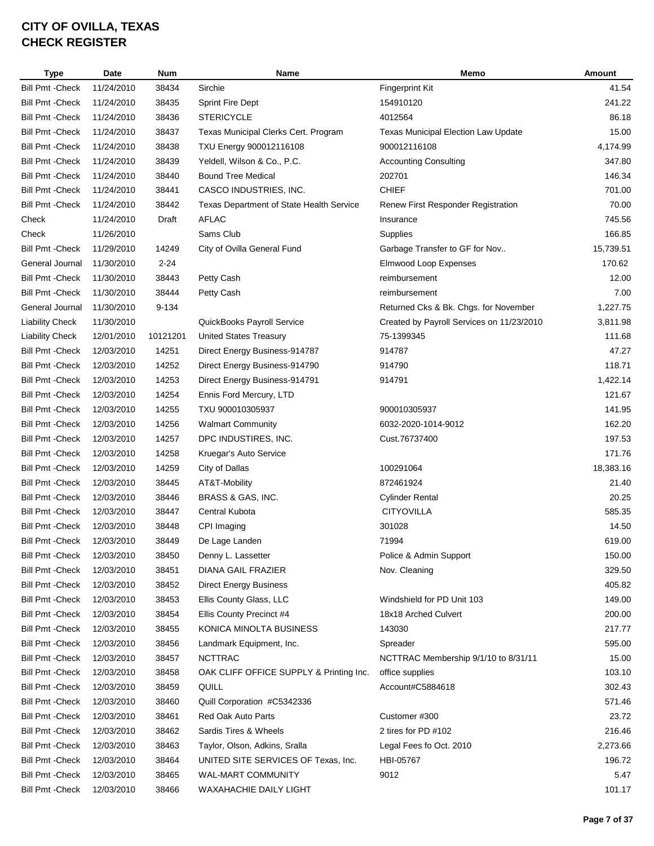| <b>Type</b>             | <b>Date</b> | <b>Num</b> | Name                                     | Memo                                       | Amount    |
|-------------------------|-------------|------------|------------------------------------------|--------------------------------------------|-----------|
| <b>Bill Pmt - Check</b> | 11/24/2010  | 38434      | Sirchie                                  | <b>Fingerprint Kit</b>                     | 41.54     |
| <b>Bill Pmt - Check</b> | 11/24/2010  | 38435      | <b>Sprint Fire Dept</b>                  | 154910120                                  | 241.22    |
| <b>Bill Pmt - Check</b> | 11/24/2010  | 38436      | <b>STERICYCLE</b>                        | 4012564                                    | 86.18     |
| <b>Bill Pmt - Check</b> | 11/24/2010  | 38437      | Texas Municipal Clerks Cert. Program     | <b>Texas Municipal Election Law Update</b> | 15.00     |
| <b>Bill Pmt - Check</b> | 11/24/2010  | 38438      | TXU Energy 900012116108                  | 900012116108                               | 4,174.99  |
| <b>Bill Pmt - Check</b> | 11/24/2010  | 38439      | Yeldell, Wilson & Co., P.C.              | <b>Accounting Consulting</b>               | 347.80    |
| <b>Bill Pmt - Check</b> | 11/24/2010  | 38440      | <b>Bound Tree Medical</b>                | 202701                                     | 146.34    |
| <b>Bill Pmt - Check</b> | 11/24/2010  | 38441      | CASCO INDUSTRIES, INC.                   | <b>CHIEF</b>                               | 701.00    |
| <b>Bill Pmt - Check</b> | 11/24/2010  | 38442      | Texas Department of State Health Service | Renew First Responder Registration         | 70.00     |
| Check                   | 11/24/2010  | Draft      | <b>AFLAC</b>                             | Insurance                                  | 745.56    |
| Check                   | 11/26/2010  |            | Sams Club                                | Supplies                                   | 166.85    |
| <b>Bill Pmt - Check</b> | 11/29/2010  | 14249      | City of Ovilla General Fund              | Garbage Transfer to GF for Nov             | 15,739.51 |
| General Journal         | 11/30/2010  | $2 - 24$   |                                          | Elmwood Loop Expenses                      | 170.62    |
| <b>Bill Pmt - Check</b> | 11/30/2010  | 38443      | Petty Cash                               | reimbursement                              | 12.00     |
| <b>Bill Pmt - Check</b> | 11/30/2010  | 38444      | Petty Cash                               | reimbursement                              | 7.00      |
| General Journal         | 11/30/2010  | 9-134      |                                          | Returned Cks & Bk. Chgs. for November      | 1,227.75  |
| <b>Liability Check</b>  | 11/30/2010  |            | QuickBooks Payroll Service               | Created by Payroll Services on 11/23/2010  | 3,811.98  |
| <b>Liability Check</b>  | 12/01/2010  | 10121201   | <b>United States Treasury</b>            | 75-1399345                                 | 111.68    |
| <b>Bill Pmt - Check</b> | 12/03/2010  | 14251      | Direct Energy Business-914787            | 914787                                     | 47.27     |
| <b>Bill Pmt - Check</b> | 12/03/2010  | 14252      | Direct Energy Business-914790            | 914790                                     | 118.71    |
| <b>Bill Pmt - Check</b> | 12/03/2010  | 14253      | Direct Energy Business-914791            | 914791                                     | 1,422.14  |
| <b>Bill Pmt - Check</b> | 12/03/2010  | 14254      | Ennis Ford Mercury, LTD                  |                                            | 121.67    |
| <b>Bill Pmt - Check</b> | 12/03/2010  | 14255      | TXU 900010305937                         | 900010305937                               | 141.95    |
| <b>Bill Pmt - Check</b> | 12/03/2010  | 14256      | <b>Walmart Community</b>                 | 6032-2020-1014-9012                        | 162.20    |
| <b>Bill Pmt - Check</b> | 12/03/2010  | 14257      | DPC INDUSTIRES, INC.                     | Cust.76737400                              | 197.53    |
| <b>Bill Pmt - Check</b> | 12/03/2010  | 14258      | Kruegar's Auto Service                   |                                            | 171.76    |
| <b>Bill Pmt - Check</b> | 12/03/2010  | 14259      | City of Dallas                           | 100291064                                  | 18,383.16 |
| <b>Bill Pmt - Check</b> | 12/03/2010  | 38445      | AT&T-Mobility                            | 872461924                                  | 21.40     |
| <b>Bill Pmt - Check</b> | 12/03/2010  | 38446      | BRASS & GAS, INC.                        | <b>Cylinder Rental</b>                     | 20.25     |
| <b>Bill Pmt - Check</b> | 12/03/2010  | 38447      | <b>Central Kubota</b>                    | <b>CITYOVILLA</b>                          | 585.35    |
| <b>Bill Pmt - Check</b> | 12/03/2010  | 38448      | CPI Imaging                              | 301028                                     | 14.50     |
| <b>Bill Pmt - Check</b> | 12/03/2010  | 38449      | De Lage Landen                           | 71994                                      | 619.00    |
| <b>Bill Pmt - Check</b> | 12/03/2010  | 38450      | Denny L. Lassetter                       | Police & Admin Support                     | 150.00    |
| <b>Bill Pmt - Check</b> | 12/03/2010  | 38451      | DIANA GAIL FRAZIER                       | Nov. Cleaning                              | 329.50    |
| <b>Bill Pmt - Check</b> | 12/03/2010  | 38452      | <b>Direct Energy Business</b>            |                                            | 405.82    |
| <b>Bill Pmt - Check</b> | 12/03/2010  | 38453      | Ellis County Glass, LLC                  | Windshield for PD Unit 103                 | 149.00    |
| <b>Bill Pmt - Check</b> | 12/03/2010  | 38454      | Ellis County Precinct #4                 | 18x18 Arched Culvert                       | 200.00    |
| <b>Bill Pmt - Check</b> | 12/03/2010  | 38455      | KONICA MINOLTA BUSINESS                  | 143030                                     | 217.77    |
| <b>Bill Pmt - Check</b> | 12/03/2010  | 38456      | Landmark Equipment, Inc.                 | Spreader                                   | 595.00    |
| <b>Bill Pmt - Check</b> | 12/03/2010  | 38457      | <b>NCTTRAC</b>                           | NCTTRAC Membership 9/1/10 to 8/31/11       | 15.00     |
| <b>Bill Pmt - Check</b> | 12/03/2010  | 38458      | OAK CLIFF OFFICE SUPPLY & Printing Inc.  | office supplies                            | 103.10    |
| <b>Bill Pmt - Check</b> | 12/03/2010  | 38459      | QUILL                                    | Account#C5884618                           | 302.43    |
| <b>Bill Pmt - Check</b> | 12/03/2010  | 38460      | Quill Corporation #C5342336              |                                            | 571.46    |
| <b>Bill Pmt - Check</b> | 12/03/2010  | 38461      | Red Oak Auto Parts                       | Customer #300                              | 23.72     |
| <b>Bill Pmt - Check</b> | 12/03/2010  | 38462      | Sardis Tires & Wheels                    | 2 tires for PD #102                        | 216.46    |
| <b>Bill Pmt - Check</b> | 12/03/2010  | 38463      | Taylor, Olson, Adkins, Sralla            | Legal Fees fo Oct. 2010                    | 2,273.66  |
| <b>Bill Pmt - Check</b> | 12/03/2010  | 38464      | UNITED SITE SERVICES OF Texas, Inc.      | HBI-05767                                  | 196.72    |
| <b>Bill Pmt - Check</b> | 12/03/2010  | 38465      | WAL-MART COMMUNITY                       | 9012                                       | 5.47      |
| <b>Bill Pmt - Check</b> | 12/03/2010  | 38466      | WAXAHACHIE DAILY LIGHT                   |                                            | 101.17    |
|                         |             |            |                                          |                                            |           |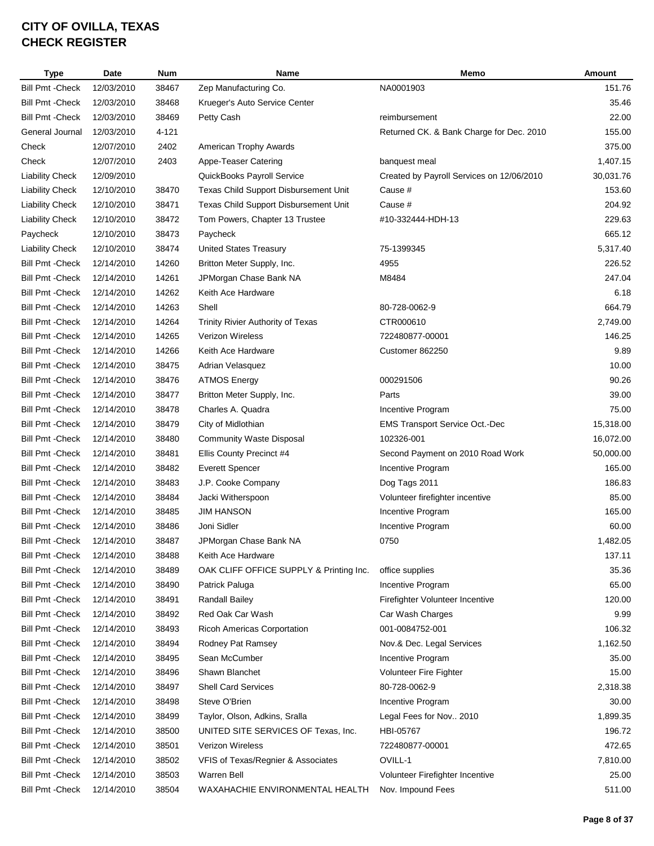| <b>Type</b>             | Date       | <b>Num</b> | Name                                    | Memo                                      | Amount    |
|-------------------------|------------|------------|-----------------------------------------|-------------------------------------------|-----------|
| <b>Bill Pmt - Check</b> | 12/03/2010 | 38467      | Zep Manufacturing Co.                   | NA0001903                                 | 151.76    |
| <b>Bill Pmt - Check</b> | 12/03/2010 | 38468      | Krueger's Auto Service Center           |                                           | 35.46     |
| <b>Bill Pmt - Check</b> | 12/03/2010 | 38469      | Petty Cash                              | reimbursement                             | 22.00     |
| General Journal         | 12/03/2010 | 4-121      |                                         | Returned CK. & Bank Charge for Dec. 2010  | 155.00    |
| Check                   | 12/07/2010 | 2402       | American Trophy Awards                  |                                           | 375.00    |
| Check                   | 12/07/2010 | 2403       | Appe-Teaser Catering                    | banquest meal                             | 1,407.15  |
| <b>Liability Check</b>  | 12/09/2010 |            | QuickBooks Payroll Service              | Created by Payroll Services on 12/06/2010 | 30,031.76 |
| <b>Liability Check</b>  | 12/10/2010 | 38470      | Texas Child Support Disbursement Unit   | Cause #                                   | 153.60    |
| <b>Liability Check</b>  | 12/10/2010 | 38471      | Texas Child Support Disbursement Unit   | Cause #                                   | 204.92    |
| <b>Liability Check</b>  | 12/10/2010 | 38472      | Tom Powers, Chapter 13 Trustee          | #10-332444-HDH-13                         | 229.63    |
| Paycheck                | 12/10/2010 | 38473      | Paycheck                                |                                           | 665.12    |
| <b>Liability Check</b>  | 12/10/2010 | 38474      | <b>United States Treasury</b>           | 75-1399345                                | 5,317.40  |
| <b>Bill Pmt - Check</b> | 12/14/2010 | 14260      | Britton Meter Supply, Inc.              | 4955                                      | 226.52    |
| <b>Bill Pmt - Check</b> | 12/14/2010 | 14261      | JPMorgan Chase Bank NA                  | M8484                                     | 247.04    |
| <b>Bill Pmt - Check</b> | 12/14/2010 | 14262      | Keith Ace Hardware                      |                                           | 6.18      |
| <b>Bill Pmt - Check</b> | 12/14/2010 | 14263      | Shell                                   | 80-728-0062-9                             | 664.79    |
| <b>Bill Pmt - Check</b> | 12/14/2010 | 14264      | Trinity Rivier Authority of Texas       | CTR000610                                 | 2,749.00  |
| <b>Bill Pmt - Check</b> | 12/14/2010 | 14265      | <b>Verizon Wireless</b>                 | 722480877-00001                           | 146.25    |
| <b>Bill Pmt - Check</b> | 12/14/2010 | 14266      | Keith Ace Hardware                      | Customer 862250                           | 9.89      |
| <b>Bill Pmt - Check</b> | 12/14/2010 | 38475      | Adrian Velasquez                        |                                           | 10.00     |
| <b>Bill Pmt - Check</b> | 12/14/2010 | 38476      | <b>ATMOS Energy</b>                     | 000291506                                 | 90.26     |
| <b>Bill Pmt - Check</b> | 12/14/2010 | 38477      | Britton Meter Supply, Inc.              | Parts                                     | 39.00     |
| <b>Bill Pmt - Check</b> | 12/14/2010 | 38478      | Charles A. Quadra                       | Incentive Program                         | 75.00     |
| <b>Bill Pmt - Check</b> | 12/14/2010 | 38479      | City of Midlothian                      | <b>EMS Transport Service Oct.-Dec</b>     | 15,318.00 |
| <b>Bill Pmt - Check</b> | 12/14/2010 | 38480      | <b>Community Waste Disposal</b>         | 102326-001                                | 16,072.00 |
| <b>Bill Pmt - Check</b> | 12/14/2010 | 38481      | Ellis County Precinct #4                | Second Payment on 2010 Road Work          | 50,000.00 |
| <b>Bill Pmt - Check</b> | 12/14/2010 | 38482      | <b>Everett Spencer</b>                  | Incentive Program                         | 165.00    |
| <b>Bill Pmt - Check</b> | 12/14/2010 | 38483      | J.P. Cooke Company                      | Dog Tags 2011                             | 186.83    |
| <b>Bill Pmt - Check</b> | 12/14/2010 | 38484      | Jacki Witherspoon                       | Volunteer firefighter incentive           | 85.00     |
| <b>Bill Pmt - Check</b> | 12/14/2010 | 38485      | <b>JIM HANSON</b>                       | Incentive Program                         | 165.00    |
| <b>Bill Pmt - Check</b> | 12/14/2010 | 38486      | Joni Sidler                             | Incentive Program                         | 60.00     |
| Bill Pmt - Check        | 12/14/2010 | 38487      | JPMorgan Chase Bank NA                  | 0750                                      | 1,482.05  |
| <b>Bill Pmt - Check</b> | 12/14/2010 | 38488      | Keith Ace Hardware                      |                                           | 137.11    |
| <b>Bill Pmt - Check</b> | 12/14/2010 | 38489      | OAK CLIFF OFFICE SUPPLY & Printing Inc. | office supplies                           | 35.36     |
| <b>Bill Pmt - Check</b> | 12/14/2010 | 38490      | Patrick Paluga                          | Incentive Program                         | 65.00     |
| <b>Bill Pmt - Check</b> | 12/14/2010 | 38491      | <b>Randall Bailey</b>                   | Firefighter Volunteer Incentive           | 120.00    |
| <b>Bill Pmt - Check</b> | 12/14/2010 | 38492      | Red Oak Car Wash                        | Car Wash Charges                          | 9.99      |
| <b>Bill Pmt - Check</b> | 12/14/2010 | 38493      | Ricoh Americas Corportation             | 001-0084752-001                           | 106.32    |
| <b>Bill Pmt - Check</b> | 12/14/2010 | 38494      | Rodney Pat Ramsey                       | Nov.& Dec. Legal Services                 | 1,162.50  |
| <b>Bill Pmt - Check</b> | 12/14/2010 | 38495      | Sean McCumber                           | Incentive Program                         | 35.00     |
| <b>Bill Pmt - Check</b> | 12/14/2010 | 38496      | Shawn Blanchet                          | Volunteer Fire Fighter                    | 15.00     |
| <b>Bill Pmt - Check</b> | 12/14/2010 | 38497      | <b>Shell Card Services</b>              | 80-728-0062-9                             | 2,318.38  |
| <b>Bill Pmt - Check</b> | 12/14/2010 | 38498      | Steve O'Brien                           | Incentive Program                         | 30.00     |
| <b>Bill Pmt - Check</b> | 12/14/2010 | 38499      | Taylor, Olson, Adkins, Sralla           | Legal Fees for Nov 2010                   | 1,899.35  |
| <b>Bill Pmt - Check</b> | 12/14/2010 | 38500      | UNITED SITE SERVICES OF Texas, Inc.     | HBI-05767                                 | 196.72    |
| <b>Bill Pmt - Check</b> | 12/14/2010 | 38501      | Verizon Wireless                        | 722480877-00001                           | 472.65    |
| <b>Bill Pmt - Check</b> | 12/14/2010 | 38502      | VFIS of Texas/Regnier & Associates      | OVILL-1                                   | 7,810.00  |
| <b>Bill Pmt - Check</b> | 12/14/2010 | 38503      | Warren Bell                             | Volunteer Firefighter Incentive           | 25.00     |
| <b>Bill Pmt - Check</b> | 12/14/2010 | 38504      | WAXAHACHIE ENVIRONMENTAL HEALTH         | Nov. Impound Fees                         | 511.00    |
|                         |            |            |                                         |                                           |           |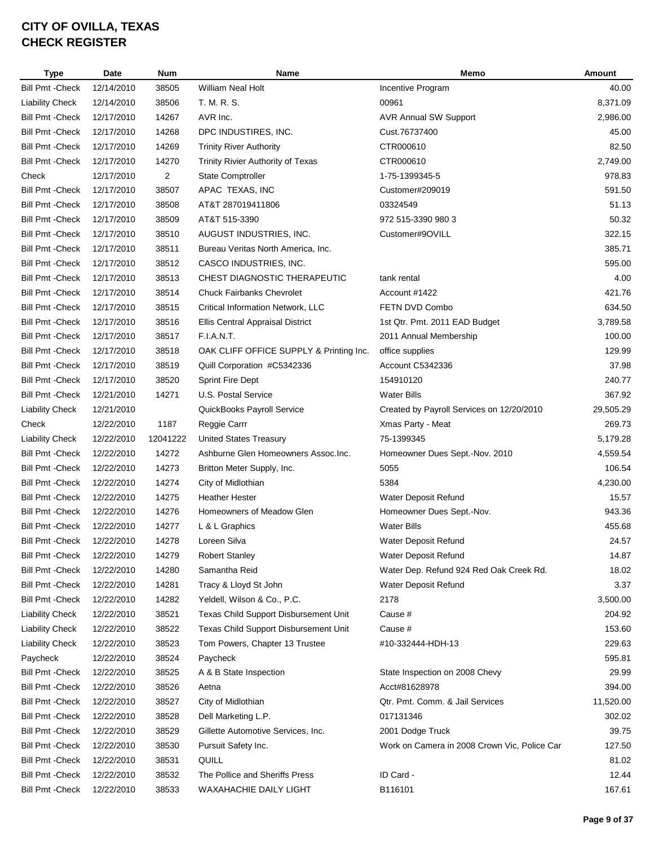| <b>Type</b>             | Date                     | <b>Num</b>     | Name                                      | Memo                                         | Amount    |
|-------------------------|--------------------------|----------------|-------------------------------------------|----------------------------------------------|-----------|
| <b>Bill Pmt - Check</b> | 12/14/2010               | 38505          | <b>William Neal Holt</b>                  | Incentive Program                            | 40.00     |
| <b>Liability Check</b>  | 12/14/2010               | 38506          | T. M. R. S.                               | 00961                                        | 8,371.09  |
| <b>Bill Pmt - Check</b> | 12/17/2010               | 14267          | AVR Inc.                                  | <b>AVR Annual SW Support</b>                 | 2,986.00  |
| <b>Bill Pmt - Check</b> | 12/17/2010               | 14268          | DPC INDUSTIRES, INC.                      | Cust.76737400                                | 45.00     |
| <b>Bill Pmt - Check</b> | 12/17/2010               | 14269          | <b>Trinity River Authority</b>            | CTR000610                                    | 82.50     |
| <b>Bill Pmt - Check</b> | 12/17/2010               | 14270          | <b>Trinity Rivier Authority of Texas</b>  | CTR000610                                    | 2,749.00  |
| Check                   | 12/17/2010               | $\overline{2}$ | State Comptroller                         | 1-75-1399345-5                               | 978.83    |
| <b>Bill Pmt - Check</b> | 12/17/2010               | 38507          | APAC TEXAS, INC                           | Customer#209019                              | 591.50    |
| <b>Bill Pmt - Check</b> | 12/17/2010               | 38508          | AT&T 287019411806                         | 03324549                                     | 51.13     |
| <b>Bill Pmt - Check</b> | 12/17/2010               | 38509          | AT&T 515-3390                             | 972 515-3390 980 3                           | 50.32     |
| <b>Bill Pmt - Check</b> | 12/17/2010               | 38510          | AUGUST INDUSTRIES, INC.                   | Customer#9OVILL                              | 322.15    |
| <b>Bill Pmt - Check</b> | 12/17/2010               | 38511          | Bureau Veritas North America, Inc.        |                                              | 385.71    |
| <b>Bill Pmt - Check</b> | 12/17/2010               | 38512          | CASCO INDUSTRIES, INC.                    |                                              | 595.00    |
| <b>Bill Pmt - Check</b> | 12/17/2010               | 38513          | CHEST DIAGNOSTIC THERAPEUTIC              | tank rental                                  | 4.00      |
| <b>Bill Pmt - Check</b> | 12/17/2010               | 38514          | <b>Chuck Fairbanks Chevrolet</b>          | Account #1422                                | 421.76    |
| <b>Bill Pmt - Check</b> | 12/17/2010               | 38515          | Critical Information Network, LLC         | FETN DVD Combo                               | 634.50    |
| <b>Bill Pmt - Check</b> | 12/17/2010               | 38516          | Ellis Central Appraisal District          | 1st Qtr. Pmt. 2011 EAD Budget                | 3,789.58  |
| <b>Bill Pmt - Check</b> | 12/17/2010               | 38517          | F.I.A.N.T.                                | 2011 Annual Membership                       | 100.00    |
| <b>Bill Pmt - Check</b> | 12/17/2010               | 38518          | OAK CLIFF OFFICE SUPPLY & Printing Inc.   | office supplies                              | 129.99    |
| <b>Bill Pmt - Check</b> | 12/17/2010               | 38519          | Quill Corporation #C5342336               | Account C5342336                             | 37.98     |
| <b>Bill Pmt - Check</b> | 12/17/2010               | 38520          | <b>Sprint Fire Dept</b>                   | 154910120                                    | 240.77    |
| <b>Bill Pmt - Check</b> | 12/21/2010               | 14271          | U.S. Postal Service                       | <b>Water Bills</b>                           | 367.92    |
| <b>Liability Check</b>  | 12/21/2010               |                | QuickBooks Payroll Service                | Created by Payroll Services on 12/20/2010    | 29,505.29 |
| Check                   | 12/22/2010               | 1187           | Reggie Carrr                              | Xmas Party - Meat                            | 269.73    |
| <b>Liability Check</b>  | 12/22/2010               | 12041222       | <b>United States Treasury</b>             | 75-1399345                                   | 5,179.28  |
| <b>Bill Pmt - Check</b> | 12/22/2010               | 14272          | Ashburne Glen Homeowners Assoc.Inc.       | Homeowner Dues Sept.-Nov. 2010               | 4,559.54  |
| <b>Bill Pmt - Check</b> | 12/22/2010               | 14273          | Britton Meter Supply, Inc.                | 5055                                         | 106.54    |
| <b>Bill Pmt - Check</b> | 12/22/2010               | 14274          | City of Midlothian                        | 5384                                         | 4,230.00  |
| <b>Bill Pmt - Check</b> | 12/22/2010               | 14275          | <b>Heather Hester</b>                     | Water Deposit Refund                         | 15.57     |
| <b>Bill Pmt - Check</b> | 12/22/2010               | 14276          | Homeowners of Meadow Glen                 | Homeowner Dues Sept.-Nov.                    | 943.36    |
| <b>Bill Pmt - Check</b> | 12/22/2010               | 14277          | L & L Graphics                            | <b>Water Bills</b>                           | 455.68    |
| Bill Pmt - Check        | 12/22/2010               | 14278          | Loreen Silva                              | Water Deposit Refund                         | 24.57     |
| <b>Bill Pmt - Check</b> | 12/22/2010               | 14279          | <b>Robert Stanley</b>                     | Water Deposit Refund                         | 14.87     |
| <b>Bill Pmt - Check</b> | 12/22/2010               | 14280          | Samantha Reid                             | Water Dep. Refund 924 Red Oak Creek Rd.      | 18.02     |
| <b>Bill Pmt - Check</b> | 12/22/2010               | 14281          | Tracy & Lloyd St John                     | Water Deposit Refund                         | 3.37      |
| <b>Bill Pmt - Check</b> | 12/22/2010               | 14282          | Yeldell, Wilson & Co., P.C.               | 2178                                         | 3,500.00  |
| <b>Liability Check</b>  | 12/22/2010               | 38521          | Texas Child Support Disbursement Unit     | Cause #                                      | 204.92    |
| <b>Liability Check</b>  | 12/22/2010               | 38522          | Texas Child Support Disbursement Unit     | Cause #                                      | 153.60    |
| <b>Liability Check</b>  | 12/22/2010               | 38523          | Tom Powers, Chapter 13 Trustee            | #10-332444-HDH-13                            | 229.63    |
| Paycheck                | 12/22/2010               | 38524          | Paycheck                                  |                                              | 595.81    |
| <b>Bill Pmt - Check</b> | 12/22/2010               | 38525          | A & B State Inspection                    | State Inspection on 2008 Chevy               | 29.99     |
| <b>Bill Pmt - Check</b> | 12/22/2010               | 38526          | Aetna                                     | Acct#81628978                                | 394.00    |
| <b>Bill Pmt - Check</b> |                          |                |                                           | Qtr. Pmt. Comm. & Jail Services              | 11,520.00 |
| <b>Bill Pmt - Check</b> | 12/22/2010<br>12/22/2010 | 38527<br>38528 | City of Midlothian<br>Dell Marketing L.P. | 017131346                                    | 302.02    |
|                         |                          |                |                                           |                                              |           |
| <b>Bill Pmt - Check</b> | 12/22/2010               | 38529          | Gillette Automotive Services, Inc.        | 2001 Dodge Truck                             | 39.75     |
| <b>Bill Pmt - Check</b> | 12/22/2010               | 38530          | Pursuit Safety Inc.                       | Work on Camera in 2008 Crown Vic, Police Car | 127.50    |
| <b>Bill Pmt - Check</b> | 12/22/2010               | 38531          | QUILL                                     |                                              | 81.02     |
| <b>Bill Pmt - Check</b> | 12/22/2010               | 38532          | The Pollice and Sheriffs Press            | ID Card -                                    | 12.44     |
| <b>Bill Pmt - Check</b> | 12/22/2010               | 38533          | WAXAHACHIE DAILY LIGHT                    | B116101                                      | 167.61    |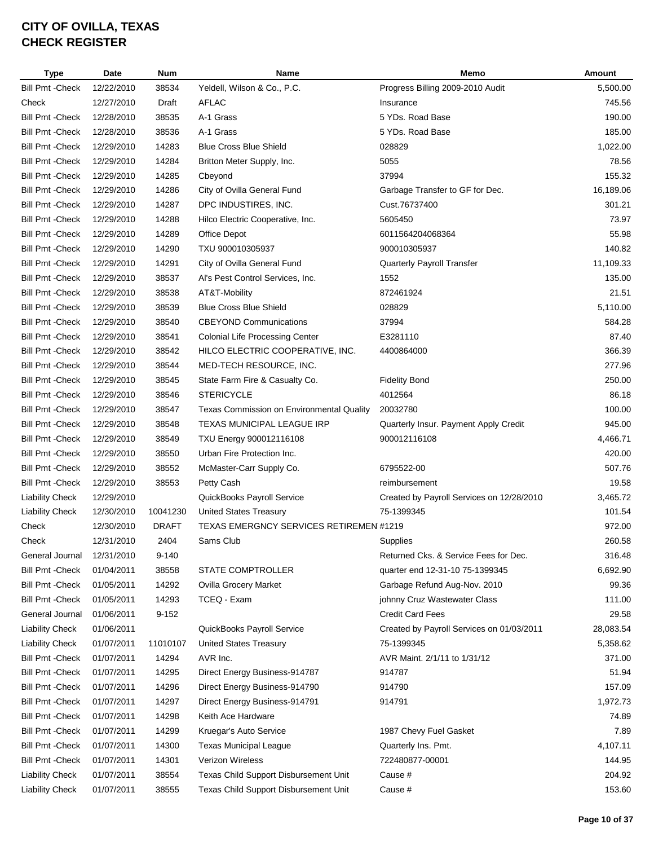| <b>Type</b>             | Date       | <b>Num</b>   | Name                                           | Memo                                      | Amount    |
|-------------------------|------------|--------------|------------------------------------------------|-------------------------------------------|-----------|
| <b>Bill Pmt - Check</b> | 12/22/2010 | 38534        | Yeldell, Wilson & Co., P.C.                    | Progress Billing 2009-2010 Audit          | 5,500.00  |
| Check                   | 12/27/2010 | Draft        | <b>AFLAC</b>                                   | Insurance                                 | 745.56    |
| <b>Bill Pmt - Check</b> | 12/28/2010 | 38535        | A-1 Grass                                      | 5 YDs. Road Base                          | 190.00    |
| <b>Bill Pmt - Check</b> | 12/28/2010 | 38536        | A-1 Grass                                      | 5 YDs. Road Base                          | 185.00    |
| <b>Bill Pmt - Check</b> | 12/29/2010 | 14283        | <b>Blue Cross Blue Shield</b>                  | 028829                                    | 1,022.00  |
| <b>Bill Pmt - Check</b> | 12/29/2010 | 14284        | Britton Meter Supply, Inc.                     | 5055                                      | 78.56     |
| <b>Bill Pmt - Check</b> | 12/29/2010 | 14285        | Cbeyond                                        | 37994                                     | 155.32    |
| <b>Bill Pmt - Check</b> | 12/29/2010 | 14286        | City of Ovilla General Fund                    | Garbage Transfer to GF for Dec.           | 16,189.06 |
| <b>Bill Pmt - Check</b> | 12/29/2010 | 14287        | DPC INDUSTIRES, INC.                           | Cust.76737400                             | 301.21    |
| <b>Bill Pmt - Check</b> | 12/29/2010 | 14288        | Hilco Electric Cooperative, Inc.               | 5605450                                   | 73.97     |
| <b>Bill Pmt - Check</b> | 12/29/2010 | 14289        | Office Depot                                   | 6011564204068364                          | 55.98     |
| <b>Bill Pmt - Check</b> | 12/29/2010 | 14290        | TXU 900010305937                               | 900010305937                              | 140.82    |
| <b>Bill Pmt - Check</b> | 12/29/2010 | 14291        | City of Ovilla General Fund                    | Quarterly Payroll Transfer                | 11,109.33 |
| <b>Bill Pmt - Check</b> | 12/29/2010 | 38537        | Al's Pest Control Services, Inc.               | 1552                                      | 135.00    |
| <b>Bill Pmt - Check</b> | 12/29/2010 | 38538        | AT&T-Mobility                                  | 872461924                                 | 21.51     |
| <b>Bill Pmt - Check</b> | 12/29/2010 | 38539        | <b>Blue Cross Blue Shield</b>                  | 028829                                    | 5,110.00  |
| <b>Bill Pmt - Check</b> | 12/29/2010 | 38540        | <b>CBEYOND Communications</b>                  | 37994                                     | 584.28    |
| <b>Bill Pmt - Check</b> | 12/29/2010 | 38541        | <b>Colonial Life Processing Center</b>         | E3281110                                  | 87.40     |
| <b>Bill Pmt - Check</b> | 12/29/2010 | 38542        | HILCO ELECTRIC COOPERATIVE, INC.               | 4400864000                                | 366.39    |
| <b>Bill Pmt - Check</b> | 12/29/2010 | 38544        | MED-TECH RESOURCE, INC.                        |                                           | 277.96    |
| <b>Bill Pmt - Check</b> | 12/29/2010 | 38545        | State Farm Fire & Casualty Co.                 | <b>Fidelity Bond</b>                      | 250.00    |
| <b>Bill Pmt - Check</b> | 12/29/2010 | 38546        | <b>STERICYCLE</b>                              | 4012564                                   | 86.18     |
| <b>Bill Pmt - Check</b> | 12/29/2010 | 38547        | Texas Commission on Environmental Quality      | 20032780                                  | 100.00    |
| <b>Bill Pmt - Check</b> | 12/29/2010 | 38548        | <b>TEXAS MUNICIPAL LEAGUE IRP</b>              | Quarterly Insur. Payment Apply Credit     | 945.00    |
| <b>Bill Pmt - Check</b> | 12/29/2010 | 38549        | TXU Energy 900012116108                        | 900012116108                              | 4,466.71  |
| <b>Bill Pmt - Check</b> | 12/29/2010 | 38550        | Urban Fire Protection Inc.                     |                                           | 420.00    |
| <b>Bill Pmt - Check</b> | 12/29/2010 | 38552        | McMaster-Carr Supply Co.                       | 6795522-00                                | 507.76    |
| <b>Bill Pmt - Check</b> | 12/29/2010 | 38553        | Petty Cash                                     | reimbursement                             | 19.58     |
| <b>Liability Check</b>  | 12/29/2010 |              | QuickBooks Payroll Service                     | Created by Payroll Services on 12/28/2010 | 3,465.72  |
| <b>Liability Check</b>  | 12/30/2010 | 10041230     | <b>United States Treasury</b>                  | 75-1399345                                | 101.54    |
| Check                   | 12/30/2010 | <b>DRAFT</b> | <b>TEXAS EMERGNCY SERVICES RETIREMEN #1219</b> |                                           | 972.00    |
| Check                   | 12/31/2010 | 2404         | Sams Club                                      | Supplies                                  | 260.58    |
| General Journal         | 12/31/2010 | $9 - 140$    |                                                | Returned Cks. & Service Fees for Dec.     | 316.48    |
| <b>Bill Pmt - Check</b> | 01/04/2011 | 38558        | STATE COMPTROLLER                              | quarter end 12-31-10 75-1399345           | 6,692.90  |
| <b>Bill Pmt - Check</b> | 01/05/2011 | 14292        | <b>Ovilla Grocery Market</b>                   | Garbage Refund Aug-Nov. 2010              | 99.36     |
| <b>Bill Pmt - Check</b> | 01/05/2011 | 14293        | TCEQ - Exam                                    | johnny Cruz Wastewater Class              | 111.00    |
| General Journal         | 01/06/2011 | $9 - 152$    |                                                | <b>Credit Card Fees</b>                   | 29.58     |
| <b>Liability Check</b>  | 01/06/2011 |              | QuickBooks Payroll Service                     | Created by Payroll Services on 01/03/2011 | 28,083.54 |
| <b>Liability Check</b>  | 01/07/2011 | 11010107     | United States Treasury                         | 75-1399345                                | 5,358.62  |
| <b>Bill Pmt - Check</b> | 01/07/2011 | 14294        | AVR Inc.                                       | AVR Maint. 2/1/11 to 1/31/12              | 371.00    |
| <b>Bill Pmt - Check</b> | 01/07/2011 | 14295        | Direct Energy Business-914787                  | 914787                                    | 51.94     |
| <b>Bill Pmt - Check</b> | 01/07/2011 | 14296        | Direct Energy Business-914790                  | 914790                                    | 157.09    |
| <b>Bill Pmt - Check</b> | 01/07/2011 | 14297        | Direct Energy Business-914791                  | 914791                                    | 1,972.73  |
| <b>Bill Pmt - Check</b> | 01/07/2011 | 14298        | Keith Ace Hardware                             |                                           | 74.89     |
| <b>Bill Pmt - Check</b> | 01/07/2011 | 14299        | Kruegar's Auto Service                         | 1987 Chevy Fuel Gasket                    | 7.89      |
| <b>Bill Pmt - Check</b> | 01/07/2011 | 14300        | <b>Texas Municipal League</b>                  | Quarterly Ins. Pmt.                       | 4,107.11  |
| <b>Bill Pmt - Check</b> | 01/07/2011 | 14301        | Verizon Wireless                               | 722480877-00001                           | 144.95    |
| <b>Liability Check</b>  | 01/07/2011 | 38554        | Texas Child Support Disbursement Unit          | Cause #                                   | 204.92    |
|                         |            |              |                                                |                                           |           |
| <b>Liability Check</b>  | 01/07/2011 | 38555        | Texas Child Support Disbursement Unit          | Cause #                                   | 153.60    |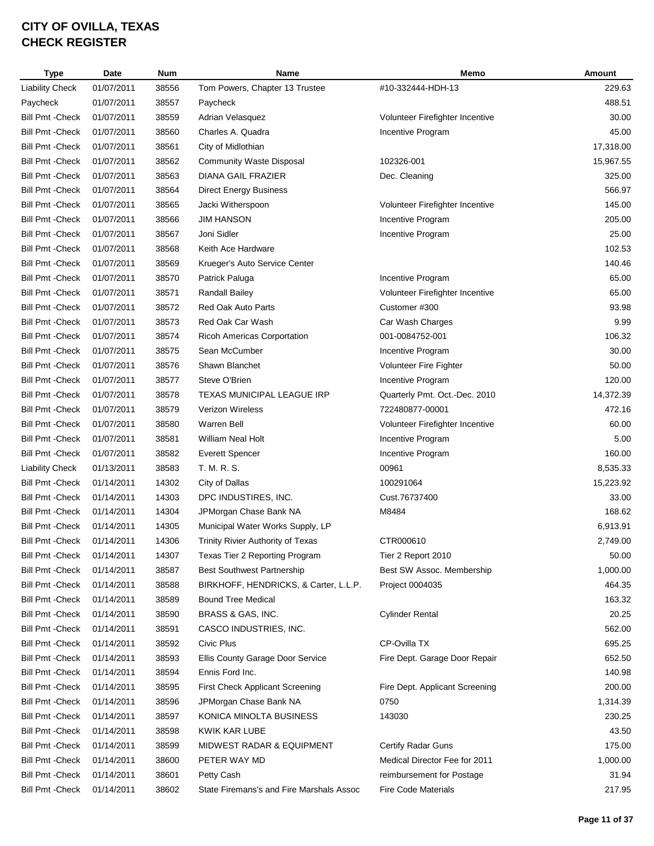| <b>Type</b>             | Date       | <b>Num</b> | Name                                     | Memo                            | Amount    |
|-------------------------|------------|------------|------------------------------------------|---------------------------------|-----------|
| <b>Liability Check</b>  | 01/07/2011 | 38556      | Tom Powers, Chapter 13 Trustee           | #10-332444-HDH-13               | 229.63    |
| Paycheck                | 01/07/2011 | 38557      | Paycheck                                 |                                 | 488.51    |
| <b>Bill Pmt - Check</b> | 01/07/2011 | 38559      | Adrian Velasquez                         | Volunteer Firefighter Incentive | 30.00     |
| <b>Bill Pmt - Check</b> | 01/07/2011 | 38560      | Charles A. Quadra                        | Incentive Program               | 45.00     |
| <b>Bill Pmt - Check</b> | 01/07/2011 | 38561      | City of Midlothian                       |                                 | 17,318.00 |
| <b>Bill Pmt - Check</b> | 01/07/2011 | 38562      | <b>Community Waste Disposal</b>          | 102326-001                      | 15,967.55 |
| <b>Bill Pmt - Check</b> | 01/07/2011 | 38563      | <b>DIANA GAIL FRAZIER</b>                | Dec. Cleaning                   | 325.00    |
| <b>Bill Pmt - Check</b> | 01/07/2011 | 38564      | <b>Direct Energy Business</b>            |                                 | 566.97    |
| <b>Bill Pmt - Check</b> | 01/07/2011 | 38565      | Jacki Witherspoon                        | Volunteer Firefighter Incentive | 145.00    |
| <b>Bill Pmt - Check</b> | 01/07/2011 | 38566      | <b>JIM HANSON</b>                        | Incentive Program               | 205.00    |
| <b>Bill Pmt - Check</b> | 01/07/2011 | 38567      | Joni Sidler                              | Incentive Program               | 25.00     |
| <b>Bill Pmt - Check</b> | 01/07/2011 | 38568      | Keith Ace Hardware                       |                                 | 102.53    |
| <b>Bill Pmt - Check</b> | 01/07/2011 | 38569      | Krueger's Auto Service Center            |                                 | 140.46    |
| <b>Bill Pmt - Check</b> | 01/07/2011 | 38570      | Patrick Paluga                           | Incentive Program               | 65.00     |
| <b>Bill Pmt - Check</b> | 01/07/2011 | 38571      | Randall Bailey                           | Volunteer Firefighter Incentive | 65.00     |
| <b>Bill Pmt - Check</b> | 01/07/2011 | 38572      | Red Oak Auto Parts                       | Customer #300                   | 93.98     |
| <b>Bill Pmt - Check</b> | 01/07/2011 | 38573      | Red Oak Car Wash                         | Car Wash Charges                | 9.99      |
| <b>Bill Pmt - Check</b> | 01/07/2011 | 38574      | <b>Ricoh Americas Corportation</b>       | 001-0084752-001                 | 106.32    |
| <b>Bill Pmt - Check</b> | 01/07/2011 | 38575      | Sean McCumber                            | Incentive Program               | 30.00     |
| <b>Bill Pmt - Check</b> | 01/07/2011 | 38576      | Shawn Blanchet                           | <b>Volunteer Fire Fighter</b>   | 50.00     |
| <b>Bill Pmt - Check</b> | 01/07/2011 | 38577      | Steve O'Brien                            | Incentive Program               | 120.00    |
| <b>Bill Pmt - Check</b> | 01/07/2011 | 38578      | <b>TEXAS MUNICIPAL LEAGUE IRP</b>        | Quarterly Pmt. Oct.-Dec. 2010   | 14,372.39 |
| <b>Bill Pmt - Check</b> | 01/07/2011 | 38579      | <b>Verizon Wireless</b>                  | 722480877-00001                 | 472.16    |
| <b>Bill Pmt - Check</b> | 01/07/2011 | 38580      | <b>Warren Bell</b>                       | Volunteer Firefighter Incentive | 60.00     |
| <b>Bill Pmt - Check</b> | 01/07/2011 | 38581      | <b>William Neal Holt</b>                 | Incentive Program               | 5.00      |
| <b>Bill Pmt - Check</b> | 01/07/2011 | 38582      | <b>Everett Spencer</b>                   | Incentive Program               | 160.00    |
| <b>Liability Check</b>  | 01/13/2011 | 38583      | T. M. R. S.                              | 00961                           | 8,535.33  |
| <b>Bill Pmt - Check</b> | 01/14/2011 | 14302      | City of Dallas                           | 100291064                       | 15,223.92 |
| <b>Bill Pmt - Check</b> | 01/14/2011 | 14303      | DPC INDUSTIRES, INC.                     | Cust.76737400                   | 33.00     |
| <b>Bill Pmt - Check</b> | 01/14/2011 | 14304      | JPMorgan Chase Bank NA                   | M8484                           | 168.62    |
| <b>Bill Pmt - Check</b> | 01/14/2011 | 14305      | Municipal Water Works Supply, LP         |                                 | 6,913.91  |
| <b>Bill Pmt - Check</b> | 01/14/2011 | 14306      | <b>Trinity Rivier Authority of Texas</b> | CTR000610                       | 2,749.00  |
| <b>Bill Pmt - Check</b> | 01/14/2011 | 14307      | Texas Tier 2 Reporting Program           | Tier 2 Report 2010              | 50.00     |
| <b>Bill Pmt - Check</b> | 01/14/2011 | 38587      | <b>Best Southwest Partnership</b>        | Best SW Assoc. Membership       | 1,000.00  |
| <b>Bill Pmt - Check</b> | 01/14/2011 | 38588      | BIRKHOFF, HENDRICKS, & Carter, L.L.P.    | Project 0004035                 | 464.35    |
| Bill Pmt - Check        | 01/14/2011 | 38589      | <b>Bound Tree Medical</b>                |                                 | 163.32    |
| <b>Bill Pmt - Check</b> | 01/14/2011 | 38590      | BRASS & GAS, INC.                        | <b>Cylinder Rental</b>          | 20.25     |
| <b>Bill Pmt - Check</b> | 01/14/2011 | 38591      | CASCO INDUSTRIES, INC.                   |                                 | 562.00    |
| <b>Bill Pmt - Check</b> | 01/14/2011 | 38592      | Civic Plus                               | CP-Ovilla TX                    | 695.25    |
| <b>Bill Pmt - Check</b> | 01/14/2011 | 38593      | Ellis County Garage Door Service         | Fire Dept. Garage Door Repair   | 652.50    |
| <b>Bill Pmt - Check</b> | 01/14/2011 | 38594      | Ennis Ford Inc.                          |                                 | 140.98    |
| <b>Bill Pmt - Check</b> | 01/14/2011 | 38595      | First Check Applicant Screening          | Fire Dept. Applicant Screening  | 200.00    |
| Bill Pmt - Check        | 01/14/2011 | 38596      | JPMorgan Chase Bank NA                   | 0750                            | 1,314.39  |
| <b>Bill Pmt - Check</b> | 01/14/2011 | 38597      | KONICA MINOLTA BUSINESS                  | 143030                          | 230.25    |
| <b>Bill Pmt - Check</b> | 01/14/2011 | 38598      | KWIK KAR LUBE                            |                                 | 43.50     |
| <b>Bill Pmt - Check</b> | 01/14/2011 | 38599      | MIDWEST RADAR & EQUIPMENT                | Certify Radar Guns              | 175.00    |
| <b>Bill Pmt - Check</b> | 01/14/2011 | 38600      | PETER WAY MD                             | Medical Director Fee for 2011   | 1,000.00  |
| <b>Bill Pmt - Check</b> | 01/14/2011 | 38601      | Petty Cash                               | reimbursement for Postage       | 31.94     |
| <b>Bill Pmt - Check</b> | 01/14/2011 | 38602      | State Firemans's and Fire Marshals Assoc | <b>Fire Code Materials</b>      | 217.95    |
|                         |            |            |                                          |                                 |           |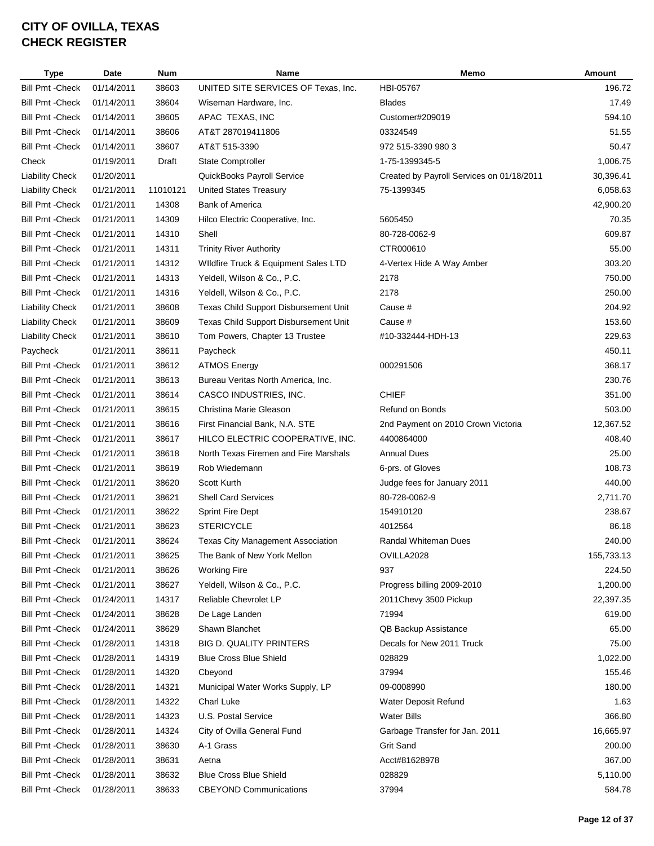| <b>Type</b>             | <b>Date</b>              | <b>Num</b>     | Name                                     | Memo                                      | Amount     |
|-------------------------|--------------------------|----------------|------------------------------------------|-------------------------------------------|------------|
| <b>Bill Pmt - Check</b> | 01/14/2011               | 38603          | UNITED SITE SERVICES OF Texas, Inc.      | HBI-05767                                 | 196.72     |
| <b>Bill Pmt - Check</b> | 01/14/2011               | 38604          | Wiseman Hardware, Inc.                   | <b>Blades</b>                             | 17.49      |
| <b>Bill Pmt - Check</b> | 01/14/2011               | 38605          | APAC TEXAS, INC                          | Customer#209019                           | 594.10     |
| <b>Bill Pmt - Check</b> | 01/14/2011               | 38606          | AT&T 287019411806                        | 03324549                                  | 51.55      |
| <b>Bill Pmt - Check</b> | 01/14/2011               | 38607          | AT&T 515-3390                            | 972 515-3390 980 3                        | 50.47      |
| Check                   | 01/19/2011               | Draft          | <b>State Comptroller</b>                 | 1-75-1399345-5                            | 1,006.75   |
| <b>Liability Check</b>  | 01/20/2011               |                | QuickBooks Payroll Service               | Created by Payroll Services on 01/18/2011 | 30,396.41  |
| <b>Liability Check</b>  | 01/21/2011               | 11010121       | <b>United States Treasury</b>            | 75-1399345                                | 6,058.63   |
| <b>Bill Pmt - Check</b> | 01/21/2011               | 14308          | <b>Bank of America</b>                   |                                           | 42,900.20  |
| <b>Bill Pmt - Check</b> | 01/21/2011               | 14309          | Hilco Electric Cooperative, Inc.         | 5605450                                   | 70.35      |
| <b>Bill Pmt - Check</b> | 01/21/2011               | 14310          | Shell                                    | 80-728-0062-9                             | 609.87     |
| <b>Bill Pmt - Check</b> | 01/21/2011               | 14311          | <b>Trinity River Authority</b>           | CTR000610                                 | 55.00      |
| <b>Bill Pmt - Check</b> | 01/21/2011               | 14312          | Wildfire Truck & Equipment Sales LTD     | 4-Vertex Hide A Way Amber                 | 303.20     |
| Bill Pmt - Check        | 01/21/2011               | 14313          | Yeldell, Wilson & Co., P.C.              | 2178                                      | 750.00     |
| <b>Bill Pmt - Check</b> | 01/21/2011               | 14316          | Yeldell, Wilson & Co., P.C.              | 2178                                      | 250.00     |
| <b>Liability Check</b>  | 01/21/2011               | 38608          | Texas Child Support Disbursement Unit    | Cause #                                   | 204.92     |
| <b>Liability Check</b>  | 01/21/2011               | 38609          | Texas Child Support Disbursement Unit    | Cause #                                   | 153.60     |
| <b>Liability Check</b>  | 01/21/2011               | 38610          | Tom Powers, Chapter 13 Trustee           | #10-332444-HDH-13                         | 229.63     |
| Paycheck                | 01/21/2011               | 38611          | Paycheck                                 |                                           | 450.11     |
| <b>Bill Pmt - Check</b> | 01/21/2011               | 38612          | <b>ATMOS Energy</b>                      | 000291506                                 | 368.17     |
| Bill Pmt - Check        | 01/21/2011               | 38613          | Bureau Veritas North America, Inc.       |                                           | 230.76     |
| <b>Bill Pmt - Check</b> | 01/21/2011               | 38614          | CASCO INDUSTRIES, INC.                   | <b>CHIEF</b>                              | 351.00     |
| <b>Bill Pmt - Check</b> | 01/21/2011               | 38615          | Christina Marie Gleason                  | Refund on Bonds                           | 503.00     |
| <b>Bill Pmt - Check</b> | 01/21/2011               | 38616          | First Financial Bank, N.A. STE           | 2nd Payment on 2010 Crown Victoria        | 12,367.52  |
| <b>Bill Pmt - Check</b> | 01/21/2011               | 38617          | HILCO ELECTRIC COOPERATIVE, INC.         | 4400864000                                | 408.40     |
| <b>Bill Pmt - Check</b> | 01/21/2011               | 38618          | North Texas Firemen and Fire Marshals    | <b>Annual Dues</b>                        | 25.00      |
| <b>Bill Pmt - Check</b> | 01/21/2011               | 38619          | Rob Wiedemann                            | 6-prs. of Gloves                          | 108.73     |
| <b>Bill Pmt - Check</b> | 01/21/2011               | 38620          | Scott Kurth                              | Judge fees for January 2011               | 440.00     |
| <b>Bill Pmt - Check</b> | 01/21/2011               | 38621          | Shell Card Services                      | 80-728-0062-9                             | 2,711.70   |
| <b>Bill Pmt - Check</b> | 01/21/2011               | 38622          | <b>Sprint Fire Dept</b>                  | 154910120                                 | 238.67     |
| <b>Bill Pmt - Check</b> | 01/21/2011               | 38623          | <b>STERICYCLE</b>                        | 4012564                                   | 86.18      |
| <b>Bill Pmt - Check</b> | 01/21/2011               | 38624          | <b>Texas City Management Association</b> | <b>Randal Whiteman Dues</b>               | 240.00     |
| <b>Bill Pmt - Check</b> | 01/21/2011               | 38625          | The Bank of New York Mellon              | OVILLA2028                                | 155,733.13 |
| <b>Bill Pmt - Check</b> | 01/21/2011               | 38626          | <b>Working Fire</b>                      | 937                                       | 224.50     |
| Bill Pmt - Check        | 01/21/2011               | 38627          | Yeldell, Wilson & Co., P.C.              | Progress billing 2009-2010                | 1,200.00   |
| <b>Bill Pmt - Check</b> | 01/24/2011               | 14317          | Reliable Chevrolet LP                    | 2011 Chevy 3500 Pickup                    | 22,397.35  |
| <b>Bill Pmt - Check</b> | 01/24/2011               | 38628          | De Lage Landen                           | 71994                                     | 619.00     |
| <b>Bill Pmt - Check</b> | 01/24/2011               | 38629          | Shawn Blanchet                           | QB Backup Assistance                      | 65.00      |
| <b>Bill Pmt - Check</b> | 01/28/2011               | 14318          | <b>BIG D. QUALITY PRINTERS</b>           | Decals for New 2011 Truck                 | 75.00      |
| <b>Bill Pmt - Check</b> | 01/28/2011               | 14319          | <b>Blue Cross Blue Shield</b>            | 028829                                    | 1,022.00   |
| <b>Bill Pmt - Check</b> | 01/28/2011               | 14320          | Cbeyond                                  | 37994                                     | 155.46     |
| <b>Bill Pmt - Check</b> | 01/28/2011               | 14321          | Municipal Water Works Supply, LP         | 09-0008990                                | 180.00     |
| <b>Bill Pmt - Check</b> |                          |                | Charl Luke                               |                                           | 1.63       |
| <b>Bill Pmt - Check</b> | 01/28/2011<br>01/28/2011 | 14322<br>14323 | U.S. Postal Service                      | Water Deposit Refund<br>Water Bills       | 366.80     |
|                         |                          |                |                                          |                                           |            |
| <b>Bill Pmt - Check</b> | 01/28/2011               | 14324          | City of Ovilla General Fund              | Garbage Transfer for Jan. 2011            | 16,665.97  |
| Bill Pmt - Check        | 01/28/2011               | 38630          | A-1 Grass                                | <b>Grit Sand</b>                          | 200.00     |
| <b>Bill Pmt - Check</b> | 01/28/2011               | 38631          | Aetna                                    | Acct#81628978                             | 367.00     |
| <b>Bill Pmt - Check</b> | 01/28/2011               | 38632          | <b>Blue Cross Blue Shield</b>            | 028829                                    | 5,110.00   |
| <b>Bill Pmt - Check</b> | 01/28/2011               | 38633          | <b>CBEYOND Communications</b>            | 37994                                     | 584.78     |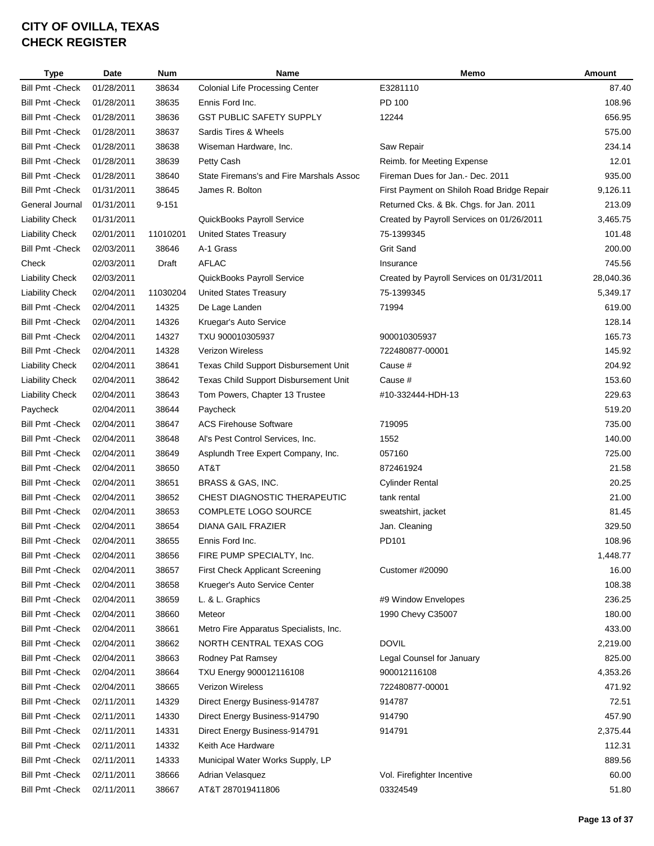| <b>Type</b>             | Date       | <b>Num</b> | <b>Name</b>                              | Memo                                       | Amount    |
|-------------------------|------------|------------|------------------------------------------|--------------------------------------------|-----------|
| <b>Bill Pmt - Check</b> | 01/28/2011 | 38634      | <b>Colonial Life Processing Center</b>   | E3281110                                   | 87.40     |
| <b>Bill Pmt - Check</b> | 01/28/2011 | 38635      | Ennis Ford Inc.                          | PD 100                                     | 108.96    |
| <b>Bill Pmt - Check</b> | 01/28/2011 | 38636      | <b>GST PUBLIC SAFETY SUPPLY</b>          | 12244                                      | 656.95    |
| <b>Bill Pmt - Check</b> | 01/28/2011 | 38637      | Sardis Tires & Wheels                    |                                            | 575.00    |
| <b>Bill Pmt - Check</b> | 01/28/2011 | 38638      | Wiseman Hardware, Inc.                   | Saw Repair                                 | 234.14    |
| <b>Bill Pmt - Check</b> | 01/28/2011 | 38639      | Petty Cash                               | Reimb. for Meeting Expense                 | 12.01     |
| <b>Bill Pmt - Check</b> | 01/28/2011 | 38640      | State Firemans's and Fire Marshals Assoc | Fireman Dues for Jan.- Dec. 2011           | 935.00    |
| <b>Bill Pmt - Check</b> | 01/31/2011 | 38645      | James R. Bolton                          | First Payment on Shiloh Road Bridge Repair | 9,126.11  |
| General Journal         | 01/31/2011 | $9 - 151$  |                                          | Returned Cks. & Bk. Chgs. for Jan. 2011    | 213.09    |
| <b>Liability Check</b>  | 01/31/2011 |            | QuickBooks Payroll Service               | Created by Payroll Services on 01/26/2011  | 3,465.75  |
| <b>Liability Check</b>  | 02/01/2011 | 11010201   | <b>United States Treasury</b>            | 75-1399345                                 | 101.48    |
| <b>Bill Pmt - Check</b> | 02/03/2011 | 38646      | A-1 Grass                                | <b>Grit Sand</b>                           | 200.00    |
| Check                   | 02/03/2011 | Draft      | <b>AFLAC</b>                             | Insurance                                  | 745.56    |
| <b>Liability Check</b>  | 02/03/2011 |            | QuickBooks Payroll Service               | Created by Payroll Services on 01/31/2011  | 28,040.36 |
| <b>Liability Check</b>  | 02/04/2011 | 11030204   | <b>United States Treasury</b>            | 75-1399345                                 | 5,349.17  |
| <b>Bill Pmt - Check</b> | 02/04/2011 | 14325      | De Lage Landen                           | 71994                                      | 619.00    |
| <b>Bill Pmt - Check</b> | 02/04/2011 | 14326      | Kruegar's Auto Service                   |                                            | 128.14    |
| <b>Bill Pmt - Check</b> | 02/04/2011 | 14327      | TXU 900010305937                         | 900010305937                               | 165.73    |
| <b>Bill Pmt - Check</b> | 02/04/2011 | 14328      | <b>Verizon Wireless</b>                  | 722480877-00001                            | 145.92    |
| <b>Liability Check</b>  | 02/04/2011 | 38641      | Texas Child Support Disbursement Unit    | Cause #                                    | 204.92    |
| <b>Liability Check</b>  | 02/04/2011 | 38642      | Texas Child Support Disbursement Unit    | Cause #                                    | 153.60    |
| <b>Liability Check</b>  | 02/04/2011 | 38643      | Tom Powers, Chapter 13 Trustee           | #10-332444-HDH-13                          | 229.63    |
| Paycheck                | 02/04/2011 | 38644      | Paycheck                                 |                                            | 519.20    |
| <b>Bill Pmt - Check</b> | 02/04/2011 | 38647      | <b>ACS Firehouse Software</b>            | 719095                                     | 735.00    |
| <b>Bill Pmt - Check</b> | 02/04/2011 | 38648      | Al's Pest Control Services, Inc.         | 1552                                       | 140.00    |
| <b>Bill Pmt - Check</b> | 02/04/2011 | 38649      | Asplundh Tree Expert Company, Inc.       | 057160                                     | 725.00    |
| <b>Bill Pmt - Check</b> | 02/04/2011 | 38650      | AT&T                                     | 872461924                                  | 21.58     |
| <b>Bill Pmt - Check</b> | 02/04/2011 | 38651      | BRASS & GAS, INC.                        | Cylinder Rental                            | 20.25     |
| <b>Bill Pmt - Check</b> | 02/04/2011 | 38652      | CHEST DIAGNOSTIC THERAPEUTIC             | tank rental                                | 21.00     |
| <b>Bill Pmt - Check</b> | 02/04/2011 | 38653      | COMPLETE LOGO SOURCE                     | sweatshirt, jacket                         | 81.45     |
| <b>Bill Pmt - Check</b> | 02/04/2011 | 38654      | DIANA GAIL FRAZIER                       | Jan. Cleaning                              | 329.50    |
| <b>Bill Pmt - Check</b> | 02/04/2011 | 38655      | Ennis Ford Inc.                          | PD101                                      | 108.96    |
| <b>Bill Pmt - Check</b> | 02/04/2011 | 38656      | FIRE PUMP SPECIALTY, Inc.                |                                            | 1,448.77  |
| <b>Bill Pmt - Check</b> | 02/04/2011 | 38657      | <b>First Check Applicant Screening</b>   | Customer #20090                            | 16.00     |
| <b>Bill Pmt - Check</b> | 02/04/2011 | 38658      | Krueger's Auto Service Center            |                                            | 108.38    |
| <b>Bill Pmt - Check</b> | 02/04/2011 | 38659      | L. & L. Graphics                         | #9 Window Envelopes                        | 236.25    |
| <b>Bill Pmt - Check</b> | 02/04/2011 | 38660      | Meteor                                   | 1990 Chevy C35007                          | 180.00    |
| <b>Bill Pmt - Check</b> | 02/04/2011 | 38661      | Metro Fire Apparatus Specialists, Inc.   |                                            | 433.00    |
| <b>Bill Pmt - Check</b> | 02/04/2011 | 38662      | NORTH CENTRAL TEXAS COG                  | <b>DOVIL</b>                               | 2,219.00  |
| <b>Bill Pmt - Check</b> | 02/04/2011 | 38663      | Rodney Pat Ramsey                        | Legal Counsel for January                  | 825.00    |
| <b>Bill Pmt - Check</b> | 02/04/2011 | 38664      | TXU Energy 900012116108                  | 900012116108                               | 4,353.26  |
| <b>Bill Pmt - Check</b> | 02/04/2011 | 38665      | Verizon Wireless                         | 722480877-00001                            | 471.92    |
| <b>Bill Pmt - Check</b> | 02/11/2011 | 14329      | Direct Energy Business-914787            | 914787                                     | 72.51     |
| <b>Bill Pmt - Check</b> | 02/11/2011 | 14330      | Direct Energy Business-914790            | 914790                                     | 457.90    |
| <b>Bill Pmt - Check</b> | 02/11/2011 | 14331      | Direct Energy Business-914791            | 914791                                     | 2,375.44  |
| <b>Bill Pmt - Check</b> | 02/11/2011 | 14332      | Keith Ace Hardware                       |                                            | 112.31    |
| <b>Bill Pmt - Check</b> | 02/11/2011 | 14333      | Municipal Water Works Supply, LP         |                                            | 889.56    |
| <b>Bill Pmt - Check</b> | 02/11/2011 | 38666      | Adrian Velasquez                         | Vol. Firefighter Incentive                 | 60.00     |
| <b>Bill Pmt - Check</b> | 02/11/2011 | 38667      | AT&T 287019411806                        | 03324549                                   | 51.80     |
|                         |            |            |                                          |                                            |           |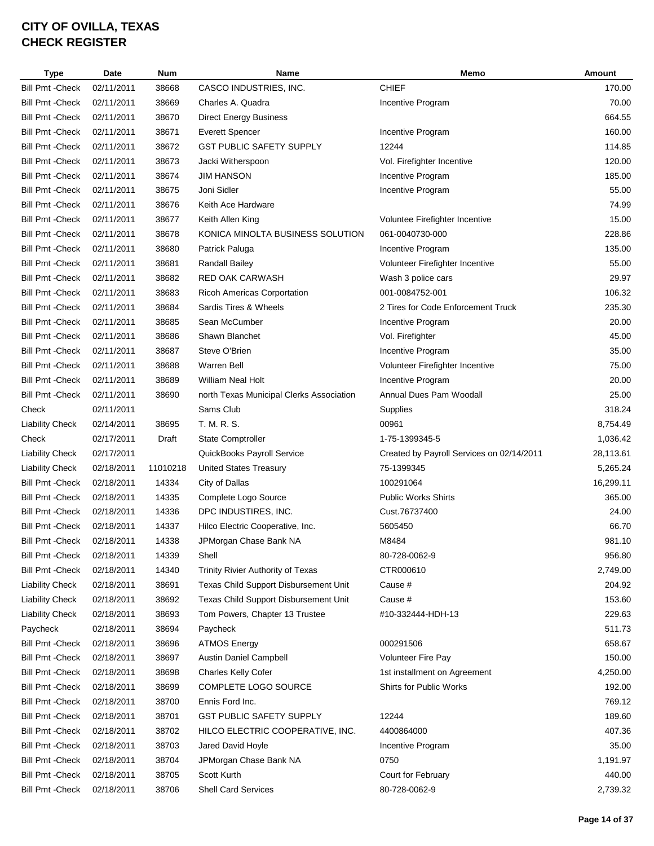| <b>Type</b>             | Date       | <b>Num</b> | Name                                     | Memo                                      | Amount    |
|-------------------------|------------|------------|------------------------------------------|-------------------------------------------|-----------|
| <b>Bill Pmt - Check</b> | 02/11/2011 | 38668      | CASCO INDUSTRIES, INC.                   | <b>CHIEF</b>                              | 170.00    |
| <b>Bill Pmt - Check</b> | 02/11/2011 | 38669      | Charles A. Quadra                        | Incentive Program                         | 70.00     |
| <b>Bill Pmt - Check</b> | 02/11/2011 | 38670      | <b>Direct Energy Business</b>            |                                           | 664.55    |
| <b>Bill Pmt - Check</b> | 02/11/2011 | 38671      | <b>Everett Spencer</b>                   | Incentive Program                         | 160.00    |
| <b>Bill Pmt - Check</b> | 02/11/2011 | 38672      | <b>GST PUBLIC SAFETY SUPPLY</b>          | 12244                                     | 114.85    |
| <b>Bill Pmt - Check</b> | 02/11/2011 | 38673      | Jacki Witherspoon                        | Vol. Firefighter Incentive                | 120.00    |
| <b>Bill Pmt - Check</b> | 02/11/2011 | 38674      | <b>JIM HANSON</b>                        | Incentive Program                         | 185.00    |
| <b>Bill Pmt - Check</b> | 02/11/2011 | 38675      | Joni Sidler                              | Incentive Program                         | 55.00     |
| <b>Bill Pmt - Check</b> | 02/11/2011 | 38676      | Keith Ace Hardware                       |                                           | 74.99     |
| <b>Bill Pmt - Check</b> | 02/11/2011 | 38677      | Keith Allen King                         | Voluntee Firefighter Incentive            | 15.00     |
| <b>Bill Pmt - Check</b> | 02/11/2011 | 38678      | KONICA MINOLTA BUSINESS SOLUTION         | 061-0040730-000                           | 228.86    |
| <b>Bill Pmt - Check</b> | 02/11/2011 | 38680      | Patrick Paluga                           | Incentive Program                         | 135.00    |
| <b>Bill Pmt - Check</b> | 02/11/2011 | 38681      | <b>Randall Bailey</b>                    | Volunteer Firefighter Incentive           | 55.00     |
| <b>Bill Pmt - Check</b> | 02/11/2011 | 38682      | <b>RED OAK CARWASH</b>                   | Wash 3 police cars                        | 29.97     |
| <b>Bill Pmt - Check</b> | 02/11/2011 | 38683      | <b>Ricoh Americas Corportation</b>       | 001-0084752-001                           | 106.32    |
| <b>Bill Pmt - Check</b> | 02/11/2011 | 38684      | Sardis Tires & Wheels                    | 2 Tires for Code Enforcement Truck        | 235.30    |
| <b>Bill Pmt - Check</b> | 02/11/2011 | 38685      | Sean McCumber                            | Incentive Program                         | 20.00     |
| <b>Bill Pmt - Check</b> | 02/11/2011 | 38686      | Shawn Blanchet                           | Vol. Firefighter                          | 45.00     |
| <b>Bill Pmt - Check</b> | 02/11/2011 | 38687      | Steve O'Brien                            | Incentive Program                         | 35.00     |
| <b>Bill Pmt - Check</b> | 02/11/2011 | 38688      | <b>Warren Bell</b>                       | Volunteer Firefighter Incentive           | 75.00     |
| <b>Bill Pmt - Check</b> | 02/11/2011 | 38689      | <b>William Neal Holt</b>                 | Incentive Program                         | 20.00     |
| <b>Bill Pmt - Check</b> | 02/11/2011 | 38690      | north Texas Municipal Clerks Association | Annual Dues Pam Woodall                   | 25.00     |
| Check                   | 02/11/2011 |            | Sams Club                                | Supplies                                  | 318.24    |
| <b>Liability Check</b>  | 02/14/2011 | 38695      | T. M. R. S.                              | 00961                                     | 8,754.49  |
| Check                   | 02/17/2011 | Draft      | State Comptroller                        | 1-75-1399345-5                            | 1,036.42  |
| <b>Liability Check</b>  | 02/17/2011 |            | QuickBooks Payroll Service               | Created by Payroll Services on 02/14/2011 | 28,113.61 |
| <b>Liability Check</b>  | 02/18/2011 | 11010218   | <b>United States Treasury</b>            | 75-1399345                                | 5,265.24  |
| <b>Bill Pmt - Check</b> | 02/18/2011 | 14334      | City of Dallas                           | 100291064                                 | 16,299.11 |
| <b>Bill Pmt - Check</b> | 02/18/2011 | 14335      | Complete Logo Source                     | <b>Public Works Shirts</b>                | 365.00    |
| <b>Bill Pmt - Check</b> | 02/18/2011 | 14336      | DPC INDUSTIRES, INC.                     | Cust.76737400                             | 24.00     |
| <b>Bill Pmt - Check</b> | 02/18/2011 | 14337      | Hilco Electric Cooperative, Inc.         | 5605450                                   | 66.70     |
| <b>Bill Pmt - Check</b> | 02/18/2011 | 14338      | JPMorgan Chase Bank NA                   | M8484                                     | 981.10    |
| <b>Bill Pmt - Check</b> | 02/18/2011 | 14339      | Shell                                    | 80-728-0062-9                             | 956.80    |
| <b>Bill Pmt - Check</b> | 02/18/2011 | 14340      | Trinity Rivier Authority of Texas        | CTR000610                                 | 2,749.00  |
| <b>Liability Check</b>  | 02/18/2011 | 38691      | Texas Child Support Disbursement Unit    | Cause #                                   | 204.92    |
| <b>Liability Check</b>  | 02/18/2011 | 38692      | Texas Child Support Disbursement Unit    | Cause #                                   | 153.60    |
| <b>Liability Check</b>  | 02/18/2011 | 38693      | Tom Powers, Chapter 13 Trustee           | #10-332444-HDH-13                         | 229.63    |
| Paycheck                | 02/18/2011 | 38694      | Paycheck                                 |                                           | 511.73    |
| <b>Bill Pmt - Check</b> | 02/18/2011 | 38696      | <b>ATMOS Energy</b>                      | 000291506                                 | 658.67    |
| <b>Bill Pmt - Check</b> | 02/18/2011 | 38697      | Austin Daniel Campbell                   | <b>Volunteer Fire Pay</b>                 | 150.00    |
| <b>Bill Pmt - Check</b> | 02/18/2011 | 38698      | Charles Kelly Cofer                      | 1st installment on Agreement              | 4,250.00  |
| <b>Bill Pmt - Check</b> | 02/18/2011 | 38699      | COMPLETE LOGO SOURCE                     | Shirts for Public Works                   | 192.00    |
| <b>Bill Pmt - Check</b> | 02/18/2011 | 38700      | Ennis Ford Inc.                          |                                           | 769.12    |
| <b>Bill Pmt - Check</b> | 02/18/2011 | 38701      | <b>GST PUBLIC SAFETY SUPPLY</b>          | 12244                                     | 189.60    |
| <b>Bill Pmt - Check</b> | 02/18/2011 | 38702      | HILCO ELECTRIC COOPERATIVE, INC.         | 4400864000                                | 407.36    |
| <b>Bill Pmt - Check</b> | 02/18/2011 | 38703      | Jared David Hoyle                        | Incentive Program                         | 35.00     |
| <b>Bill Pmt - Check</b> | 02/18/2011 | 38704      | JPMorgan Chase Bank NA                   | 0750                                      | 1,191.97  |
| <b>Bill Pmt - Check</b> | 02/18/2011 | 38705      | Scott Kurth                              | Court for February                        | 440.00    |
| <b>Bill Pmt - Check</b> | 02/18/2011 | 38706      | Shell Card Services                      | 80-728-0062-9                             | 2,739.32  |
|                         |            |            |                                          |                                           |           |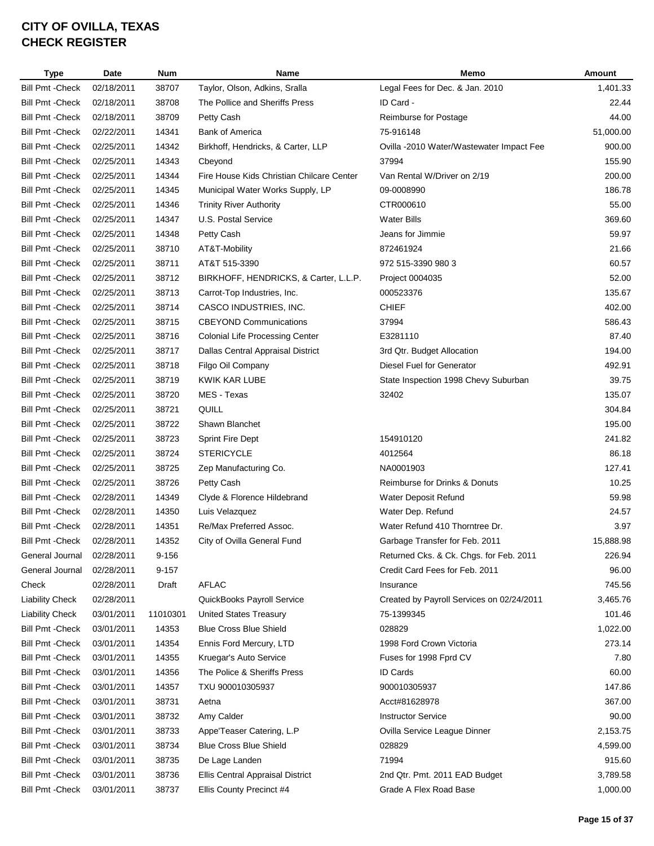| <b>Type</b>             | Date       | <b>Num</b> | Name                                      | Memo                                      | Amount    |
|-------------------------|------------|------------|-------------------------------------------|-------------------------------------------|-----------|
| <b>Bill Pmt - Check</b> | 02/18/2011 | 38707      | Taylor, Olson, Adkins, Sralla             | Legal Fees for Dec. & Jan. 2010           | 1,401.33  |
| <b>Bill Pmt - Check</b> | 02/18/2011 | 38708      | The Pollice and Sheriffs Press            | ID Card -                                 | 22.44     |
| <b>Bill Pmt - Check</b> | 02/18/2011 | 38709      | Petty Cash                                | Reimburse for Postage                     | 44.00     |
| <b>Bill Pmt - Check</b> | 02/22/2011 | 14341      | <b>Bank of America</b>                    | 75-916148                                 | 51,000.00 |
| <b>Bill Pmt - Check</b> | 02/25/2011 | 14342      | Birkhoff, Hendricks, & Carter, LLP        | Ovilla -2010 Water/Wastewater Impact Fee  | 900.00    |
| <b>Bill Pmt - Check</b> | 02/25/2011 | 14343      | Cbeyond                                   | 37994                                     | 155.90    |
| <b>Bill Pmt - Check</b> | 02/25/2011 | 14344      | Fire House Kids Christian Chilcare Center | Van Rental W/Driver on 2/19               | 200.00    |
| <b>Bill Pmt - Check</b> | 02/25/2011 | 14345      | Municipal Water Works Supply, LP          | 09-0008990                                | 186.78    |
| <b>Bill Pmt - Check</b> | 02/25/2011 | 14346      | <b>Trinity River Authority</b>            | CTR000610                                 | 55.00     |
| <b>Bill Pmt - Check</b> | 02/25/2011 | 14347      | U.S. Postal Service                       | <b>Water Bills</b>                        | 369.60    |
| <b>Bill Pmt - Check</b> | 02/25/2011 | 14348      | Petty Cash                                | Jeans for Jimmie                          | 59.97     |
| <b>Bill Pmt - Check</b> | 02/25/2011 | 38710      | AT&T-Mobility                             | 872461924                                 | 21.66     |
| <b>Bill Pmt - Check</b> | 02/25/2011 | 38711      | AT&T 515-3390                             | 972 515-3390 980 3                        | 60.57     |
| <b>Bill Pmt - Check</b> | 02/25/2011 | 38712      | BIRKHOFF, HENDRICKS, & Carter, L.L.P.     | Project 0004035                           | 52.00     |
| <b>Bill Pmt - Check</b> | 02/25/2011 | 38713      | Carrot-Top Industries, Inc.               | 000523376                                 | 135.67    |
| <b>Bill Pmt - Check</b> | 02/25/2011 | 38714      | CASCO INDUSTRIES, INC.                    | <b>CHIEF</b>                              | 402.00    |
| <b>Bill Pmt - Check</b> | 02/25/2011 | 38715      | <b>CBEYOND Communications</b>             | 37994                                     | 586.43    |
| <b>Bill Pmt - Check</b> | 02/25/2011 | 38716      | <b>Colonial Life Processing Center</b>    | E3281110                                  | 87.40     |
| <b>Bill Pmt - Check</b> | 02/25/2011 | 38717      | Dallas Central Appraisal District         | 3rd Qtr. Budget Allocation                | 194.00    |
| <b>Bill Pmt - Check</b> | 02/25/2011 | 38718      | Filgo Oil Company                         | Diesel Fuel for Generator                 | 492.91    |
| <b>Bill Pmt - Check</b> | 02/25/2011 | 38719      | KWIK KAR LUBE                             | State Inspection 1998 Chevy Suburban      | 39.75     |
| <b>Bill Pmt - Check</b> | 02/25/2011 | 38720      | MES - Texas                               | 32402                                     | 135.07    |
| <b>Bill Pmt - Check</b> | 02/25/2011 | 38721      | QUILL                                     |                                           | 304.84    |
| <b>Bill Pmt - Check</b> | 02/25/2011 | 38722      | Shawn Blanchet                            |                                           | 195.00    |
| <b>Bill Pmt - Check</b> | 02/25/2011 | 38723      | Sprint Fire Dept                          | 154910120                                 | 241.82    |
| <b>Bill Pmt - Check</b> | 02/25/2011 | 38724      | <b>STERICYCLE</b>                         | 4012564                                   | 86.18     |
| <b>Bill Pmt - Check</b> | 02/25/2011 | 38725      | Zep Manufacturing Co.                     | NA0001903                                 | 127.41    |
| <b>Bill Pmt - Check</b> | 02/25/2011 | 38726      | Petty Cash                                | Reimburse for Drinks & Donuts             | 10.25     |
| <b>Bill Pmt - Check</b> | 02/28/2011 | 14349      | Clyde & Florence Hildebrand               | Water Deposit Refund                      | 59.98     |
| <b>Bill Pmt - Check</b> | 02/28/2011 | 14350      | Luis Velazquez                            | Water Dep. Refund                         | 24.57     |
| <b>Bill Pmt - Check</b> | 02/28/2011 | 14351      | Re/Max Preferred Assoc.                   | Water Refund 410 Thorntree Dr.            | 3.97      |
| <b>Bill Pmt - Check</b> | 02/28/2011 | 14352      |                                           |                                           | 15,888.98 |
|                         |            |            | City of Ovilla General Fund               | Garbage Transfer for Feb. 2011            |           |
| General Journal         | 02/28/2011 | $9 - 156$  |                                           | Returned Cks. & Ck. Chgs. for Feb. 2011   | 226.94    |
| General Journal         | 02/28/2011 | $9 - 157$  |                                           | Credit Card Fees for Feb. 2011            | 96.00     |
| Check                   | 02/28/2011 | Draft      | <b>AFLAC</b>                              | Insurance                                 | 745.56    |
| <b>Liability Check</b>  | 02/28/2011 |            | QuickBooks Payroll Service                | Created by Payroll Services on 02/24/2011 | 3,465.76  |
| <b>Liability Check</b>  | 03/01/2011 | 11010301   | <b>United States Treasury</b>             | 75-1399345                                | 101.46    |
| <b>Bill Pmt - Check</b> | 03/01/2011 | 14353      | <b>Blue Cross Blue Shield</b>             | 028829                                    | 1,022.00  |
| <b>Bill Pmt - Check</b> | 03/01/2011 | 14354      | Ennis Ford Mercury, LTD                   | 1998 Ford Crown Victoria                  | 273.14    |
| <b>Bill Pmt - Check</b> | 03/01/2011 | 14355      | Kruegar's Auto Service                    | Fuses for 1998 Fprd CV                    | 7.80      |
| <b>Bill Pmt - Check</b> | 03/01/2011 | 14356      | The Police & Sheriffs Press               | <b>ID Cards</b>                           | 60.00     |
| <b>Bill Pmt - Check</b> | 03/01/2011 | 14357      | TXU 900010305937                          | 900010305937                              | 147.86    |
| <b>Bill Pmt - Check</b> | 03/01/2011 | 38731      | Aetna                                     | Acct#81628978                             | 367.00    |
| <b>Bill Pmt - Check</b> | 03/01/2011 | 38732      | Amy Calder                                | <b>Instructor Service</b>                 | 90.00     |
| <b>Bill Pmt - Check</b> | 03/01/2011 | 38733      | Appe'Teaser Catering, L.P                 | Ovilla Service League Dinner              | 2,153.75  |
| <b>Bill Pmt - Check</b> | 03/01/2011 | 38734      | <b>Blue Cross Blue Shield</b>             | 028829                                    | 4,599.00  |
| <b>Bill Pmt - Check</b> | 03/01/2011 | 38735      | De Lage Landen                            | 71994                                     | 915.60    |
| <b>Bill Pmt - Check</b> | 03/01/2011 | 38736      | Ellis Central Appraisal District          | 2nd Qtr. Pmt. 2011 EAD Budget             | 3,789.58  |
| <b>Bill Pmt - Check</b> | 03/01/2011 | 38737      | Ellis County Precinct #4                  | Grade A Flex Road Base                    | 1,000.00  |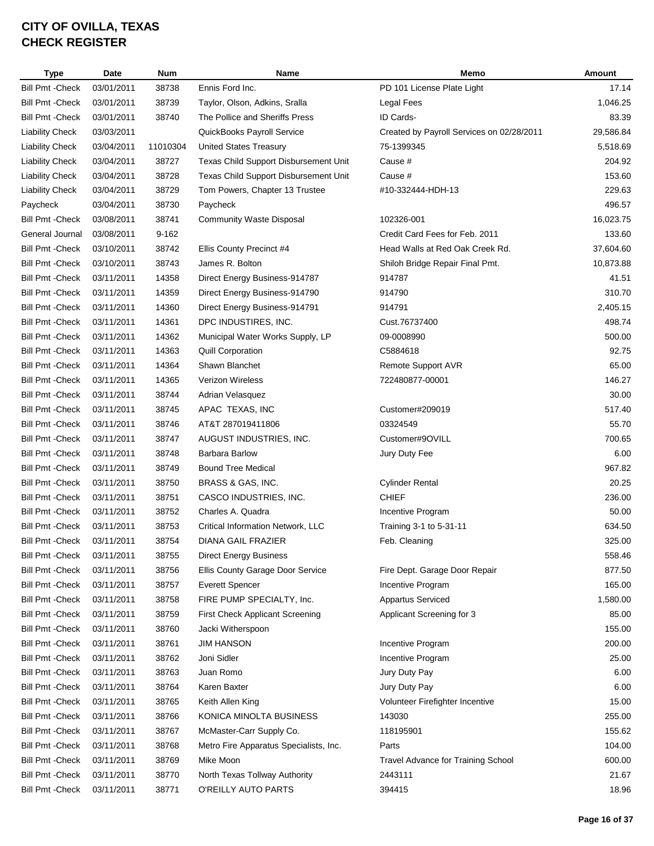| <b>Type</b>             | Date       | Num       | Name                                   | Memo                                      | <b>Amount</b> |
|-------------------------|------------|-----------|----------------------------------------|-------------------------------------------|---------------|
| <b>Bill Pmt - Check</b> | 03/01/2011 | 38738     | Ennis Ford Inc.                        | PD 101 License Plate Light                | 17.14         |
| <b>Bill Pmt - Check</b> | 03/01/2011 | 38739     | Taylor, Olson, Adkins, Sralla          | Legal Fees                                | 1,046.25      |
| <b>Bill Pmt - Check</b> | 03/01/2011 | 38740     | The Pollice and Sheriffs Press         | ID Cards-                                 | 83.39         |
| <b>Liability Check</b>  | 03/03/2011 |           | QuickBooks Payroll Service             | Created by Payroll Services on 02/28/2011 | 29,586.84     |
| <b>Liability Check</b>  | 03/04/2011 | 11010304  | <b>United States Treasury</b>          | 75-1399345                                | 5,518.69      |
| <b>Liability Check</b>  | 03/04/2011 | 38727     | Texas Child Support Disbursement Unit  | Cause #                                   | 204.92        |
| <b>Liability Check</b>  | 03/04/2011 | 38728     | Texas Child Support Disbursement Unit  | Cause #                                   | 153.60        |
| <b>Liability Check</b>  | 03/04/2011 | 38729     | Tom Powers, Chapter 13 Trustee         | #10-332444-HDH-13                         | 229.63        |
| Paycheck                | 03/04/2011 | 38730     | Paycheck                               |                                           | 496.57        |
| <b>Bill Pmt - Check</b> | 03/08/2011 | 38741     | <b>Community Waste Disposal</b>        | 102326-001                                | 16,023.75     |
| General Journal         | 03/08/2011 | $9 - 162$ |                                        | Credit Card Fees for Feb. 2011            | 133.60        |
| <b>Bill Pmt - Check</b> | 03/10/2011 | 38742     | Ellis County Precinct #4               | Head Walls at Red Oak Creek Rd.           | 37,604.60     |
| <b>Bill Pmt - Check</b> | 03/10/2011 | 38743     | James R. Bolton                        | Shiloh Bridge Repair Final Pmt.           | 10,873.88     |
| <b>Bill Pmt - Check</b> | 03/11/2011 | 14358     | Direct Energy Business-914787          | 914787                                    | 41.51         |
| <b>Bill Pmt - Check</b> | 03/11/2011 | 14359     | Direct Energy Business-914790          | 914790                                    | 310.70        |
| <b>Bill Pmt - Check</b> | 03/11/2011 | 14360     | Direct Energy Business-914791          | 914791                                    | 2,405.15      |
| <b>Bill Pmt - Check</b> | 03/11/2011 | 14361     | DPC INDUSTIRES, INC.                   | Cust.76737400                             | 498.74        |
| <b>Bill Pmt - Check</b> | 03/11/2011 | 14362     | Municipal Water Works Supply, LP       | 09-0008990                                | 500.00        |
| <b>Bill Pmt - Check</b> | 03/11/2011 | 14363     | <b>Quill Corporation</b>               | C5884618                                  | 92.75         |
| <b>Bill Pmt - Check</b> | 03/11/2011 | 14364     | Shawn Blanchet                         | Remote Support AVR                        | 65.00         |
| <b>Bill Pmt - Check</b> | 03/11/2011 | 14365     | Verizon Wireless                       | 722480877-00001                           | 146.27        |
| <b>Bill Pmt - Check</b> | 03/11/2011 | 38744     | Adrian Velasquez                       |                                           | 30.00         |
| <b>Bill Pmt - Check</b> | 03/11/2011 | 38745     | APAC TEXAS, INC                        | Customer#209019                           | 517.40        |
| <b>Bill Pmt - Check</b> | 03/11/2011 | 38746     | AT&T 287019411806                      | 03324549                                  | 55.70         |
| <b>Bill Pmt - Check</b> | 03/11/2011 | 38747     | AUGUST INDUSTRIES, INC.                | Customer#9OVILL                           | 700.65        |
| <b>Bill Pmt - Check</b> | 03/11/2011 | 38748     | <b>Barbara Barlow</b>                  | Jury Duty Fee                             | 6.00          |
| <b>Bill Pmt - Check</b> | 03/11/2011 | 38749     | <b>Bound Tree Medical</b>              |                                           | 967.82        |
| <b>Bill Pmt - Check</b> | 03/11/2011 | 38750     | BRASS & GAS, INC.                      | <b>Cylinder Rental</b>                    | 20.25         |
| <b>Bill Pmt - Check</b> | 03/11/2011 | 38751     | CASCO INDUSTRIES, INC.                 | <b>CHIEF</b>                              | 236.00        |
| <b>Bill Pmt - Check</b> | 03/11/2011 | 38752     | Charles A. Quadra                      | Incentive Program                         | 50.00         |
| <b>Bill Pmt - Check</b> | 03/11/2011 | 38753     | Critical Information Network, LLC      | Training 3-1 to 5-31-11                   | 634.50        |
| <b>Bill Pmt - Check</b> | 03/11/2011 | 38754     | DIANA GAIL FRAZIER                     | Feb. Cleaning                             | 325.00        |
| <b>Bill Pmt - Check</b> | 03/11/2011 | 38755     | <b>Direct Energy Business</b>          |                                           | 558.46        |
| <b>Bill Pmt - Check</b> | 03/11/2011 | 38756     | Ellis County Garage Door Service       | Fire Dept. Garage Door Repair             | 877.50        |
| <b>Bill Pmt - Check</b> | 03/11/2011 | 38757     | <b>Everett Spencer</b>                 | Incentive Program                         | 165.00        |
| <b>Bill Pmt - Check</b> | 03/11/2011 | 38758     | FIRE PUMP SPECIALTY, Inc.              | <b>Appartus Serviced</b>                  | 1,580.00      |
| <b>Bill Pmt - Check</b> | 03/11/2011 | 38759     | <b>First Check Applicant Screening</b> | Applicant Screening for 3                 | 85.00         |
| <b>Bill Pmt - Check</b> | 03/11/2011 | 38760     | Jacki Witherspoon                      |                                           | 155.00        |
| <b>Bill Pmt - Check</b> | 03/11/2011 | 38761     | <b>JIM HANSON</b>                      | Incentive Program                         | 200.00        |
| <b>Bill Pmt - Check</b> | 03/11/2011 | 38762     | Joni Sidler                            | Incentive Program                         | 25.00         |
| <b>Bill Pmt - Check</b> | 03/11/2011 | 38763     | Juan Romo                              | Jury Duty Pay                             | 6.00          |
| <b>Bill Pmt - Check</b> | 03/11/2011 | 38764     | Karen Baxter                           | Jury Duty Pay                             | 6.00          |
| <b>Bill Pmt - Check</b> | 03/11/2011 | 38765     | Keith Allen King                       | Volunteer Firefighter Incentive           | 15.00         |
| <b>Bill Pmt - Check</b> | 03/11/2011 | 38766     | KONICA MINOLTA BUSINESS                | 143030                                    | 255.00        |
| <b>Bill Pmt - Check</b> | 03/11/2011 | 38767     | McMaster-Carr Supply Co.               | 118195901                                 | 155.62        |
| <b>Bill Pmt - Check</b> | 03/11/2011 | 38768     | Metro Fire Apparatus Specialists, Inc. | Parts                                     | 104.00        |
| <b>Bill Pmt - Check</b> | 03/11/2011 | 38769     | Mike Moon                              | <b>Travel Advance for Training School</b> | 600.00        |
| <b>Bill Pmt - Check</b> | 03/11/2011 | 38770     | North Texas Tollway Authority          | 2443111                                   | 21.67         |
| <b>Bill Pmt - Check</b> | 03/11/2011 | 38771     | O'REILLY AUTO PARTS                    | 394415                                    | 18.96         |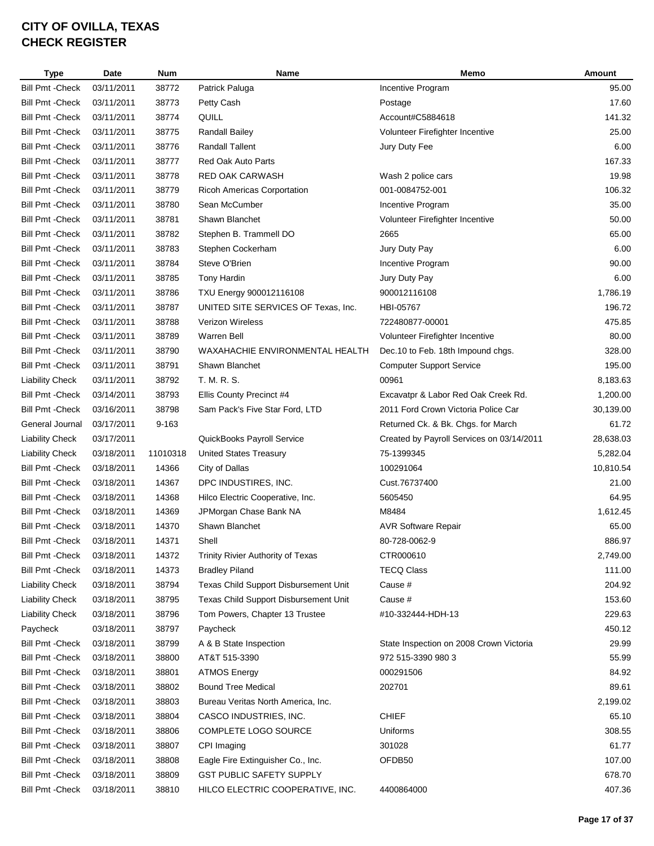| <b>Type</b>                                        | Date       | <b>Num</b> | Name                                  | Memo                                      | Amount          |
|----------------------------------------------------|------------|------------|---------------------------------------|-------------------------------------------|-----------------|
| <b>Bill Pmt - Check</b>                            | 03/11/2011 | 38772      | Patrick Paluga                        | Incentive Program                         | 95.00           |
| <b>Bill Pmt - Check</b>                            | 03/11/2011 | 38773      | Petty Cash                            | Postage                                   | 17.60           |
| <b>Bill Pmt - Check</b>                            | 03/11/2011 | 38774      | QUILL                                 | Account#C5884618                          | 141.32          |
| <b>Bill Pmt - Check</b>                            | 03/11/2011 | 38775      | Randall Bailey                        | Volunteer Firefighter Incentive           | 25.00           |
| <b>Bill Pmt - Check</b>                            | 03/11/2011 | 38776      | <b>Randall Tallent</b>                | Jury Duty Fee                             | 6.00            |
| <b>Bill Pmt - Check</b>                            | 03/11/2011 | 38777      | <b>Red Oak Auto Parts</b>             |                                           | 167.33          |
| <b>Bill Pmt - Check</b>                            | 03/11/2011 | 38778      | <b>RED OAK CARWASH</b>                | Wash 2 police cars                        | 19.98           |
| <b>Bill Pmt - Check</b>                            | 03/11/2011 | 38779      | <b>Ricoh Americas Corportation</b>    | 001-0084752-001                           | 106.32          |
| <b>Bill Pmt - Check</b>                            | 03/11/2011 | 38780      | Sean McCumber                         | Incentive Program                         | 35.00           |
| <b>Bill Pmt - Check</b>                            | 03/11/2011 | 38781      | Shawn Blanchet                        | Volunteer Firefighter Incentive           | 50.00           |
| <b>Bill Pmt - Check</b>                            | 03/11/2011 | 38782      | Stephen B. Trammell DO                | 2665                                      | 65.00           |
| <b>Bill Pmt - Check</b>                            | 03/11/2011 | 38783      | Stephen Cockerham                     | Jury Duty Pay                             | 6.00            |
| <b>Bill Pmt - Check</b>                            | 03/11/2011 | 38784      | Steve O'Brien                         | Incentive Program                         | 90.00           |
| <b>Bill Pmt - Check</b>                            | 03/11/2011 | 38785      | Tony Hardin                           | Jury Duty Pay                             | 6.00            |
| <b>Bill Pmt - Check</b>                            | 03/11/2011 | 38786      | TXU Energy 900012116108               | 900012116108                              | 1,786.19        |
| <b>Bill Pmt - Check</b>                            | 03/11/2011 | 38787      | UNITED SITE SERVICES OF Texas, Inc.   | HBI-05767                                 | 196.72          |
| <b>Bill Pmt - Check</b>                            | 03/11/2011 | 38788      | <b>Verizon Wireless</b>               | 722480877-00001                           | 475.85          |
| <b>Bill Pmt - Check</b>                            | 03/11/2011 | 38789      | <b>Warren Bell</b>                    | Volunteer Firefighter Incentive           | 80.00           |
| <b>Bill Pmt - Check</b>                            | 03/11/2011 | 38790      | WAXAHACHIE ENVIRONMENTAL HEALTH       | Dec. 10 to Feb. 18th Impound chgs.        | 328.00          |
| <b>Bill Pmt - Check</b>                            | 03/11/2011 | 38791      | Shawn Blanchet                        | <b>Computer Support Service</b>           | 195.00          |
| <b>Liability Check</b>                             | 03/11/2011 | 38792      | T. M. R. S.                           | 00961                                     | 8,183.63        |
| <b>Bill Pmt - Check</b>                            | 03/14/2011 | 38793      | Ellis County Precinct #4              | Excavatpr & Labor Red Oak Creek Rd.       | 1,200.00        |
| <b>Bill Pmt - Check</b>                            | 03/16/2011 | 38798      | Sam Pack's Five Star Ford, LTD        | 2011 Ford Crown Victoria Police Car       | 30,139.00       |
| General Journal                                    | 03/17/2011 | 9-163      |                                       | Returned Ck. & Bk. Chgs. for March        | 61.72           |
| <b>Liability Check</b>                             | 03/17/2011 |            | QuickBooks Payroll Service            | Created by Payroll Services on 03/14/2011 | 28,638.03       |
| <b>Liability Check</b>                             | 03/18/2011 | 11010318   | <b>United States Treasury</b>         | 75-1399345                                | 5,282.04        |
| <b>Bill Pmt - Check</b>                            | 03/18/2011 | 14366      | City of Dallas                        | 100291064                                 | 10,810.54       |
| <b>Bill Pmt - Check</b>                            | 03/18/2011 | 14367      | DPC INDUSTIRES, INC.                  | Cust.76737400                             | 21.00           |
| <b>Bill Pmt - Check</b>                            | 03/18/2011 | 14368      | Hilco Electric Cooperative, Inc.      | 5605450                                   | 64.95           |
| <b>Bill Pmt - Check</b>                            | 03/18/2011 | 14369      | JPMorgan Chase Bank NA                | M8484                                     | 1,612.45        |
| <b>Bill Pmt - Check</b>                            | 03/18/2011 | 14370      | Shawn Blanchet                        | <b>AVR Software Repair</b>                | 65.00           |
| <b>Bill Pmt - Check</b>                            | 03/18/2011 | 14371      | Shell                                 | 80-728-0062-9                             | 886.97          |
| <b>Bill Pmt - Check</b>                            | 03/18/2011 | 14372      | Trinity Rivier Authority of Texas     | CTR000610                                 | 2,749.00        |
| <b>Bill Pmt - Check</b>                            | 03/18/2011 | 14373      | <b>Bradley Piland</b>                 | <b>TECQ Class</b>                         | 111.00          |
| <b>Liability Check</b>                             | 03/18/2011 | 38794      | Texas Child Support Disbursement Unit | Cause #                                   | 204.92          |
| <b>Liability Check</b>                             | 03/18/2011 | 38795      | Texas Child Support Disbursement Unit | Cause #                                   | 153.60          |
| <b>Liability Check</b>                             | 03/18/2011 | 38796      | Tom Powers, Chapter 13 Trustee        | #10-332444-HDH-13                         | 229.63          |
| Paycheck                                           | 03/18/2011 | 38797      | Paycheck                              |                                           | 450.12          |
| <b>Bill Pmt - Check</b>                            | 03/18/2011 | 38799      | A & B State Inspection                | State Inspection on 2008 Crown Victoria   | 29.99           |
| <b>Bill Pmt - Check</b>                            | 03/18/2011 | 38800      | AT&T 515-3390                         | 972 515-3390 980 3                        | 55.99           |
| <b>Bill Pmt - Check</b>                            | 03/18/2011 | 38801      | <b>ATMOS Energy</b>                   | 000291506                                 | 84.92           |
| <b>Bill Pmt - Check</b>                            | 03/18/2011 | 38802      | <b>Bound Tree Medical</b>             | 202701                                    | 89.61           |
| <b>Bill Pmt - Check</b>                            | 03/18/2011 | 38803      | Bureau Veritas North America, Inc.    |                                           | 2,199.02        |
| <b>Bill Pmt - Check</b>                            | 03/18/2011 | 38804      | CASCO INDUSTRIES, INC.                | <b>CHIEF</b>                              | 65.10           |
|                                                    |            |            |                                       |                                           |                 |
| <b>Bill Pmt - Check</b><br><b>Bill Pmt - Check</b> | 03/18/2011 | 38806      | COMPLETE LOGO SOURCE                  | Uniforms<br>301028                        | 308.55<br>61.77 |
|                                                    | 03/18/2011 | 38807      | CPI Imaging                           |                                           |                 |
| <b>Bill Pmt - Check</b>                            | 03/18/2011 | 38808      | Eagle Fire Extinguisher Co., Inc.     | OFDB50                                    | 107.00          |
| <b>Bill Pmt - Check</b>                            | 03/18/2011 | 38809      | <b>GST PUBLIC SAFETY SUPPLY</b>       |                                           | 678.70          |
| <b>Bill Pmt - Check</b>                            | 03/18/2011 | 38810      | HILCO ELECTRIC COOPERATIVE, INC.      | 4400864000                                | 407.36          |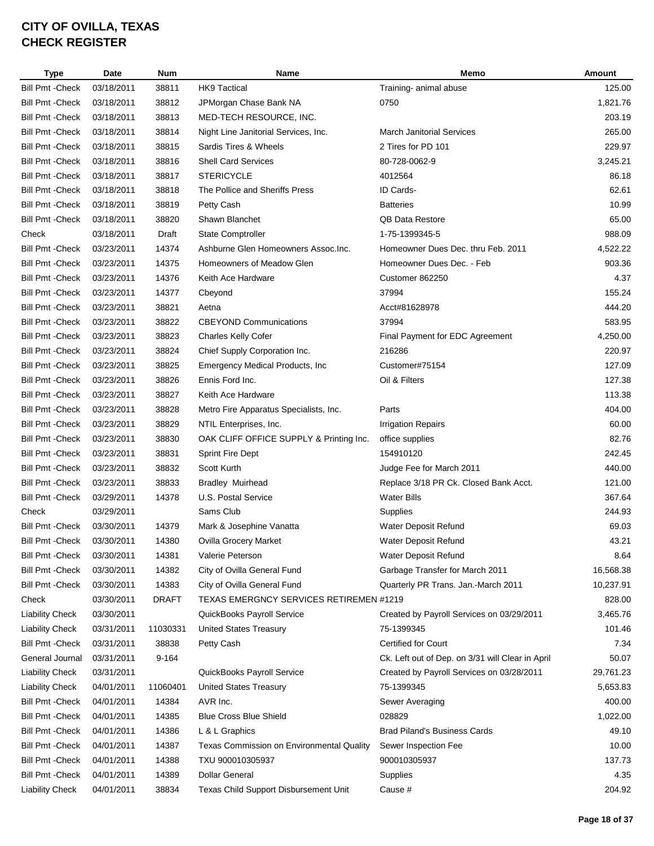| <b>Type</b>             | Date       | <b>Num</b>   | Name                                      | Memo                                             | Amount    |
|-------------------------|------------|--------------|-------------------------------------------|--------------------------------------------------|-----------|
| <b>Bill Pmt - Check</b> | 03/18/2011 | 38811        | <b>HK9 Tactical</b>                       | Training- animal abuse                           | 125.00    |
| <b>Bill Pmt - Check</b> | 03/18/2011 | 38812        | JPMorgan Chase Bank NA                    | 0750                                             | 1,821.76  |
| <b>Bill Pmt - Check</b> | 03/18/2011 | 38813        | MED-TECH RESOURCE, INC.                   |                                                  | 203.19    |
| <b>Bill Pmt - Check</b> | 03/18/2011 | 38814        | Night Line Janitorial Services, Inc.      | <b>March Janitorial Services</b>                 | 265.00    |
| <b>Bill Pmt - Check</b> | 03/18/2011 | 38815        | Sardis Tires & Wheels                     | 2 Tires for PD 101                               | 229.97    |
| <b>Bill Pmt - Check</b> | 03/18/2011 | 38816        | <b>Shell Card Services</b>                | 80-728-0062-9                                    | 3,245.21  |
| <b>Bill Pmt - Check</b> | 03/18/2011 | 38817        | <b>STERICYCLE</b>                         | 4012564                                          | 86.18     |
| <b>Bill Pmt - Check</b> | 03/18/2011 | 38818        | The Pollice and Sheriffs Press            | ID Cards-                                        | 62.61     |
| <b>Bill Pmt - Check</b> | 03/18/2011 | 38819        | Petty Cash                                | <b>Batteries</b>                                 | 10.99     |
| <b>Bill Pmt - Check</b> | 03/18/2011 | 38820        | Shawn Blanchet                            | <b>QB Data Restore</b>                           | 65.00     |
| Check                   | 03/18/2011 | Draft        | <b>State Comptroller</b>                  | 1-75-1399345-5                                   | 988.09    |
| <b>Bill Pmt - Check</b> | 03/23/2011 | 14374        | Ashburne Glen Homeowners Assoc.Inc.       | Homeowner Dues Dec. thru Feb. 2011               | 4,522.22  |
| <b>Bill Pmt - Check</b> | 03/23/2011 | 14375        | Homeowners of Meadow Glen                 | Homeowner Dues Dec. - Feb                        | 903.36    |
| <b>Bill Pmt - Check</b> | 03/23/2011 | 14376        | Keith Ace Hardware                        | Customer 862250                                  | 4.37      |
| <b>Bill Pmt - Check</b> | 03/23/2011 | 14377        | Cbeyond                                   | 37994                                            | 155.24    |
| <b>Bill Pmt - Check</b> | 03/23/2011 | 38821        | Aetna                                     | Acct#81628978                                    | 444.20    |
| <b>Bill Pmt - Check</b> | 03/23/2011 | 38822        | <b>CBEYOND Communications</b>             | 37994                                            | 583.95    |
| <b>Bill Pmt - Check</b> | 03/23/2011 | 38823        | <b>Charles Kelly Cofer</b>                | Final Payment for EDC Agreement                  | 4,250.00  |
| <b>Bill Pmt - Check</b> | 03/23/2011 | 38824        | Chief Supply Corporation Inc.             | 216286                                           | 220.97    |
| <b>Bill Pmt - Check</b> | 03/23/2011 | 38825        | <b>Emergency Medical Products, Inc.</b>   | Customer#75154                                   | 127.09    |
| <b>Bill Pmt - Check</b> | 03/23/2011 | 38826        | Ennis Ford Inc.                           | Oil & Filters                                    | 127.38    |
| <b>Bill Pmt - Check</b> | 03/23/2011 | 38827        |                                           |                                                  | 113.38    |
|                         |            |              | Keith Ace Hardware                        |                                                  |           |
| <b>Bill Pmt - Check</b> | 03/23/2011 | 38828        | Metro Fire Apparatus Specialists, Inc.    | Parts                                            | 404.00    |
| <b>Bill Pmt - Check</b> | 03/23/2011 | 38829        | NTIL Enterprises, Inc.                    | <b>Irrigation Repairs</b>                        | 60.00     |
| <b>Bill Pmt - Check</b> | 03/23/2011 | 38830        | OAK CLIFF OFFICE SUPPLY & Printing Inc.   | office supplies                                  | 82.76     |
| <b>Bill Pmt - Check</b> | 03/23/2011 | 38831        | <b>Sprint Fire Dept</b>                   | 154910120                                        | 242.45    |
| <b>Bill Pmt - Check</b> | 03/23/2011 | 38832        | Scott Kurth                               | Judge Fee for March 2011                         | 440.00    |
| <b>Bill Pmt - Check</b> | 03/23/2011 | 38833        | <b>Bradley Muirhead</b>                   | Replace 3/18 PR Ck. Closed Bank Acct.            | 121.00    |
| <b>Bill Pmt - Check</b> | 03/29/2011 | 14378        | U.S. Postal Service                       | <b>Water Bills</b>                               | 367.64    |
| Check                   | 03/29/2011 |              | Sams Club                                 | Supplies                                         | 244.93    |
| <b>Bill Pmt - Check</b> | 03/30/2011 | 14379        | Mark & Josephine Vanatta                  | Water Deposit Refund                             | 69.03     |
| <b>Bill Pmt - Check</b> | 03/30/2011 | 14380        | Ovilla Grocery Market                     | Water Deposit Refund                             | 43.21     |
| <b>Bill Pmt - Check</b> | 03/30/2011 | 14381        | Valerie Peterson                          | Water Deposit Refund                             | 8.64      |
| <b>Bill Pmt - Check</b> | 03/30/2011 | 14382        | City of Ovilla General Fund               | Garbage Transfer for March 2011                  | 16,568.38 |
| <b>Bill Pmt - Check</b> | 03/30/2011 | 14383        | City of Ovilla General Fund               | Quarterly PR Trans. Jan.-March 2011              | 10,237.91 |
| Check                   | 03/30/2011 | <b>DRAFT</b> | TEXAS EMERGNCY SERVICES RETIREMEN #1219   |                                                  | 828.00    |
| <b>Liability Check</b>  | 03/30/2011 |              | QuickBooks Payroll Service                | Created by Payroll Services on 03/29/2011        | 3,465.76  |
| <b>Liability Check</b>  | 03/31/2011 | 11030331     | <b>United States Treasury</b>             | 75-1399345                                       | 101.46    |
| <b>Bill Pmt - Check</b> | 03/31/2011 | 38838        | Petty Cash                                | <b>Certified for Court</b>                       | 7.34      |
| General Journal         | 03/31/2011 | 9-164        |                                           | Ck. Left out of Dep. on 3/31 will Clear in April | 50.07     |
| <b>Liability Check</b>  | 03/31/2011 |              | QuickBooks Payroll Service                | Created by Payroll Services on 03/28/2011        | 29,761.23 |
| <b>Liability Check</b>  | 04/01/2011 | 11060401     | <b>United States Treasury</b>             | 75-1399345                                       | 5,653.83  |
| <b>Bill Pmt - Check</b> | 04/01/2011 | 14384        | AVR Inc.                                  | Sewer Averaging                                  | 400.00    |
| <b>Bill Pmt - Check</b> | 04/01/2011 | 14385        | <b>Blue Cross Blue Shield</b>             | 028829                                           | 1,022.00  |
| <b>Bill Pmt - Check</b> | 04/01/2011 | 14386        | L & L Graphics                            | <b>Brad Piland's Business Cards</b>              | 49.10     |
| <b>Bill Pmt - Check</b> | 04/01/2011 | 14387        | Texas Commission on Environmental Quality | Sewer Inspection Fee                             | 10.00     |
| Bill Pmt - Check        | 04/01/2011 | 14388        | TXU 900010305937                          | 900010305937                                     | 137.73    |
| <b>Bill Pmt - Check</b> | 04/01/2011 | 14389        | <b>Dollar General</b>                     | Supplies                                         | 4.35      |
| <b>Liability Check</b>  | 04/01/2011 | 38834        | Texas Child Support Disbursement Unit     | Cause #                                          | 204.92    |
|                         |            |              |                                           |                                                  |           |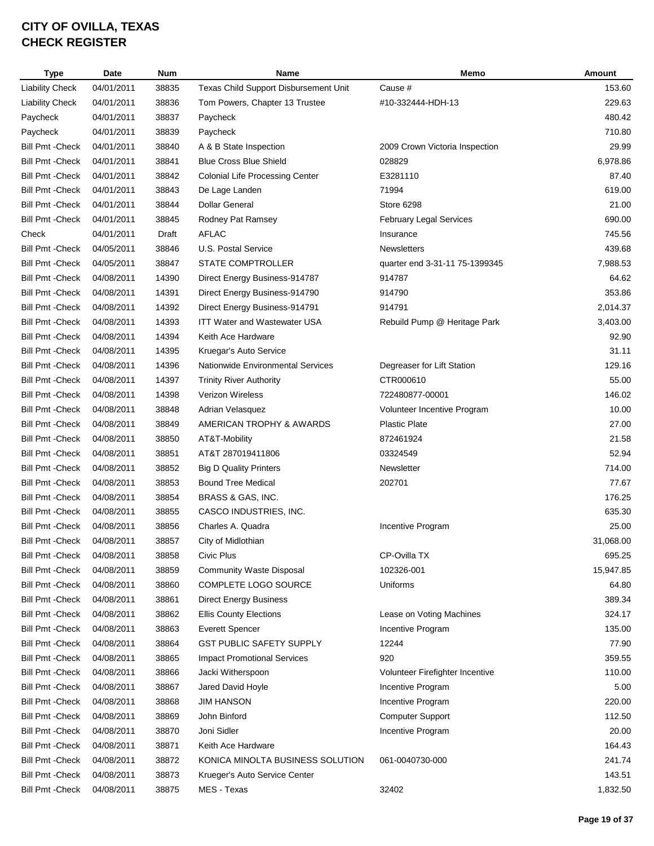| <b>Type</b>             | Date       | <b>Num</b> | <b>Name</b>                            | Memo                            | Amount    |
|-------------------------|------------|------------|----------------------------------------|---------------------------------|-----------|
| <b>Liability Check</b>  | 04/01/2011 | 38835      | Texas Child Support Disbursement Unit  | Cause #                         | 153.60    |
| <b>Liability Check</b>  | 04/01/2011 | 38836      | Tom Powers, Chapter 13 Trustee         | #10-332444-HDH-13               | 229.63    |
| Paycheck                | 04/01/2011 | 38837      | Paycheck                               |                                 | 480.42    |
| Paycheck                | 04/01/2011 | 38839      | Paycheck                               |                                 | 710.80    |
| <b>Bill Pmt - Check</b> | 04/01/2011 | 38840      | A & B State Inspection                 | 2009 Crown Victoria Inspection  | 29.99     |
| <b>Bill Pmt - Check</b> | 04/01/2011 | 38841      | <b>Blue Cross Blue Shield</b>          | 028829                          | 6,978.86  |
| <b>Bill Pmt - Check</b> | 04/01/2011 | 38842      | <b>Colonial Life Processing Center</b> | E3281110                        | 87.40     |
| <b>Bill Pmt - Check</b> | 04/01/2011 | 38843      | De Lage Landen                         | 71994                           | 619.00    |
| <b>Bill Pmt - Check</b> | 04/01/2011 | 38844      | <b>Dollar General</b>                  | Store 6298                      | 21.00     |
| <b>Bill Pmt - Check</b> | 04/01/2011 | 38845      | Rodney Pat Ramsey                      | <b>February Legal Services</b>  | 690.00    |
| Check                   | 04/01/2011 | Draft      | <b>AFLAC</b>                           | Insurance                       | 745.56    |
| <b>Bill Pmt - Check</b> | 04/05/2011 | 38846      | U.S. Postal Service                    | <b>Newsletters</b>              | 439.68    |
| <b>Bill Pmt - Check</b> | 04/05/2011 | 38847      | STATE COMPTROLLER                      | quarter end 3-31-11 75-1399345  | 7,988.53  |
| <b>Bill Pmt - Check</b> | 04/08/2011 | 14390      | Direct Energy Business-914787          | 914787                          | 64.62     |
| <b>Bill Pmt - Check</b> | 04/08/2011 | 14391      | Direct Energy Business-914790          | 914790                          | 353.86    |
| <b>Bill Pmt - Check</b> | 04/08/2011 | 14392      | Direct Energy Business-914791          | 914791                          | 2,014.37  |
| <b>Bill Pmt - Check</b> | 04/08/2011 | 14393      | <b>ITT Water and Wastewater USA</b>    | Rebuild Pump @ Heritage Park    | 3,403.00  |
| <b>Bill Pmt - Check</b> | 04/08/2011 | 14394      | Keith Ace Hardware                     |                                 | 92.90     |
| <b>Bill Pmt - Check</b> | 04/08/2011 | 14395      | Kruegar's Auto Service                 |                                 | 31.11     |
| <b>Bill Pmt - Check</b> | 04/08/2011 | 14396      | Nationwide Environmental Services      | Degreaser for Lift Station      | 129.16    |
| <b>Bill Pmt - Check</b> | 04/08/2011 | 14397      | <b>Trinity River Authority</b>         | CTR000610                       | 55.00     |
| <b>Bill Pmt - Check</b> | 04/08/2011 | 14398      | Verizon Wireless                       | 722480877-00001                 | 146.02    |
| <b>Bill Pmt - Check</b> | 04/08/2011 | 38848      | Adrian Velasquez                       | Volunteer Incentive Program     | 10.00     |
| <b>Bill Pmt - Check</b> | 04/08/2011 | 38849      | AMERICAN TROPHY & AWARDS               | <b>Plastic Plate</b>            | 27.00     |
| <b>Bill Pmt - Check</b> | 04/08/2011 | 38850      | AT&T-Mobility                          | 872461924                       | 21.58     |
| <b>Bill Pmt - Check</b> | 04/08/2011 | 38851      | AT&T 287019411806                      | 03324549                        | 52.94     |
| <b>Bill Pmt - Check</b> | 04/08/2011 | 38852      | <b>Big D Quality Printers</b>          | Newsletter                      | 714.00    |
| <b>Bill Pmt - Check</b> | 04/08/2011 | 38853      | <b>Bound Tree Medical</b>              | 202701                          | 77.67     |
| <b>Bill Pmt - Check</b> | 04/08/2011 | 38854      | BRASS & GAS, INC.                      |                                 | 176.25    |
| <b>Bill Pmt - Check</b> | 04/08/2011 | 38855      | CASCO INDUSTRIES, INC.                 |                                 | 635.30    |
| <b>Bill Pmt - Check</b> | 04/08/2011 | 38856      | Charles A. Quadra                      | Incentive Program               | 25.00     |
| <b>Bill Pmt - Check</b> | 04/08/2011 | 38857      | City of Midlothian                     |                                 | 31,068.00 |
| <b>Bill Pmt - Check</b> | 04/08/2011 | 38858      | Civic Plus                             | CP-Ovilla TX                    | 695.25    |
| <b>Bill Pmt - Check</b> | 04/08/2011 | 38859      | <b>Community Waste Disposal</b>        | 102326-001                      | 15,947.85 |
| <b>Bill Pmt - Check</b> | 04/08/2011 | 38860      | COMPLETE LOGO SOURCE                   | Uniforms                        | 64.80     |
| <b>Bill Pmt - Check</b> | 04/08/2011 | 38861      | <b>Direct Energy Business</b>          |                                 | 389.34    |
| <b>Bill Pmt - Check</b> | 04/08/2011 | 38862      | <b>Ellis County Elections</b>          | Lease on Voting Machines        | 324.17    |
| <b>Bill Pmt - Check</b> | 04/08/2011 | 38863      | <b>Everett Spencer</b>                 | Incentive Program               | 135.00    |
| <b>Bill Pmt - Check</b> | 04/08/2011 | 38864      | <b>GST PUBLIC SAFETY SUPPLY</b>        | 12244                           | 77.90     |
| <b>Bill Pmt - Check</b> | 04/08/2011 | 38865      | <b>Impact Promotional Services</b>     | 920                             | 359.55    |
| <b>Bill Pmt - Check</b> | 04/08/2011 | 38866      | Jacki Witherspoon                      | Volunteer Firefighter Incentive | 110.00    |
| <b>Bill Pmt - Check</b> | 04/08/2011 | 38867      | Jared David Hoyle                      | Incentive Program               | 5.00      |
| <b>Bill Pmt - Check</b> | 04/08/2011 | 38868      | <b>JIM HANSON</b>                      | Incentive Program               | 220.00    |
| <b>Bill Pmt - Check</b> | 04/08/2011 | 38869      | John Binford                           | <b>Computer Support</b>         | 112.50    |
| <b>Bill Pmt - Check</b> | 04/08/2011 | 38870      | Joni Sidler                            | Incentive Program               | 20.00     |
| <b>Bill Pmt - Check</b> | 04/08/2011 | 38871      | Keith Ace Hardware                     |                                 | 164.43    |
| <b>Bill Pmt - Check</b> | 04/08/2011 | 38872      | KONICA MINOLTA BUSINESS SOLUTION       | 061-0040730-000                 | 241.74    |
| <b>Bill Pmt - Check</b> | 04/08/2011 | 38873      | Krueger's Auto Service Center          |                                 | 143.51    |
| <b>Bill Pmt - Check</b> | 04/08/2011 | 38875      | MES - Texas                            | 32402                           | 1,832.50  |
|                         |            |            |                                        |                                 |           |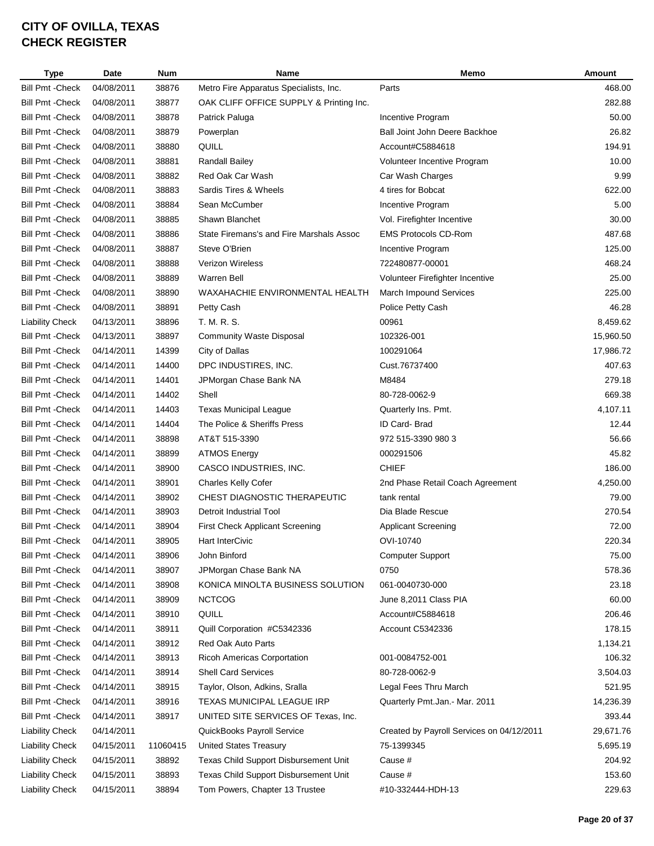| <b>Type</b>             | Date       | <b>Num</b> | Name                                     | Memo                                      | <b>Amount</b> |
|-------------------------|------------|------------|------------------------------------------|-------------------------------------------|---------------|
| <b>Bill Pmt - Check</b> | 04/08/2011 | 38876      | Metro Fire Apparatus Specialists, Inc.   | Parts                                     | 468.00        |
| <b>Bill Pmt - Check</b> | 04/08/2011 | 38877      | OAK CLIFF OFFICE SUPPLY & Printing Inc.  |                                           | 282.88        |
| <b>Bill Pmt - Check</b> | 04/08/2011 | 38878      | Patrick Paluga                           | Incentive Program                         | 50.00         |
| <b>Bill Pmt - Check</b> | 04/08/2011 | 38879      | Powerplan                                | Ball Joint John Deere Backhoe             | 26.82         |
| <b>Bill Pmt - Check</b> | 04/08/2011 | 38880      | QUILL                                    | Account#C5884618                          | 194.91        |
| <b>Bill Pmt - Check</b> | 04/08/2011 | 38881      | <b>Randall Bailey</b>                    | Volunteer Incentive Program               | 10.00         |
| <b>Bill Pmt - Check</b> | 04/08/2011 | 38882      | Red Oak Car Wash                         | Car Wash Charges                          | 9.99          |
| <b>Bill Pmt - Check</b> | 04/08/2011 | 38883      | Sardis Tires & Wheels                    | 4 tires for Bobcat                        | 622.00        |
| <b>Bill Pmt - Check</b> | 04/08/2011 | 38884      | Sean McCumber                            | Incentive Program                         | 5.00          |
| <b>Bill Pmt - Check</b> | 04/08/2011 | 38885      | Shawn Blanchet                           | Vol. Firefighter Incentive                | 30.00         |
| <b>Bill Pmt - Check</b> | 04/08/2011 | 38886      | State Firemans's and Fire Marshals Assoc | <b>EMS Protocols CD-Rom</b>               | 487.68        |
| <b>Bill Pmt - Check</b> | 04/08/2011 | 38887      | Steve O'Brien                            | Incentive Program                         | 125.00        |
| <b>Bill Pmt - Check</b> | 04/08/2011 | 38888      | <b>Verizon Wireless</b>                  | 722480877-00001                           | 468.24        |
| <b>Bill Pmt - Check</b> | 04/08/2011 | 38889      | <b>Warren Bell</b>                       | Volunteer Firefighter Incentive           | 25.00         |
| <b>Bill Pmt - Check</b> | 04/08/2011 | 38890      | WAXAHACHIE ENVIRONMENTAL HEALTH          | <b>March Impound Services</b>             | 225.00        |
| <b>Bill Pmt - Check</b> | 04/08/2011 | 38891      | Petty Cash                               | Police Petty Cash                         | 46.28         |
| <b>Liability Check</b>  | 04/13/2011 | 38896      | T. M. R. S.                              | 00961                                     | 8,459.62      |
| <b>Bill Pmt - Check</b> | 04/13/2011 | 38897      | <b>Community Waste Disposal</b>          | 102326-001                                | 15,960.50     |
| <b>Bill Pmt - Check</b> | 04/14/2011 | 14399      | City of Dallas                           | 100291064                                 | 17,986.72     |
| <b>Bill Pmt - Check</b> | 04/14/2011 | 14400      | DPC INDUSTIRES, INC.                     | Cust.76737400                             | 407.63        |
| <b>Bill Pmt - Check</b> | 04/14/2011 | 14401      | JPMorgan Chase Bank NA                   | M8484                                     | 279.18        |
| <b>Bill Pmt - Check</b> | 04/14/2011 | 14402      | Shell                                    | 80-728-0062-9                             | 669.38        |
| <b>Bill Pmt - Check</b> | 04/14/2011 | 14403      | <b>Texas Municipal League</b>            | Quarterly Ins. Pmt.                       | 4,107.11      |
| <b>Bill Pmt - Check</b> | 04/14/2011 | 14404      | The Police & Sheriffs Press              | ID Card-Brad                              | 12.44         |
| <b>Bill Pmt - Check</b> | 04/14/2011 | 38898      | AT&T 515-3390                            | 972 515-3390 980 3                        | 56.66         |
| <b>Bill Pmt - Check</b> | 04/14/2011 | 38899      | <b>ATMOS Energy</b>                      | 000291506                                 | 45.82         |
| <b>Bill Pmt - Check</b> | 04/14/2011 | 38900      | CASCO INDUSTRIES, INC.                   | <b>CHIEF</b>                              | 186.00        |
| <b>Bill Pmt - Check</b> | 04/14/2011 | 38901      | Charles Kelly Cofer                      | 2nd Phase Retail Coach Agreement          | 4,250.00      |
| <b>Bill Pmt - Check</b> | 04/14/2011 | 38902      | CHEST DIAGNOSTIC THERAPEUTIC             | tank rental                               | 79.00         |
| <b>Bill Pmt - Check</b> | 04/14/2011 | 38903      | <b>Detroit Industrial Tool</b>           | Dia Blade Rescue                          | 270.54        |
| <b>Bill Pmt - Check</b> | 04/14/2011 | 38904      | First Check Applicant Screening          | <b>Applicant Screening</b>                | 72.00         |
| <b>Bill Pmt - Check</b> | 04/14/2011 | 38905      | <b>Hart InterCivic</b>                   | OVI-10740                                 | 220.34        |
| <b>Bill Pmt - Check</b> | 04/14/2011 | 38906      | John Binford                             | <b>Computer Support</b>                   | 75.00         |
| <b>Bill Pmt - Check</b> | 04/14/2011 | 38907      | JPMorgan Chase Bank NA                   | 0750                                      | 578.36        |
| <b>Bill Pmt - Check</b> | 04/14/2011 | 38908      | KONICA MINOLTA BUSINESS SOLUTION         | 061-0040730-000                           | 23.18         |
| <b>Bill Pmt - Check</b> | 04/14/2011 | 38909      | <b>NCTCOG</b>                            | June 8,2011 Class PIA                     | 60.00         |
| <b>Bill Pmt - Check</b> | 04/14/2011 | 38910      | QUILL                                    | Account#C5884618                          | 206.46        |
| <b>Bill Pmt - Check</b> | 04/14/2011 | 38911      | Quill Corporation #C5342336              | Account C5342336                          | 178.15        |
| <b>Bill Pmt - Check</b> | 04/14/2011 | 38912      | Red Oak Auto Parts                       |                                           | 1,134.21      |
| <b>Bill Pmt - Check</b> | 04/14/2011 | 38913      | <b>Ricoh Americas Corportation</b>       | 001-0084752-001                           | 106.32        |
| <b>Bill Pmt - Check</b> | 04/14/2011 | 38914      | <b>Shell Card Services</b>               | 80-728-0062-9                             | 3,504.03      |
| <b>Bill Pmt - Check</b> | 04/14/2011 | 38915      | Taylor, Olson, Adkins, Sralla            | Legal Fees Thru March                     | 521.95        |
| <b>Bill Pmt - Check</b> | 04/14/2011 | 38916      | TEXAS MUNICIPAL LEAGUE IRP               | Quarterly Pmt.Jan.- Mar. 2011             | 14,236.39     |
| <b>Bill Pmt - Check</b> | 04/14/2011 | 38917      | UNITED SITE SERVICES OF Texas, Inc.      |                                           | 393.44        |
| <b>Liability Check</b>  | 04/14/2011 |            | QuickBooks Payroll Service               | Created by Payroll Services on 04/12/2011 | 29,671.76     |
| <b>Liability Check</b>  | 04/15/2011 | 11060415   | <b>United States Treasury</b>            | 75-1399345                                | 5,695.19      |
| <b>Liability Check</b>  | 04/15/2011 | 38892      | Texas Child Support Disbursement Unit    | Cause #                                   | 204.92        |
| <b>Liability Check</b>  | 04/15/2011 | 38893      | Texas Child Support Disbursement Unit    | Cause #                                   | 153.60        |
| <b>Liability Check</b>  | 04/15/2011 | 38894      | Tom Powers, Chapter 13 Trustee           | #10-332444-HDH-13                         | 229.63        |
|                         |            |            |                                          |                                           |               |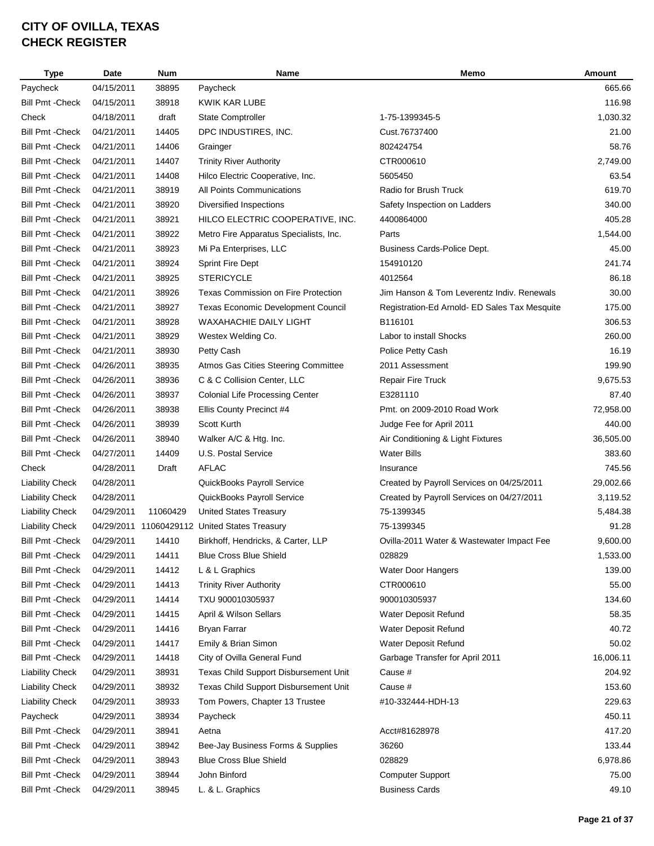| <b>Type</b>             | Date       | <b>Num</b> | Name                                          | Memo                                          | <b>Amount</b> |
|-------------------------|------------|------------|-----------------------------------------------|-----------------------------------------------|---------------|
| Paycheck                | 04/15/2011 | 38895      | Paycheck                                      |                                               | 665.66        |
| <b>Bill Pmt - Check</b> | 04/15/2011 | 38918      | KWIK KAR LUBE                                 |                                               | 116.98        |
| Check                   | 04/18/2011 | draft      | <b>State Comptroller</b>                      | 1-75-1399345-5                                | 1,030.32      |
| <b>Bill Pmt - Check</b> | 04/21/2011 | 14405      | DPC INDUSTIRES, INC.                          | Cust.76737400                                 | 21.00         |
| <b>Bill Pmt - Check</b> | 04/21/2011 | 14406      | Grainger                                      | 802424754                                     | 58.76         |
| <b>Bill Pmt - Check</b> | 04/21/2011 | 14407      | <b>Trinity River Authority</b>                | CTR000610                                     | 2,749.00      |
| <b>Bill Pmt - Check</b> | 04/21/2011 | 14408      | Hilco Electric Cooperative, Inc.              | 5605450                                       | 63.54         |
| <b>Bill Pmt - Check</b> | 04/21/2011 | 38919      | All Points Communications                     | Radio for Brush Truck                         | 619.70        |
| <b>Bill Pmt - Check</b> | 04/21/2011 | 38920      | Diversified Inspections                       | Safety Inspection on Ladders                  | 340.00        |
| <b>Bill Pmt - Check</b> | 04/21/2011 | 38921      | HILCO ELECTRIC COOPERATIVE, INC.              | 4400864000                                    | 405.28        |
| <b>Bill Pmt - Check</b> | 04/21/2011 | 38922      | Metro Fire Apparatus Specialists, Inc.        | Parts                                         | 1,544.00      |
| <b>Bill Pmt - Check</b> | 04/21/2011 | 38923      | Mi Pa Enterprises, LLC                        | Business Cards-Police Dept.                   | 45.00         |
| <b>Bill Pmt - Check</b> | 04/21/2011 | 38924      | <b>Sprint Fire Dept</b>                       | 154910120                                     | 241.74        |
| <b>Bill Pmt - Check</b> | 04/21/2011 | 38925      | <b>STERICYCLE</b>                             | 4012564                                       | 86.18         |
| <b>Bill Pmt - Check</b> | 04/21/2011 | 38926      | Texas Commission on Fire Protection           | Jim Hanson & Tom Leverentz Indiv. Renewals    | 30.00         |
| <b>Bill Pmt - Check</b> | 04/21/2011 | 38927      | Texas Economic Development Council            | Registration-Ed Arnold- ED Sales Tax Mesquite | 175.00        |
| <b>Bill Pmt - Check</b> | 04/21/2011 | 38928      | WAXAHACHIE DAILY LIGHT                        | B116101                                       | 306.53        |
| <b>Bill Pmt - Check</b> | 04/21/2011 | 38929      | Westex Welding Co.                            | Labor to install Shocks                       | 260.00        |
| <b>Bill Pmt - Check</b> | 04/21/2011 | 38930      | Petty Cash                                    | Police Petty Cash                             | 16.19         |
| <b>Bill Pmt - Check</b> | 04/26/2011 | 38935      | Atmos Gas Cities Steering Committee           | 2011 Assessment                               | 199.90        |
| <b>Bill Pmt - Check</b> | 04/26/2011 | 38936      | C & C Collision Center, LLC                   | Repair Fire Truck                             | 9,675.53      |
| <b>Bill Pmt - Check</b> | 04/26/2011 | 38937      | <b>Colonial Life Processing Center</b>        | E3281110                                      | 87.40         |
| <b>Bill Pmt - Check</b> | 04/26/2011 | 38938      | Ellis County Precinct #4                      | Pmt. on 2009-2010 Road Work                   | 72,958.00     |
| <b>Bill Pmt - Check</b> | 04/26/2011 | 38939      | Scott Kurth                                   | Judge Fee for April 2011                      | 440.00        |
| <b>Bill Pmt - Check</b> | 04/26/2011 | 38940      | Walker A/C & Htg. Inc.                        | Air Conditioning & Light Fixtures             | 36,505.00     |
| <b>Bill Pmt - Check</b> | 04/27/2011 | 14409      | U.S. Postal Service                           | <b>Water Bills</b>                            | 383.60        |
| Check                   | 04/28/2011 | Draft      | <b>AFLAC</b>                                  | Insurance                                     | 745.56        |
| <b>Liability Check</b>  | 04/28/2011 |            | QuickBooks Payroll Service                    | Created by Payroll Services on 04/25/2011     | 29,002.66     |
| <b>Liability Check</b>  | 04/28/2011 |            | QuickBooks Payroll Service                    | Created by Payroll Services on 04/27/2011     | 3,119.52      |
| <b>Liability Check</b>  | 04/29/2011 | 11060429   | <b>United States Treasury</b>                 | 75-1399345                                    | 5,484.38      |
| <b>Liability Check</b>  |            |            | 04/29/2011 11060429112 United States Treasury | 75-1399345                                    | 91.28         |
| <b>Bill Pmt - Check</b> | 04/29/2011 | 14410      | Birkhoff, Hendricks, & Carter, LLP            | Ovilla-2011 Water & Wastewater Impact Fee     | 9,600.00      |
| <b>Bill Pmt - Check</b> | 04/29/2011 | 14411      | <b>Blue Cross Blue Shield</b>                 | 028829                                        | 1,533.00      |
| <b>Bill Pmt - Check</b> | 04/29/2011 | 14412      | L & L Graphics                                | Water Door Hangers                            | 139.00        |
| <b>Bill Pmt - Check</b> | 04/29/2011 | 14413      | <b>Trinity River Authority</b>                | CTR000610                                     | 55.00         |
| <b>Bill Pmt - Check</b> | 04/29/2011 | 14414      | TXU 900010305937                              | 900010305937                                  | 134.60        |
| <b>Bill Pmt - Check</b> | 04/29/2011 | 14415      | April & Wilson Sellars                        | Water Deposit Refund                          | 58.35         |
| <b>Bill Pmt - Check</b> | 04/29/2011 | 14416      | Bryan Farrar                                  | Water Deposit Refund                          | 40.72         |
| <b>Bill Pmt - Check</b> | 04/29/2011 | 14417      | Emily & Brian Simon                           | Water Deposit Refund                          | 50.02         |
| <b>Bill Pmt - Check</b> | 04/29/2011 | 14418      | City of Ovilla General Fund                   | Garbage Transfer for April 2011               | 16,006.11     |
| <b>Liability Check</b>  | 04/29/2011 | 38931      | Texas Child Support Disbursement Unit         | Cause #                                       | 204.92        |
| <b>Liability Check</b>  | 04/29/2011 | 38932      | Texas Child Support Disbursement Unit         | Cause #                                       | 153.60        |
| <b>Liability Check</b>  | 04/29/2011 | 38933      | Tom Powers, Chapter 13 Trustee                | #10-332444-HDH-13                             | 229.63        |
| Paycheck                | 04/29/2011 | 38934      | Paycheck                                      |                                               | 450.11        |
| <b>Bill Pmt - Check</b> | 04/29/2011 | 38941      | Aetna                                         | Acct#81628978                                 | 417.20        |
| <b>Bill Pmt - Check</b> | 04/29/2011 | 38942      | Bee-Jay Business Forms & Supplies             | 36260                                         | 133.44        |
| <b>Bill Pmt - Check</b> | 04/29/2011 | 38943      | <b>Blue Cross Blue Shield</b>                 | 028829                                        | 6,978.86      |
| <b>Bill Pmt - Check</b> | 04/29/2011 | 38944      | John Binford                                  | <b>Computer Support</b>                       | 75.00         |
| <b>Bill Pmt - Check</b> | 04/29/2011 | 38945      | L. & L. Graphics                              | <b>Business Cards</b>                         | 49.10         |
|                         |            |            |                                               |                                               |               |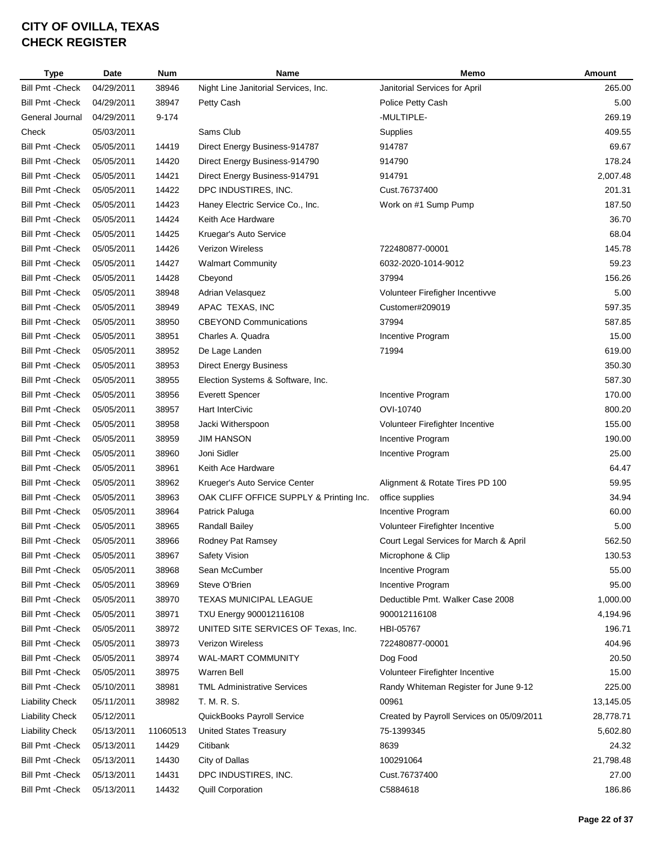| <b>Type</b>             | Date       | <b>Num</b> | Name                                    | Memo                                      | Amount    |
|-------------------------|------------|------------|-----------------------------------------|-------------------------------------------|-----------|
| <b>Bill Pmt - Check</b> | 04/29/2011 | 38946      | Night Line Janitorial Services, Inc.    | Janitorial Services for April             | 265.00    |
| <b>Bill Pmt - Check</b> | 04/29/2011 | 38947      | Petty Cash                              | Police Petty Cash                         | 5.00      |
| General Journal         | 04/29/2011 | 9-174      |                                         | -MULTIPLE-                                | 269.19    |
| Check                   | 05/03/2011 |            | Sams Club                               | Supplies                                  | 409.55    |
| <b>Bill Pmt - Check</b> | 05/05/2011 | 14419      | Direct Energy Business-914787           | 914787                                    | 69.67     |
| <b>Bill Pmt - Check</b> | 05/05/2011 | 14420      | Direct Energy Business-914790           | 914790                                    | 178.24    |
| <b>Bill Pmt - Check</b> | 05/05/2011 | 14421      | Direct Energy Business-914791           | 914791                                    | 2,007.48  |
| <b>Bill Pmt - Check</b> | 05/05/2011 | 14422      | DPC INDUSTIRES, INC.                    | Cust.76737400                             | 201.31    |
| <b>Bill Pmt - Check</b> | 05/05/2011 | 14423      | Haney Electric Service Co., Inc.        | Work on #1 Sump Pump                      | 187.50    |
| <b>Bill Pmt - Check</b> | 05/05/2011 | 14424      | Keith Ace Hardware                      |                                           | 36.70     |
| <b>Bill Pmt - Check</b> | 05/05/2011 | 14425      | Kruegar's Auto Service                  |                                           | 68.04     |
| <b>Bill Pmt - Check</b> | 05/05/2011 | 14426      | <b>Verizon Wireless</b>                 | 722480877-00001                           | 145.78    |
| <b>Bill Pmt - Check</b> | 05/05/2011 | 14427      | <b>Walmart Community</b>                | 6032-2020-1014-9012                       | 59.23     |
| <b>Bill Pmt - Check</b> | 05/05/2011 | 14428      | Cbeyond                                 | 37994                                     | 156.26    |
| <b>Bill Pmt - Check</b> | 05/05/2011 | 38948      | Adrian Velasquez                        | Volunteer Firefigher Incentivve           | 5.00      |
| <b>Bill Pmt - Check</b> | 05/05/2011 | 38949      | APAC TEXAS, INC                         | Customer#209019                           | 597.35    |
| <b>Bill Pmt - Check</b> | 05/05/2011 | 38950      | <b>CBEYOND Communications</b>           | 37994                                     | 587.85    |
| <b>Bill Pmt - Check</b> | 05/05/2011 | 38951      | Charles A. Quadra                       | Incentive Program                         | 15.00     |
| <b>Bill Pmt - Check</b> | 05/05/2011 | 38952      | De Lage Landen                          | 71994                                     | 619.00    |
| <b>Bill Pmt - Check</b> | 05/05/2011 | 38953      | <b>Direct Energy Business</b>           |                                           | 350.30    |
| <b>Bill Pmt - Check</b> | 05/05/2011 | 38955      | Election Systems & Software, Inc.       |                                           | 587.30    |
| <b>Bill Pmt - Check</b> | 05/05/2011 | 38956      | <b>Everett Spencer</b>                  | Incentive Program                         | 170.00    |
| <b>Bill Pmt - Check</b> | 05/05/2011 | 38957      | <b>Hart InterCivic</b>                  | OVI-10740                                 | 800.20    |
| <b>Bill Pmt - Check</b> | 05/05/2011 | 38958      | Jacki Witherspoon                       | Volunteer Firefighter Incentive           | 155.00    |
| <b>Bill Pmt - Check</b> | 05/05/2011 | 38959      | <b>JIM HANSON</b>                       | Incentive Program                         | 190.00    |
| <b>Bill Pmt - Check</b> | 05/05/2011 | 38960      | Joni Sidler                             | Incentive Program                         | 25.00     |
| <b>Bill Pmt - Check</b> | 05/05/2011 | 38961      | Keith Ace Hardware                      |                                           | 64.47     |
| <b>Bill Pmt - Check</b> | 05/05/2011 | 38962      | Krueger's Auto Service Center           | Alignment & Rotate Tires PD 100           | 59.95     |
| <b>Bill Pmt - Check</b> | 05/05/2011 | 38963      | OAK CLIFF OFFICE SUPPLY & Printing Inc. | office supplies                           | 34.94     |
| <b>Bill Pmt - Check</b> | 05/05/2011 | 38964      | Patrick Paluga                          | Incentive Program                         | 60.00     |
| <b>Bill Pmt - Check</b> | 05/05/2011 | 38965      | Randall Bailey                          | Volunteer Firefighter Incentive           | 5.00      |
| <b>Bill Pmt - Check</b> | 05/05/2011 | 38966      | Rodney Pat Ramsey                       | Court Legal Services for March & April    | 562.50    |
| <b>Bill Pmt - Check</b> | 05/05/2011 | 38967      | <b>Safety Vision</b>                    | Microphone & Clip                         | 130.53    |
| <b>Bill Pmt - Check</b> | 05/05/2011 | 38968      | Sean McCumber                           | Incentive Program                         | 55.00     |
| <b>Bill Pmt - Check</b> | 05/05/2011 | 38969      | Steve O'Brien                           | Incentive Program                         | 95.00     |
| <b>Bill Pmt - Check</b> | 05/05/2011 | 38970      | TEXAS MUNICIPAL LEAGUE                  | Deductible Pmt. Walker Case 2008          | 1,000.00  |
| <b>Bill Pmt - Check</b> | 05/05/2011 | 38971      | TXU Energy 900012116108                 | 900012116108                              | 4,194.96  |
| <b>Bill Pmt - Check</b> | 05/05/2011 | 38972      | UNITED SITE SERVICES OF Texas, Inc.     | HBI-05767                                 | 196.71    |
| <b>Bill Pmt - Check</b> | 05/05/2011 | 38973      | <b>Verizon Wireless</b>                 | 722480877-00001                           | 404.96    |
| <b>Bill Pmt - Check</b> | 05/05/2011 | 38974      | WAL-MART COMMUNITY                      | Dog Food                                  | 20.50     |
| <b>Bill Pmt - Check</b> | 05/05/2011 | 38975      | <b>Warren Bell</b>                      | Volunteer Firefighter Incentive           | 15.00     |
| <b>Bill Pmt - Check</b> | 05/10/2011 | 38981      | <b>TML Administrative Services</b>      | Randy Whiteman Register for June 9-12     | 225.00    |
| <b>Liability Check</b>  | 05/11/2011 | 38982      | T. M. R. S.                             | 00961                                     | 13,145.05 |
| <b>Liability Check</b>  | 05/12/2011 |            | QuickBooks Payroll Service              | Created by Payroll Services on 05/09/2011 | 28,778.71 |
| <b>Liability Check</b>  | 05/13/2011 | 11060513   | <b>United States Treasury</b>           | 75-1399345                                | 5,602.80  |
| <b>Bill Pmt - Check</b> | 05/13/2011 | 14429      | Citibank                                | 8639                                      | 24.32     |
| <b>Bill Pmt - Check</b> | 05/13/2011 | 14430      | City of Dallas                          | 100291064                                 | 21,798.48 |
| <b>Bill Pmt - Check</b> | 05/13/2011 | 14431      | DPC INDUSTIRES, INC.                    | Cust.76737400                             | 27.00     |
| <b>Bill Pmt - Check</b> | 05/13/2011 | 14432      | <b>Quill Corporation</b>                | C5884618                                  | 186.86    |
|                         |            |            |                                         |                                           |           |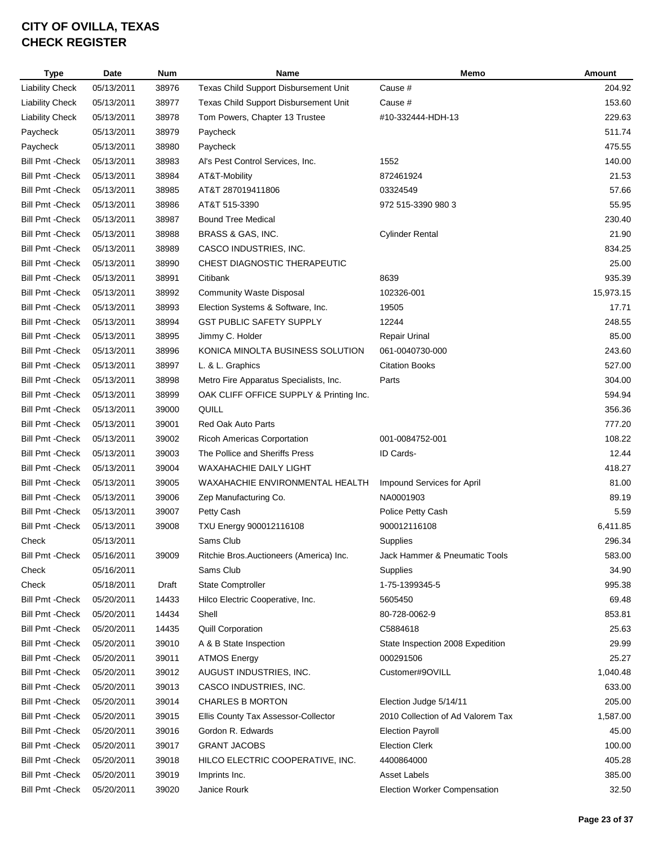| <b>Type</b>             | Date       | <b>Num</b> | Name                                    | Memo                              | <b>Amount</b> |
|-------------------------|------------|------------|-----------------------------------------|-----------------------------------|---------------|
| <b>Liability Check</b>  | 05/13/2011 | 38976      | Texas Child Support Disbursement Unit   | Cause #                           | 204.92        |
| <b>Liability Check</b>  | 05/13/2011 | 38977      | Texas Child Support Disbursement Unit   | Cause #                           | 153.60        |
| <b>Liability Check</b>  | 05/13/2011 | 38978      | Tom Powers, Chapter 13 Trustee          | #10-332444-HDH-13                 | 229.63        |
| Paycheck                | 05/13/2011 | 38979      | Paycheck                                |                                   | 511.74        |
| Paycheck                | 05/13/2011 | 38980      | Paycheck                                |                                   | 475.55        |
| <b>Bill Pmt - Check</b> | 05/13/2011 | 38983      | Al's Pest Control Services, Inc.        | 1552                              | 140.00        |
| <b>Bill Pmt - Check</b> | 05/13/2011 | 38984      | AT&T-Mobility                           | 872461924                         | 21.53         |
| <b>Bill Pmt - Check</b> | 05/13/2011 | 38985      | AT&T 287019411806                       | 03324549                          | 57.66         |
| <b>Bill Pmt - Check</b> | 05/13/2011 | 38986      | AT&T 515-3390                           | 972 515-3390 980 3                | 55.95         |
| <b>Bill Pmt - Check</b> | 05/13/2011 | 38987      | <b>Bound Tree Medical</b>               |                                   | 230.40        |
| <b>Bill Pmt - Check</b> | 05/13/2011 | 38988      | BRASS & GAS, INC.                       | <b>Cylinder Rental</b>            | 21.90         |
| <b>Bill Pmt - Check</b> | 05/13/2011 | 38989      | CASCO INDUSTRIES, INC.                  |                                   | 834.25        |
| <b>Bill Pmt - Check</b> | 05/13/2011 | 38990      | CHEST DIAGNOSTIC THERAPEUTIC            |                                   | 25.00         |
| <b>Bill Pmt - Check</b> | 05/13/2011 | 38991      | Citibank                                | 8639                              | 935.39        |
| <b>Bill Pmt - Check</b> | 05/13/2011 | 38992      | <b>Community Waste Disposal</b>         | 102326-001                        | 15,973.15     |
| <b>Bill Pmt - Check</b> | 05/13/2011 | 38993      | Election Systems & Software, Inc.       | 19505                             | 17.71         |
| <b>Bill Pmt - Check</b> | 05/13/2011 | 38994      | <b>GST PUBLIC SAFETY SUPPLY</b>         | 12244                             | 248.55        |
| <b>Bill Pmt - Check</b> | 05/13/2011 | 38995      | Jimmy C. Holder                         | <b>Repair Urinal</b>              | 85.00         |
| <b>Bill Pmt - Check</b> | 05/13/2011 | 38996      | KONICA MINOLTA BUSINESS SOLUTION        | 061-0040730-000                   | 243.60        |
| <b>Bill Pmt - Check</b> | 05/13/2011 | 38997      | L. & L. Graphics                        | <b>Citation Books</b>             | 527.00        |
| <b>Bill Pmt - Check</b> | 05/13/2011 | 38998      | Metro Fire Apparatus Specialists, Inc.  | Parts                             | 304.00        |
| <b>Bill Pmt - Check</b> | 05/13/2011 | 38999      | OAK CLIFF OFFICE SUPPLY & Printing Inc. |                                   | 594.94        |
| <b>Bill Pmt - Check</b> | 05/13/2011 | 39000      | QUILL                                   |                                   | 356.36        |
| <b>Bill Pmt - Check</b> | 05/13/2011 | 39001      | <b>Red Oak Auto Parts</b>               |                                   | 777.20        |
| <b>Bill Pmt - Check</b> | 05/13/2011 | 39002      | Ricoh Americas Corportation             | 001-0084752-001                   | 108.22        |
| <b>Bill Pmt - Check</b> | 05/13/2011 | 39003      | The Pollice and Sheriffs Press          | ID Cards-                         | 12.44         |
| <b>Bill Pmt - Check</b> | 05/13/2011 | 39004      | <b>WAXAHACHIE DAILY LIGHT</b>           |                                   | 418.27        |
| <b>Bill Pmt - Check</b> | 05/13/2011 | 39005      | WAXAHACHIE ENVIRONMENTAL HEALTH         | Impound Services for April        | 81.00         |
| <b>Bill Pmt - Check</b> | 05/13/2011 | 39006      | Zep Manufacturing Co.                   | NA0001903                         | 89.19         |
| <b>Bill Pmt - Check</b> | 05/13/2011 | 39007      | Petty Cash                              | Police Petty Cash                 | 5.59          |
| <b>Bill Pmt - Check</b> | 05/13/2011 | 39008      | TXU Energy 900012116108                 | 900012116108                      | 6,411.85      |
| Check                   | 05/13/2011 |            | Sams Club                               | Supplies                          | 296.34        |
| <b>Bill Pmt - Check</b> | 05/16/2011 | 39009      | Ritchie Bros.Auctioneers (America) Inc. | Jack Hammer & Pneumatic Tools     | 583.00        |
| Check                   | 05/16/2011 |            | Sams Club                               | Supplies                          | 34.90         |
| Check                   | 05/18/2011 | Draft      | State Comptroller                       | 1-75-1399345-5                    | 995.38        |
| <b>Bill Pmt - Check</b> | 05/20/2011 | 14433      | Hilco Electric Cooperative, Inc.        | 5605450                           | 69.48         |
| <b>Bill Pmt - Check</b> | 05/20/2011 | 14434      | Shell                                   | 80-728-0062-9                     | 853.81        |
| <b>Bill Pmt - Check</b> | 05/20/2011 | 14435      | <b>Quill Corporation</b>                | C5884618                          | 25.63         |
| <b>Bill Pmt - Check</b> | 05/20/2011 | 39010      | A & B State Inspection                  | State Inspection 2008 Expedition  | 29.99         |
| <b>Bill Pmt - Check</b> | 05/20/2011 | 39011      | <b>ATMOS Energy</b>                     | 000291506                         | 25.27         |
| <b>Bill Pmt - Check</b> | 05/20/2011 | 39012      | AUGUST INDUSTRIES, INC.                 | Customer#9OVILL                   | 1,040.48      |
| <b>Bill Pmt - Check</b> | 05/20/2011 | 39013      | CASCO INDUSTRIES, INC.                  |                                   | 633.00        |
| <b>Bill Pmt - Check</b> | 05/20/2011 | 39014      | <b>CHARLES B MORTON</b>                 | Election Judge 5/14/11            | 205.00        |
| <b>Bill Pmt - Check</b> | 05/20/2011 | 39015      | Ellis County Tax Assessor-Collector     | 2010 Collection of Ad Valorem Tax | 1,587.00      |
| <b>Bill Pmt - Check</b> | 05/20/2011 | 39016      | Gordon R. Edwards                       | <b>Election Payroll</b>           | 45.00         |
| <b>Bill Pmt - Check</b> | 05/20/2011 | 39017      | <b>GRANT JACOBS</b>                     | <b>Election Clerk</b>             | 100.00        |
| <b>Bill Pmt - Check</b> | 05/20/2011 | 39018      | HILCO ELECTRIC COOPERATIVE, INC.        | 4400864000                        | 405.28        |
| <b>Bill Pmt - Check</b> | 05/20/2011 | 39019      | Imprints Inc.                           | Asset Labels                      | 385.00        |
| <b>Bill Pmt - Check</b> | 05/20/2011 | 39020      | Janice Rourk                            | Election Worker Compensation      | 32.50         |
|                         |            |            |                                         |                                   |               |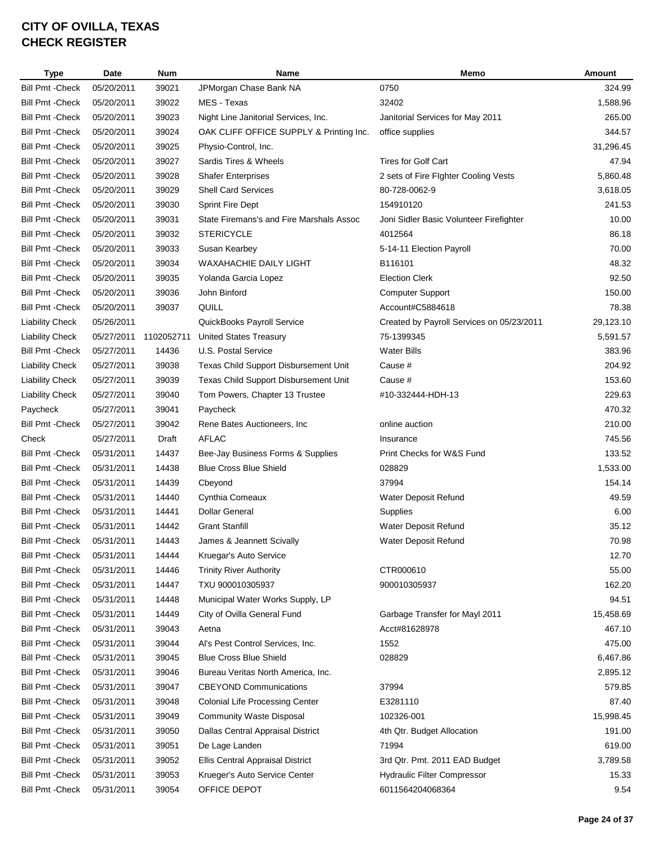| <b>Type</b>             | Date       | <b>Num</b> | Name                                     | Memo                                      | Amount    |
|-------------------------|------------|------------|------------------------------------------|-------------------------------------------|-----------|
| <b>Bill Pmt - Check</b> | 05/20/2011 | 39021      | JPMorgan Chase Bank NA                   | 0750                                      | 324.99    |
| <b>Bill Pmt - Check</b> | 05/20/2011 | 39022      | MES - Texas                              | 32402                                     | 1,588.96  |
| <b>Bill Pmt - Check</b> | 05/20/2011 | 39023      | Night Line Janitorial Services, Inc.     | Janitorial Services for May 2011          | 265.00    |
| <b>Bill Pmt - Check</b> | 05/20/2011 | 39024      | OAK CLIFF OFFICE SUPPLY & Printing Inc.  | office supplies                           | 344.57    |
| <b>Bill Pmt - Check</b> | 05/20/2011 | 39025      | Physio-Control, Inc.                     |                                           | 31,296.45 |
| <b>Bill Pmt - Check</b> | 05/20/2011 | 39027      | Sardis Tires & Wheels                    | <b>Tires for Golf Cart</b>                | 47.94     |
| <b>Bill Pmt - Check</b> | 05/20/2011 | 39028      | <b>Shafer Enterprises</b>                | 2 sets of Fire Flghter Cooling Vests      | 5,860.48  |
| <b>Bill Pmt - Check</b> | 05/20/2011 | 39029      | <b>Shell Card Services</b>               | 80-728-0062-9                             | 3,618.05  |
| <b>Bill Pmt - Check</b> | 05/20/2011 | 39030      | <b>Sprint Fire Dept</b>                  | 154910120                                 | 241.53    |
| <b>Bill Pmt - Check</b> | 05/20/2011 | 39031      | State Firemans's and Fire Marshals Assoc | Joni Sidler Basic Volunteer Firefighter   | 10.00     |
| <b>Bill Pmt - Check</b> | 05/20/2011 | 39032      | <b>STERICYCLE</b>                        | 4012564                                   | 86.18     |
| <b>Bill Pmt - Check</b> | 05/20/2011 | 39033      | Susan Kearbey                            | 5-14-11 Election Payroll                  | 70.00     |
| <b>Bill Pmt - Check</b> | 05/20/2011 | 39034      | WAXAHACHIE DAILY LIGHT                   | B116101                                   | 48.32     |
| <b>Bill Pmt - Check</b> | 05/20/2011 | 39035      | Yolanda Garcia Lopez                     | <b>Election Clerk</b>                     | 92.50     |
| <b>Bill Pmt - Check</b> | 05/20/2011 | 39036      | John Binford                             | <b>Computer Support</b>                   | 150.00    |
| <b>Bill Pmt - Check</b> | 05/20/2011 | 39037      | QUILL                                    | Account#C5884618                          | 78.38     |
| <b>Liability Check</b>  | 05/26/2011 |            | QuickBooks Payroll Service               | Created by Payroll Services on 05/23/2011 | 29,123.10 |
| <b>Liability Check</b>  | 05/27/2011 | 1102052711 | <b>United States Treasury</b>            | 75-1399345                                | 5,591.57  |
| Bill Pmt - Check        | 05/27/2011 | 14436      | U.S. Postal Service                      | <b>Water Bills</b>                        | 383.96    |
| <b>Liability Check</b>  | 05/27/2011 | 39038      | Texas Child Support Disbursement Unit    | Cause #                                   | 204.92    |
| <b>Liability Check</b>  | 05/27/2011 | 39039      | Texas Child Support Disbursement Unit    | Cause #                                   | 153.60    |
| <b>Liability Check</b>  | 05/27/2011 | 39040      | Tom Powers, Chapter 13 Trustee           | #10-332444-HDH-13                         | 229.63    |
| Paycheck                | 05/27/2011 | 39041      | Paycheck                                 |                                           | 470.32    |
| <b>Bill Pmt - Check</b> | 05/27/2011 | 39042      | Rene Bates Auctioneers, Inc.             | online auction                            | 210.00    |
| Check                   | 05/27/2011 | Draft      | <b>AFLAC</b>                             | Insurance                                 | 745.56    |
| <b>Bill Pmt - Check</b> | 05/31/2011 | 14437      | Bee-Jay Business Forms & Supplies        | Print Checks for W&S Fund                 | 133.52    |
| <b>Bill Pmt - Check</b> | 05/31/2011 | 14438      | <b>Blue Cross Blue Shield</b>            | 028829                                    | 1,533.00  |
| <b>Bill Pmt - Check</b> | 05/31/2011 | 14439      | Cbeyond                                  | 37994                                     | 154.14    |
| <b>Bill Pmt - Check</b> | 05/31/2011 | 14440      | Cynthia Comeaux                          | Water Deposit Refund                      | 49.59     |
| <b>Bill Pmt - Check</b> | 05/31/2011 | 14441      | <b>Dollar General</b>                    | Supplies                                  | 6.00      |
| <b>Bill Pmt - Check</b> | 05/31/2011 | 14442      | <b>Grant Stanfill</b>                    | Water Deposit Refund                      | 35.12     |
| <b>Bill Pmt - Check</b> | 05/31/2011 | 14443      | James & Jeannett Scivally                | Water Deposit Refund                      | 70.98     |
| <b>Bill Pmt - Check</b> | 05/31/2011 | 14444      | Kruegar's Auto Service                   |                                           | 12.70     |
| <b>Bill Pmt - Check</b> | 05/31/2011 | 14446      | <b>Trinity River Authority</b>           | CTR000610                                 | 55.00     |
| <b>Bill Pmt - Check</b> | 05/31/2011 | 14447      | TXU 900010305937                         | 900010305937                              | 162.20    |
| <b>Bill Pmt - Check</b> | 05/31/2011 | 14448      | Municipal Water Works Supply, LP         |                                           | 94.51     |
| <b>Bill Pmt - Check</b> | 05/31/2011 | 14449      | City of Ovilla General Fund              | Garbage Transfer for Mayl 2011            | 15,458.69 |
| <b>Bill Pmt - Check</b> | 05/31/2011 | 39043      | Aetna                                    | Acct#81628978                             | 467.10    |
| <b>Bill Pmt - Check</b> | 05/31/2011 | 39044      | Al's Pest Control Services, Inc.         | 1552                                      | 475.00    |
| <b>Bill Pmt - Check</b> | 05/31/2011 | 39045      | <b>Blue Cross Blue Shield</b>            | 028829                                    | 6,467.86  |
| <b>Bill Pmt - Check</b> | 05/31/2011 | 39046      | Bureau Veritas North America, Inc.       |                                           | 2,895.12  |
| <b>Bill Pmt - Check</b> | 05/31/2011 | 39047      | <b>CBEYOND Communications</b>            | 37994                                     | 579.85    |
| <b>Bill Pmt - Check</b> | 05/31/2011 | 39048      | <b>Colonial Life Processing Center</b>   | E3281110                                  | 87.40     |
| <b>Bill Pmt - Check</b> | 05/31/2011 | 39049      | <b>Community Waste Disposal</b>          | 102326-001                                | 15,998.45 |
| <b>Bill Pmt - Check</b> | 05/31/2011 | 39050      | Dallas Central Appraisal District        | 4th Qtr. Budget Allocation                | 191.00    |
| <b>Bill Pmt - Check</b> | 05/31/2011 | 39051      | De Lage Landen                           | 71994                                     | 619.00    |
| <b>Bill Pmt - Check</b> | 05/31/2011 | 39052      | Ellis Central Appraisal District         | 3rd Qtr. Pmt. 2011 EAD Budget             | 3,789.58  |
| <b>Bill Pmt - Check</b> | 05/31/2011 | 39053      | Krueger's Auto Service Center            | Hydraulic Filter Compressor               | 15.33     |
| <b>Bill Pmt - Check</b> | 05/31/2011 | 39054      | OFFICE DEPOT                             | 6011564204068364                          | 9.54      |
|                         |            |            |                                          |                                           |           |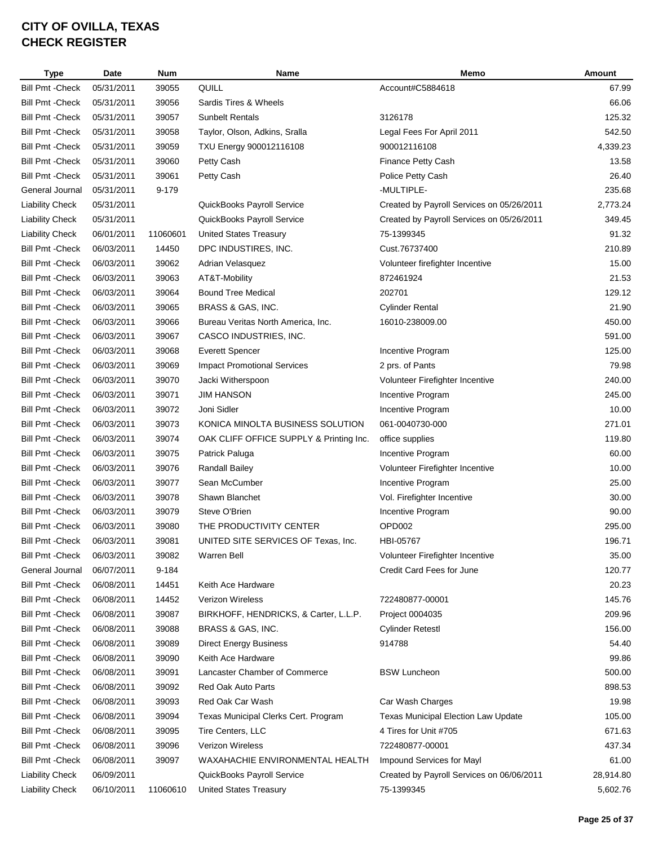| <b>Type</b>             | Date       | Num      | Name                                    | Memo                                       | <b>Amount</b> |
|-------------------------|------------|----------|-----------------------------------------|--------------------------------------------|---------------|
| <b>Bill Pmt - Check</b> | 05/31/2011 | 39055    | QUILL                                   | Account#C5884618                           | 67.99         |
| <b>Bill Pmt - Check</b> | 05/31/2011 | 39056    | Sardis Tires & Wheels                   |                                            | 66.06         |
| <b>Bill Pmt - Check</b> | 05/31/2011 | 39057    | <b>Sunbelt Rentals</b>                  | 3126178                                    | 125.32        |
| <b>Bill Pmt - Check</b> | 05/31/2011 | 39058    | Taylor, Olson, Adkins, Sralla           | Legal Fees For April 2011                  | 542.50        |
| <b>Bill Pmt - Check</b> | 05/31/2011 | 39059    | TXU Energy 900012116108                 | 900012116108                               | 4,339.23      |
| <b>Bill Pmt - Check</b> | 05/31/2011 | 39060    | Petty Cash                              | <b>Finance Petty Cash</b>                  | 13.58         |
| <b>Bill Pmt - Check</b> | 05/31/2011 | 39061    | Petty Cash                              | Police Petty Cash                          | 26.40         |
| General Journal         | 05/31/2011 | 9-179    |                                         | -MULTIPLE-                                 | 235.68        |
| <b>Liability Check</b>  | 05/31/2011 |          | QuickBooks Payroll Service              | Created by Payroll Services on 05/26/2011  | 2,773.24      |
| <b>Liability Check</b>  | 05/31/2011 |          | QuickBooks Payroll Service              | Created by Payroll Services on 05/26/2011  | 349.45        |
| <b>Liability Check</b>  | 06/01/2011 | 11060601 | <b>United States Treasury</b>           | 75-1399345                                 | 91.32         |
| <b>Bill Pmt - Check</b> | 06/03/2011 | 14450    | DPC INDUSTIRES, INC.                    | Cust.76737400                              | 210.89        |
| <b>Bill Pmt - Check</b> | 06/03/2011 | 39062    | Adrian Velasquez                        | Volunteer firefighter Incentive            | 15.00         |
| <b>Bill Pmt - Check</b> | 06/03/2011 | 39063    | AT&T-Mobility                           | 872461924                                  | 21.53         |
| <b>Bill Pmt - Check</b> | 06/03/2011 | 39064    | <b>Bound Tree Medical</b>               | 202701                                     | 129.12        |
| <b>Bill Pmt - Check</b> | 06/03/2011 | 39065    | BRASS & GAS, INC.                       | <b>Cylinder Rental</b>                     | 21.90         |
| <b>Bill Pmt - Check</b> | 06/03/2011 | 39066    | Bureau Veritas North America, Inc.      | 16010-238009.00                            | 450.00        |
| <b>Bill Pmt - Check</b> | 06/03/2011 | 39067    | CASCO INDUSTRIES, INC.                  |                                            | 591.00        |
| <b>Bill Pmt - Check</b> | 06/03/2011 | 39068    | <b>Everett Spencer</b>                  | Incentive Program                          | 125.00        |
| <b>Bill Pmt - Check</b> | 06/03/2011 | 39069    | <b>Impact Promotional Services</b>      | 2 prs. of Pants                            | 79.98         |
| <b>Bill Pmt - Check</b> | 06/03/2011 | 39070    | Jacki Witherspoon                       | Volunteer Firefighter Incentive            | 240.00        |
| <b>Bill Pmt - Check</b> | 06/03/2011 | 39071    | <b>JIM HANSON</b>                       | Incentive Program                          | 245.00        |
| <b>Bill Pmt - Check</b> | 06/03/2011 | 39072    | Joni Sidler                             | Incentive Program                          | 10.00         |
| <b>Bill Pmt - Check</b> | 06/03/2011 | 39073    | KONICA MINOLTA BUSINESS SOLUTION        | 061-0040730-000                            | 271.01        |
| <b>Bill Pmt - Check</b> | 06/03/2011 | 39074    | OAK CLIFF OFFICE SUPPLY & Printing Inc. | office supplies                            | 119.80        |
| <b>Bill Pmt - Check</b> | 06/03/2011 | 39075    | Patrick Paluga                          | Incentive Program                          | 60.00         |
| <b>Bill Pmt - Check</b> | 06/03/2011 | 39076    | Randall Bailey                          | Volunteer Firefighter Incentive            | 10.00         |
| <b>Bill Pmt - Check</b> | 06/03/2011 | 39077    | Sean McCumber                           | Incentive Program                          | 25.00         |
| <b>Bill Pmt - Check</b> | 06/03/2011 | 39078    | Shawn Blanchet                          | Vol. Firefighter Incentive                 | 30.00         |
| <b>Bill Pmt - Check</b> | 06/03/2011 | 39079    | Steve O'Brien                           | Incentive Program                          | 90.00         |
| <b>Bill Pmt - Check</b> | 06/03/2011 | 39080    | THE PRODUCTIVITY CENTER                 | OPD002                                     | 295.00        |
| <b>Bill Pmt - Check</b> | 06/03/2011 | 39081    | UNITED SITE SERVICES OF Texas, Inc.     | HBI-05767                                  | 196.71        |
| <b>Bill Pmt - Check</b> | 06/03/2011 | 39082    | Warren Bell                             | Volunteer Firefighter Incentive            | 35.00         |
| General Journal         | 06/07/2011 | 9-184    |                                         | Credit Card Fees for June                  | 120.77        |
| <b>Bill Pmt - Check</b> | 06/08/2011 | 14451    | Keith Ace Hardware                      |                                            | 20.23         |
| <b>Bill Pmt - Check</b> | 06/08/2011 | 14452    | <b>Verizon Wireless</b>                 | 722480877-00001                            | 145.76        |
| <b>Bill Pmt - Check</b> | 06/08/2011 | 39087    | BIRKHOFF, HENDRICKS, & Carter, L.L.P.   | Project 0004035                            | 209.96        |
| <b>Bill Pmt - Check</b> | 06/08/2011 | 39088    | BRASS & GAS, INC.                       | <b>Cylinder Retestl</b>                    | 156.00        |
| <b>Bill Pmt - Check</b> | 06/08/2011 | 39089    | <b>Direct Energy Business</b>           | 914788                                     | 54.40         |
| Bill Pmt - Check        | 06/08/2011 | 39090    | Keith Ace Hardware                      |                                            | 99.86         |
| <b>Bill Pmt - Check</b> | 06/08/2011 | 39091    | Lancaster Chamber of Commerce           | <b>BSW Luncheon</b>                        | 500.00        |
| <b>Bill Pmt - Check</b> | 06/08/2011 | 39092    | Red Oak Auto Parts                      |                                            | 898.53        |
| <b>Bill Pmt - Check</b> | 06/08/2011 | 39093    | Red Oak Car Wash                        | Car Wash Charges                           | 19.98         |
| <b>Bill Pmt - Check</b> | 06/08/2011 | 39094    | Texas Municipal Clerks Cert. Program    | <b>Texas Municipal Election Law Update</b> | 105.00        |
| <b>Bill Pmt - Check</b> | 06/08/2011 | 39095    | Tire Centers, LLC                       | 4 Tires for Unit #705                      | 671.63        |
| <b>Bill Pmt - Check</b> | 06/08/2011 | 39096    | <b>Verizon Wireless</b>                 | 722480877-00001                            | 437.34        |
| Bill Pmt - Check        | 06/08/2011 | 39097    | WAXAHACHIE ENVIRONMENTAL HEALTH         | Impound Services for Mayl                  | 61.00         |
| <b>Liability Check</b>  | 06/09/2011 |          | QuickBooks Payroll Service              | Created by Payroll Services on 06/06/2011  | 28,914.80     |
| <b>Liability Check</b>  | 06/10/2011 | 11060610 | <b>United States Treasury</b>           | 75-1399345                                 | 5,602.76      |
|                         |            |          |                                         |                                            |               |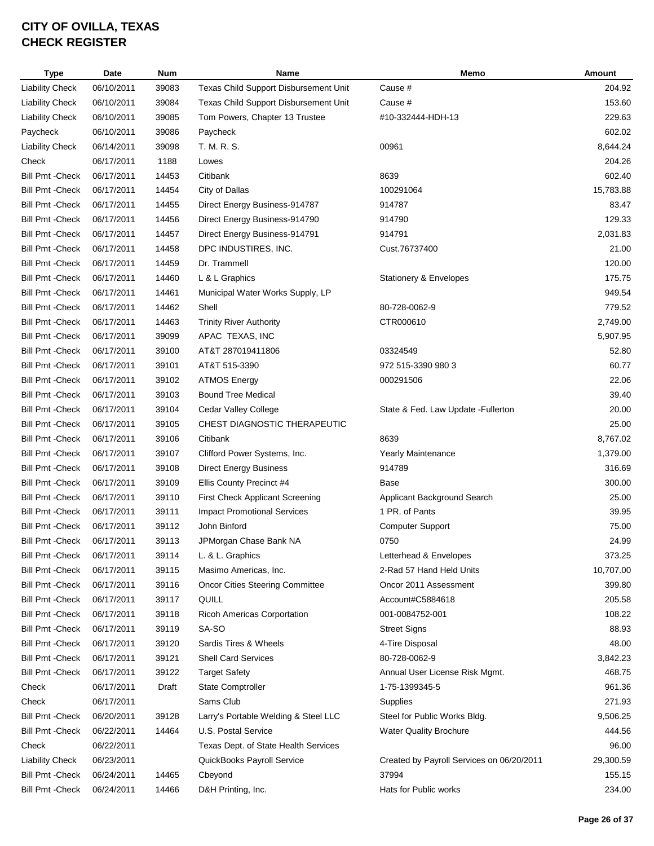| <b>Type</b>             | Date       | <b>Num</b> | Name                                   | Memo                                      | Amount    |
|-------------------------|------------|------------|----------------------------------------|-------------------------------------------|-----------|
| <b>Liability Check</b>  | 06/10/2011 | 39083      | Texas Child Support Disbursement Unit  | Cause #                                   | 204.92    |
| <b>Liability Check</b>  | 06/10/2011 | 39084      | Texas Child Support Disbursement Unit  | Cause #                                   | 153.60    |
| <b>Liability Check</b>  | 06/10/2011 | 39085      | Tom Powers, Chapter 13 Trustee         | #10-332444-HDH-13                         | 229.63    |
| Paycheck                | 06/10/2011 | 39086      | Paycheck                               |                                           | 602.02    |
| <b>Liability Check</b>  | 06/14/2011 | 39098      | T. M. R. S.                            | 00961                                     | 8,644.24  |
| Check                   | 06/17/2011 | 1188       | Lowes                                  |                                           | 204.26    |
| <b>Bill Pmt - Check</b> | 06/17/2011 | 14453      | Citibank                               | 8639                                      | 602.40    |
| <b>Bill Pmt - Check</b> | 06/17/2011 | 14454      | City of Dallas                         | 100291064                                 | 15,783.88 |
| <b>Bill Pmt - Check</b> | 06/17/2011 | 14455      | Direct Energy Business-914787          | 914787                                    | 83.47     |
| <b>Bill Pmt - Check</b> | 06/17/2011 | 14456      | Direct Energy Business-914790          | 914790                                    | 129.33    |
| <b>Bill Pmt - Check</b> | 06/17/2011 | 14457      | Direct Energy Business-914791          | 914791                                    | 2,031.83  |
| <b>Bill Pmt - Check</b> | 06/17/2011 | 14458      | DPC INDUSTIRES, INC.                   | Cust.76737400                             | 21.00     |
| <b>Bill Pmt - Check</b> | 06/17/2011 | 14459      | Dr. Trammell                           |                                           | 120.00    |
| <b>Bill Pmt - Check</b> | 06/17/2011 | 14460      | L & L Graphics                         | Stationery & Envelopes                    | 175.75    |
| <b>Bill Pmt - Check</b> | 06/17/2011 | 14461      | Municipal Water Works Supply, LP       |                                           | 949.54    |
| <b>Bill Pmt - Check</b> | 06/17/2011 | 14462      | Shell                                  | 80-728-0062-9                             | 779.52    |
| <b>Bill Pmt - Check</b> | 06/17/2011 | 14463      | <b>Trinity River Authority</b>         | CTR000610                                 | 2,749.00  |
| <b>Bill Pmt - Check</b> | 06/17/2011 | 39099      | APAC TEXAS, INC                        |                                           | 5,907.95  |
| <b>Bill Pmt - Check</b> | 06/17/2011 | 39100      | AT&T 287019411806                      | 03324549                                  | 52.80     |
| <b>Bill Pmt - Check</b> | 06/17/2011 | 39101      | AT&T 515-3390                          | 972 515-3390 980 3                        | 60.77     |
| <b>Bill Pmt - Check</b> | 06/17/2011 | 39102      | <b>ATMOS Energy</b>                    | 000291506                                 | 22.06     |
| <b>Bill Pmt - Check</b> | 06/17/2011 | 39103      | <b>Bound Tree Medical</b>              |                                           | 39.40     |
| <b>Bill Pmt - Check</b> | 06/17/2011 | 39104      | Cedar Valley College                   | State & Fed. Law Update - Fullerton       | 20.00     |
| <b>Bill Pmt - Check</b> | 06/17/2011 | 39105      | CHEST DIAGNOSTIC THERAPEUTIC           |                                           | 25.00     |
| <b>Bill Pmt - Check</b> | 06/17/2011 | 39106      | Citibank                               | 8639                                      | 8,767.02  |
| <b>Bill Pmt - Check</b> | 06/17/2011 | 39107      | Clifford Power Systems, Inc.           | <b>Yearly Maintenance</b>                 | 1,379.00  |
| <b>Bill Pmt - Check</b> | 06/17/2011 | 39108      | <b>Direct Energy Business</b>          | 914789                                    | 316.69    |
| <b>Bill Pmt - Check</b> | 06/17/2011 | 39109      | Ellis County Precinct #4               | Base                                      | 300.00    |
| <b>Bill Pmt - Check</b> | 06/17/2011 | 39110      | <b>First Check Applicant Screening</b> | Applicant Background Search               | 25.00     |
| <b>Bill Pmt - Check</b> | 06/17/2011 | 39111      | <b>Impact Promotional Services</b>     | 1 PR. of Pants                            | 39.95     |
| <b>Bill Pmt - Check</b> | 06/17/2011 | 39112      | John Binford                           | <b>Computer Support</b>                   | 75.00     |
| <b>Bill Pmt - Check</b> | 06/17/2011 | 39113      | JPMorgan Chase Bank NA                 | 0750                                      | 24.99     |
| <b>Bill Pmt - Check</b> | 06/17/2011 | 39114      | L. & L. Graphics                       | Letterhead & Envelopes                    | 373.25    |
| <b>Bill Pmt - Check</b> | 06/17/2011 | 39115      | Masimo Americas, Inc.                  | 2-Rad 57 Hand Held Units                  | 10,707.00 |
| <b>Bill Pmt - Check</b> | 06/17/2011 | 39116      | <b>Oncor Cities Steering Committee</b> | Oncor 2011 Assessment                     | 399.80    |
| <b>Bill Pmt - Check</b> | 06/17/2011 | 39117      | QUILL                                  | Account#C5884618                          | 205.58    |
| <b>Bill Pmt - Check</b> | 06/17/2011 | 39118      | <b>Ricoh Americas Corportation</b>     | 001-0084752-001                           | 108.22    |
| <b>Bill Pmt - Check</b> | 06/17/2011 | 39119      | SA-SO                                  | <b>Street Signs</b>                       | 88.93     |
| <b>Bill Pmt - Check</b> | 06/17/2011 | 39120      | Sardis Tires & Wheels                  | 4-Tire Disposal                           | 48.00     |
| <b>Bill Pmt - Check</b> | 06/17/2011 | 39121      | <b>Shell Card Services</b>             | 80-728-0062-9                             | 3,842.23  |
| <b>Bill Pmt - Check</b> | 06/17/2011 | 39122      | <b>Target Safety</b>                   | Annual User License Risk Mgmt.            | 468.75    |
| Check                   | 06/17/2011 | Draft      | State Comptroller                      | 1-75-1399345-5                            | 961.36    |
| Check                   | 06/17/2011 |            | Sams Club                              | Supplies                                  | 271.93    |
| <b>Bill Pmt - Check</b> | 06/20/2011 | 39128      | Larry's Portable Welding & Steel LLC   | Steel for Public Works Bldg.              | 9,506.25  |
| <b>Bill Pmt - Check</b> | 06/22/2011 | 14464      | U.S. Postal Service                    | <b>Water Quality Brochure</b>             | 444.56    |
| Check                   | 06/22/2011 |            | Texas Dept. of State Health Services   |                                           | 96.00     |
| <b>Liability Check</b>  | 06/23/2011 |            | QuickBooks Payroll Service             | Created by Payroll Services on 06/20/2011 | 29,300.59 |
| <b>Bill Pmt - Check</b> | 06/24/2011 | 14465      | Cbeyond                                | 37994                                     | 155.15    |
| <b>Bill Pmt - Check</b> | 06/24/2011 | 14466      | D&H Printing, Inc.                     | Hats for Public works                     | 234.00    |
|                         |            |            |                                        |                                           |           |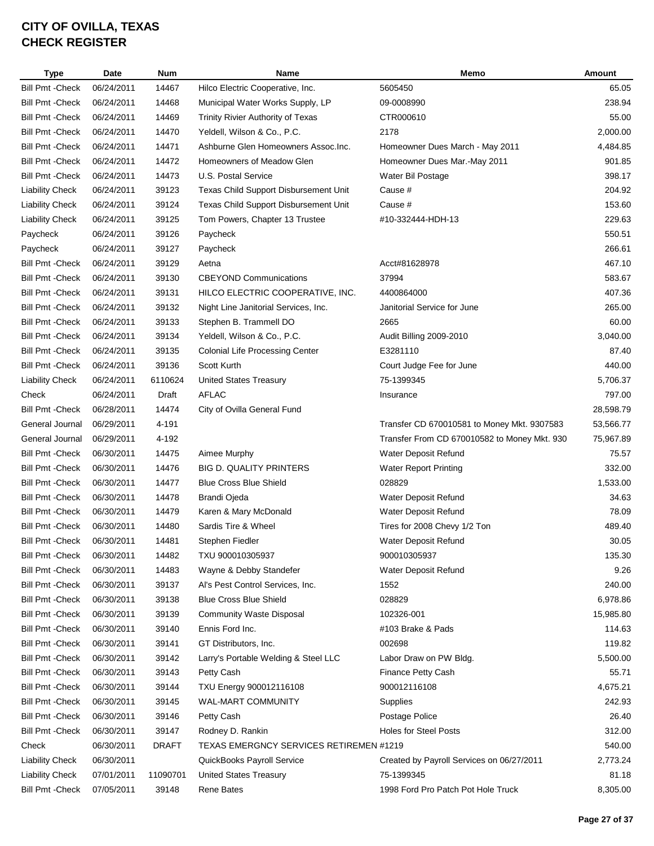| <b>Type</b>             | Date       | <b>Num</b>   | Name                                     | Memo                                         | <b>Amount</b> |
|-------------------------|------------|--------------|------------------------------------------|----------------------------------------------|---------------|
| <b>Bill Pmt - Check</b> | 06/24/2011 | 14467        | Hilco Electric Cooperative, Inc.         | 5605450                                      | 65.05         |
| <b>Bill Pmt - Check</b> | 06/24/2011 | 14468        | Municipal Water Works Supply, LP         | 09-0008990                                   | 238.94        |
| <b>Bill Pmt - Check</b> | 06/24/2011 | 14469        | <b>Trinity Rivier Authority of Texas</b> | CTR000610                                    | 55.00         |
| <b>Bill Pmt - Check</b> | 06/24/2011 | 14470        | Yeldell, Wilson & Co., P.C.              | 2178                                         | 2,000.00      |
| <b>Bill Pmt - Check</b> | 06/24/2011 | 14471        | Ashburne Glen Homeowners Assoc. Inc.     | Homeowner Dues March - May 2011              | 4,484.85      |
| <b>Bill Pmt - Check</b> | 06/24/2011 | 14472        | Homeowners of Meadow Glen                | Homeowner Dues Mar.-May 2011                 | 901.85        |
| <b>Bill Pmt - Check</b> | 06/24/2011 | 14473        | U.S. Postal Service                      | Water Bil Postage                            | 398.17        |
| <b>Liability Check</b>  | 06/24/2011 | 39123        | Texas Child Support Disbursement Unit    | Cause #                                      | 204.92        |
| <b>Liability Check</b>  | 06/24/2011 | 39124        | Texas Child Support Disbursement Unit    | Cause #                                      | 153.60        |
| <b>Liability Check</b>  | 06/24/2011 | 39125        | Tom Powers, Chapter 13 Trustee           | #10-332444-HDH-13                            | 229.63        |
| Paycheck                | 06/24/2011 | 39126        | Paycheck                                 |                                              | 550.51        |
| Paycheck                | 06/24/2011 | 39127        | Paycheck                                 |                                              | 266.61        |
| <b>Bill Pmt - Check</b> | 06/24/2011 | 39129        | Aetna                                    | Acct#81628978                                | 467.10        |
| <b>Bill Pmt - Check</b> | 06/24/2011 | 39130        | <b>CBEYOND Communications</b>            | 37994                                        | 583.67        |
| <b>Bill Pmt - Check</b> | 06/24/2011 | 39131        | HILCO ELECTRIC COOPERATIVE, INC.         | 4400864000                                   | 407.36        |
| <b>Bill Pmt - Check</b> | 06/24/2011 | 39132        | Night Line Janitorial Services, Inc.     | Janitorial Service for June                  | 265.00        |
| <b>Bill Pmt - Check</b> | 06/24/2011 | 39133        | Stephen B. Trammell DO                   | 2665                                         | 60.00         |
| <b>Bill Pmt - Check</b> | 06/24/2011 | 39134        | Yeldell, Wilson & Co., P.C.              | Audit Billing 2009-2010                      | 3,040.00      |
| <b>Bill Pmt - Check</b> | 06/24/2011 | 39135        | <b>Colonial Life Processing Center</b>   | E3281110                                     | 87.40         |
| <b>Bill Pmt - Check</b> | 06/24/2011 | 39136        | <b>Scott Kurth</b>                       | Court Judge Fee for June                     | 440.00        |
| <b>Liability Check</b>  | 06/24/2011 | 6110624      | <b>United States Treasury</b>            | 75-1399345                                   | 5,706.37      |
| Check                   | 06/24/2011 | Draft        | <b>AFLAC</b>                             | Insurance                                    | 797.00        |
| <b>Bill Pmt - Check</b> | 06/28/2011 | 14474        | City of Ovilla General Fund              |                                              | 28,598.79     |
| General Journal         | 06/29/2011 | 4-191        |                                          | Transfer CD 670010581 to Money Mkt. 9307583  | 53,566.77     |
| General Journal         | 06/29/2011 | 4-192        |                                          | Transfer From CD 670010582 to Money Mkt. 930 | 75,967.89     |
| <b>Bill Pmt - Check</b> | 06/30/2011 | 14475        | Aimee Murphy                             | Water Deposit Refund                         | 75.57         |
| <b>Bill Pmt - Check</b> | 06/30/2011 | 14476        | <b>BIG D. QUALITY PRINTERS</b>           | <b>Water Report Printing</b>                 | 332.00        |
| <b>Bill Pmt - Check</b> | 06/30/2011 | 14477        | <b>Blue Cross Blue Shield</b>            | 028829                                       | 1,533.00      |
| <b>Bill Pmt - Check</b> | 06/30/2011 | 14478        | <b>Brandi Ojeda</b>                      | Water Deposit Refund                         | 34.63         |
| <b>Bill Pmt - Check</b> | 06/30/2011 | 14479        | Karen & Mary McDonald                    | Water Deposit Refund                         | 78.09         |
| <b>Bill Pmt - Check</b> | 06/30/2011 | 14480        | Sardis Tire & Wheel                      | Tires for 2008 Chevy 1/2 Ton                 | 489.40        |
| <b>Bill Pmt - Check</b> | 06/30/2011 | 14481        | Stephen Fiedler                          | Water Deposit Refund                         | 30.05         |
| <b>Bill Pmt - Check</b> | 06/30/2011 | 14482        | TXU 900010305937                         | 900010305937                                 | 135.30        |
| <b>Bill Pmt - Check</b> | 06/30/2011 | 14483        | Wayne & Debby Standefer                  | Water Deposit Refund                         | 9.26          |
| <b>Bill Pmt - Check</b> | 06/30/2011 | 39137        | Al's Pest Control Services, Inc.         | 1552                                         | 240.00        |
| <b>Bill Pmt - Check</b> | 06/30/2011 | 39138        | <b>Blue Cross Blue Shield</b>            | 028829                                       | 6,978.86      |
| Bill Pmt - Check        | 06/30/2011 | 39139        | <b>Community Waste Disposal</b>          | 102326-001                                   | 15,985.80     |
| <b>Bill Pmt - Check</b> | 06/30/2011 | 39140        | Ennis Ford Inc.                          | #103 Brake & Pads                            | 114.63        |
| <b>Bill Pmt - Check</b> | 06/30/2011 | 39141        | GT Distributors, Inc.                    | 002698                                       | 119.82        |
| <b>Bill Pmt - Check</b> | 06/30/2011 | 39142        | Larry's Portable Welding & Steel LLC     | Labor Draw on PW Bldg.                       | 5,500.00      |
| <b>Bill Pmt - Check</b> | 06/30/2011 | 39143        | Petty Cash                               | Finance Petty Cash                           | 55.71         |
| <b>Bill Pmt - Check</b> | 06/30/2011 | 39144        | TXU Energy 900012116108                  | 900012116108                                 | 4,675.21      |
| <b>Bill Pmt - Check</b> | 06/30/2011 | 39145        | WAL-MART COMMUNITY                       | Supplies                                     | 242.93        |
| <b>Bill Pmt - Check</b> | 06/30/2011 | 39146        | Petty Cash                               | Postage Police                               | 26.40         |
| <b>Bill Pmt - Check</b> | 06/30/2011 | 39147        | Rodney D. Rankin                         | <b>Holes for Steel Posts</b>                 | 312.00        |
| Check                   | 06/30/2011 | <b>DRAFT</b> | TEXAS EMERGNCY SERVICES RETIREMEN #1219  |                                              | 540.00        |
| <b>Liability Check</b>  | 06/30/2011 |              | QuickBooks Payroll Service               | Created by Payroll Services on 06/27/2011    | 2,773.24      |
| <b>Liability Check</b>  | 07/01/2011 | 11090701     | <b>United States Treasury</b>            | 75-1399345                                   | 81.18         |
| <b>Bill Pmt - Check</b> | 07/05/2011 | 39148        | Rene Bates                               | 1998 Ford Pro Patch Pot Hole Truck           | 8,305.00      |
|                         |            |              |                                          |                                              |               |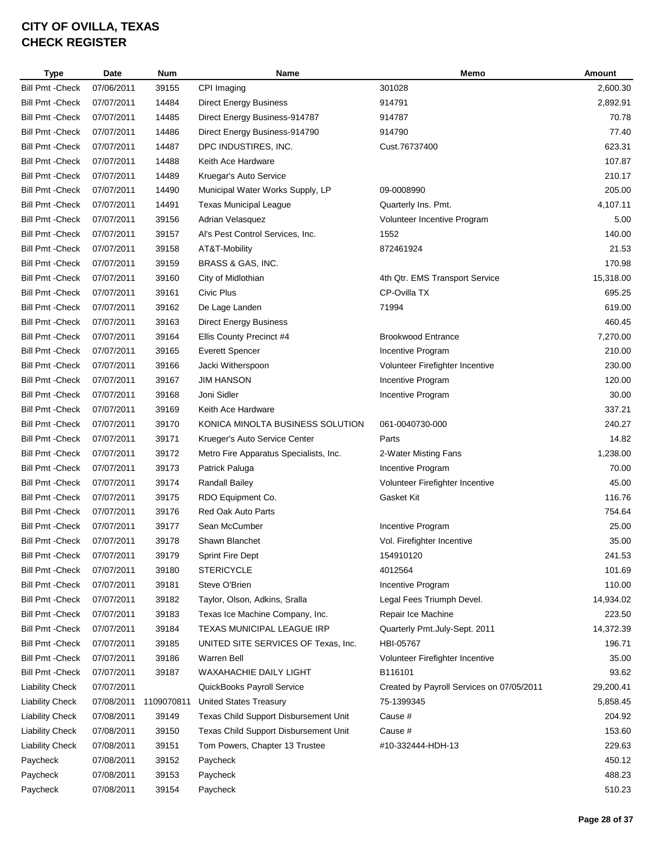| <b>Type</b>             | Date       | <b>Num</b> | Name                                   | Memo                                      | Amount    |
|-------------------------|------------|------------|----------------------------------------|-------------------------------------------|-----------|
| <b>Bill Pmt - Check</b> | 07/06/2011 | 39155      | CPI Imaging                            | 301028                                    | 2,600.30  |
| <b>Bill Pmt - Check</b> | 07/07/2011 | 14484      | <b>Direct Energy Business</b>          | 914791                                    | 2,892.91  |
| <b>Bill Pmt - Check</b> | 07/07/2011 | 14485      | Direct Energy Business-914787          | 914787                                    | 70.78     |
| <b>Bill Pmt - Check</b> | 07/07/2011 | 14486      | Direct Energy Business-914790          | 914790                                    | 77.40     |
| <b>Bill Pmt - Check</b> | 07/07/2011 | 14487      | DPC INDUSTIRES, INC.                   | Cust.76737400                             | 623.31    |
| <b>Bill Pmt - Check</b> | 07/07/2011 | 14488      | Keith Ace Hardware                     |                                           | 107.87    |
| <b>Bill Pmt - Check</b> | 07/07/2011 | 14489      | Kruegar's Auto Service                 |                                           | 210.17    |
| <b>Bill Pmt - Check</b> | 07/07/2011 | 14490      | Municipal Water Works Supply, LP       | 09-0008990                                | 205.00    |
| <b>Bill Pmt - Check</b> | 07/07/2011 | 14491      | <b>Texas Municipal League</b>          | Quarterly Ins. Pmt.                       | 4,107.11  |
| <b>Bill Pmt - Check</b> | 07/07/2011 | 39156      | Adrian Velasquez                       | Volunteer Incentive Program               | 5.00      |
| <b>Bill Pmt - Check</b> | 07/07/2011 | 39157      | Al's Pest Control Services, Inc.       | 1552                                      | 140.00    |
| <b>Bill Pmt - Check</b> | 07/07/2011 | 39158      | AT&T-Mobility                          | 872461924                                 | 21.53     |
| <b>Bill Pmt - Check</b> | 07/07/2011 | 39159      | BRASS & GAS, INC.                      |                                           | 170.98    |
| <b>Bill Pmt - Check</b> | 07/07/2011 | 39160      | City of Midlothian                     | 4th Qtr. EMS Transport Service            | 15,318.00 |
| <b>Bill Pmt - Check</b> | 07/07/2011 | 39161      | Civic Plus                             | CP-Ovilla TX                              | 695.25    |
| <b>Bill Pmt - Check</b> | 07/07/2011 | 39162      | De Lage Landen                         | 71994                                     | 619.00    |
| <b>Bill Pmt - Check</b> | 07/07/2011 | 39163      | <b>Direct Energy Business</b>          |                                           | 460.45    |
| <b>Bill Pmt - Check</b> | 07/07/2011 | 39164      | Ellis County Precinct #4               | <b>Brookwood Entrance</b>                 | 7,270.00  |
| <b>Bill Pmt - Check</b> | 07/07/2011 | 39165      | <b>Everett Spencer</b>                 | Incentive Program                         | 210.00    |
| <b>Bill Pmt - Check</b> | 07/07/2011 | 39166      | Jacki Witherspoon                      | Volunteer Firefighter Incentive           | 230.00    |
| <b>Bill Pmt - Check</b> | 07/07/2011 | 39167      | <b>JIM HANSON</b>                      | Incentive Program                         | 120.00    |
| <b>Bill Pmt - Check</b> | 07/07/2011 | 39168      | Joni Sidler                            | Incentive Program                         | 30.00     |
| <b>Bill Pmt - Check</b> | 07/07/2011 | 39169      | Keith Ace Hardware                     |                                           | 337.21    |
| <b>Bill Pmt - Check</b> | 07/07/2011 | 39170      | KONICA MINOLTA BUSINESS SOLUTION       | 061-0040730-000                           | 240.27    |
| <b>Bill Pmt - Check</b> | 07/07/2011 | 39171      | Krueger's Auto Service Center          | Parts                                     | 14.82     |
| <b>Bill Pmt - Check</b> | 07/07/2011 | 39172      | Metro Fire Apparatus Specialists, Inc. | 2-Water Misting Fans                      | 1,238.00  |
| <b>Bill Pmt - Check</b> | 07/07/2011 | 39173      | Patrick Paluga                         | Incentive Program                         | 70.00     |
| <b>Bill Pmt - Check</b> | 07/07/2011 | 39174      | Randall Bailey                         | Volunteer Firefighter Incentive           | 45.00     |
| <b>Bill Pmt - Check</b> | 07/07/2011 | 39175      | RDO Equipment Co.                      | Gasket Kit                                | 116.76    |
| <b>Bill Pmt - Check</b> | 07/07/2011 | 39176      | Red Oak Auto Parts                     |                                           | 754.64    |
| <b>Bill Pmt - Check</b> | 07/07/2011 | 39177      | Sean McCumber                          | Incentive Program                         | 25.00     |
| <b>Bill Pmt - Check</b> | 07/07/2011 | 39178      | Shawn Blanchet                         | Vol. Firefighter Incentive                | 35.00     |
| <b>Bill Pmt - Check</b> | 07/07/2011 | 39179      | <b>Sprint Fire Dept</b>                | 154910120                                 | 241.53    |
| <b>Bill Pmt - Check</b> | 07/07/2011 | 39180      | <b>STERICYCLE</b>                      | 4012564                                   | 101.69    |
| <b>Bill Pmt - Check</b> | 07/07/2011 | 39181      | Steve O'Brien                          | Incentive Program                         | 110.00    |
| Bill Pmt - Check        | 07/07/2011 | 39182      | Taylor, Olson, Adkins, Sralla          | Legal Fees Triumph Devel.                 | 14,934.02 |
| <b>Bill Pmt - Check</b> | 07/07/2011 | 39183      | Texas Ice Machine Company, Inc.        | Repair Ice Machine                        | 223.50    |
| <b>Bill Pmt - Check</b> | 07/07/2011 | 39184      | TEXAS MUNICIPAL LEAGUE IRP             | Quarterly Pmt.July-Sept. 2011             | 14,372.39 |
| <b>Bill Pmt - Check</b> | 07/07/2011 | 39185      | UNITED SITE SERVICES OF Texas, Inc.    | HBI-05767                                 | 196.71    |
| Bill Pmt - Check        | 07/07/2011 | 39186      | Warren Bell                            | Volunteer Firefighter Incentive           | 35.00     |
| <b>Bill Pmt - Check</b> | 07/07/2011 | 39187      | WAXAHACHIE DAILY LIGHT                 | B116101                                   | 93.62     |
| <b>Liability Check</b>  | 07/07/2011 |            | QuickBooks Payroll Service             | Created by Payroll Services on 07/05/2011 | 29,200.41 |
| <b>Liability Check</b>  | 07/08/2011 | 1109070811 | <b>United States Treasury</b>          | 75-1399345                                | 5,858.45  |
| <b>Liability Check</b>  | 07/08/2011 | 39149      | Texas Child Support Disbursement Unit  | Cause #                                   | 204.92    |
| <b>Liability Check</b>  | 07/08/2011 | 39150      | Texas Child Support Disbursement Unit  | Cause #                                   | 153.60    |
| <b>Liability Check</b>  | 07/08/2011 | 39151      | Tom Powers, Chapter 13 Trustee         | #10-332444-HDH-13                         | 229.63    |
| Paycheck                | 07/08/2011 | 39152      | Paycheck                               |                                           | 450.12    |
| Paycheck                | 07/08/2011 | 39153      | Paycheck                               |                                           | 488.23    |
| Paycheck                | 07/08/2011 | 39154      | Paycheck                               |                                           | 510.23    |
|                         |            |            |                                        |                                           |           |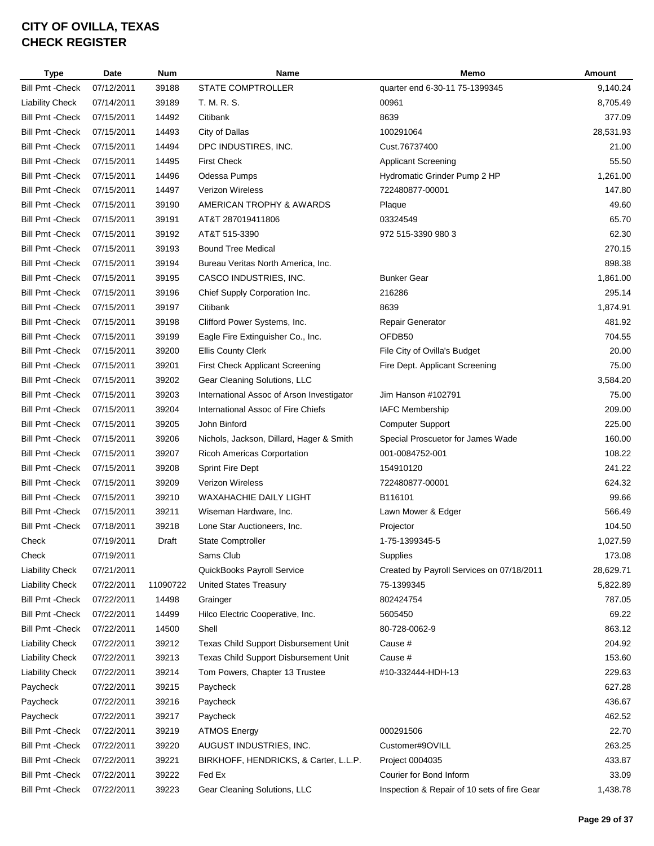| <b>Type</b>             | Date       | <b>Num</b> | Name                                      | Memo                                        | <b>Amount</b> |
|-------------------------|------------|------------|-------------------------------------------|---------------------------------------------|---------------|
| <b>Bill Pmt - Check</b> | 07/12/2011 | 39188      | <b>STATE COMPTROLLER</b>                  | quarter end 6-30-11 75-1399345              | 9,140.24      |
| <b>Liability Check</b>  | 07/14/2011 | 39189      | T. M. R. S.                               | 00961                                       | 8,705.49      |
| <b>Bill Pmt - Check</b> | 07/15/2011 | 14492      | Citibank                                  | 8639                                        | 377.09        |
| <b>Bill Pmt - Check</b> | 07/15/2011 | 14493      | City of Dallas                            | 100291064                                   | 28,531.93     |
| <b>Bill Pmt - Check</b> | 07/15/2011 | 14494      | DPC INDUSTIRES, INC.                      | Cust.76737400                               | 21.00         |
| <b>Bill Pmt - Check</b> | 07/15/2011 | 14495      | <b>First Check</b>                        | <b>Applicant Screening</b>                  | 55.50         |
| <b>Bill Pmt - Check</b> | 07/15/2011 | 14496      | Odessa Pumps                              | Hydromatic Grinder Pump 2 HP                | 1,261.00      |
| <b>Bill Pmt - Check</b> | 07/15/2011 | 14497      | <b>Verizon Wireless</b>                   | 722480877-00001                             | 147.80        |
| <b>Bill Pmt - Check</b> | 07/15/2011 | 39190      | AMERICAN TROPHY & AWARDS                  | Plaque                                      | 49.60         |
| <b>Bill Pmt - Check</b> | 07/15/2011 | 39191      | AT&T 287019411806                         | 03324549                                    | 65.70         |
| <b>Bill Pmt - Check</b> | 07/15/2011 | 39192      | AT&T 515-3390                             | 972 515-3390 980 3                          | 62.30         |
| <b>Bill Pmt - Check</b> | 07/15/2011 | 39193      | <b>Bound Tree Medical</b>                 |                                             | 270.15        |
| <b>Bill Pmt - Check</b> | 07/15/2011 | 39194      | Bureau Veritas North America, Inc.        |                                             | 898.38        |
| <b>Bill Pmt - Check</b> | 07/15/2011 | 39195      | CASCO INDUSTRIES, INC.                    | <b>Bunker Gear</b>                          | 1,861.00      |
| <b>Bill Pmt - Check</b> | 07/15/2011 | 39196      | Chief Supply Corporation Inc.             | 216286                                      | 295.14        |
| <b>Bill Pmt - Check</b> | 07/15/2011 | 39197      | Citibank                                  | 8639                                        | 1,874.91      |
| <b>Bill Pmt - Check</b> | 07/15/2011 | 39198      | Clifford Power Systems, Inc.              | Repair Generator                            | 481.92        |
| <b>Bill Pmt - Check</b> | 07/15/2011 | 39199      | Eagle Fire Extinguisher Co., Inc.         | OFDB50                                      | 704.55        |
| <b>Bill Pmt - Check</b> | 07/15/2011 | 39200      | <b>Ellis County Clerk</b>                 | File City of Ovilla's Budget                | 20.00         |
| <b>Bill Pmt - Check</b> | 07/15/2011 | 39201      | <b>First Check Applicant Screening</b>    | Fire Dept. Applicant Screening              | 75.00         |
| <b>Bill Pmt - Check</b> | 07/15/2011 | 39202      | Gear Cleaning Solutions, LLC              |                                             | 3,584.20      |
| <b>Bill Pmt - Check</b> | 07/15/2011 | 39203      | International Assoc of Arson Investigator | Jim Hanson #102791                          | 75.00         |
| <b>Bill Pmt - Check</b> | 07/15/2011 | 39204      | International Assoc of Fire Chiefs        | <b>IAFC Membership</b>                      | 209.00        |
| <b>Bill Pmt - Check</b> | 07/15/2011 | 39205      | John Binford                              | <b>Computer Support</b>                     | 225.00        |
| <b>Bill Pmt - Check</b> | 07/15/2011 | 39206      | Nichols, Jackson, Dillard, Hager & Smith  | Special Proscuetor for James Wade           | 160.00        |
| <b>Bill Pmt - Check</b> | 07/15/2011 | 39207      | <b>Ricoh Americas Corportation</b>        | 001-0084752-001                             | 108.22        |
| <b>Bill Pmt - Check</b> | 07/15/2011 | 39208      | <b>Sprint Fire Dept</b>                   | 154910120                                   | 241.22        |
| <b>Bill Pmt - Check</b> | 07/15/2011 | 39209      | <b>Verizon Wireless</b>                   | 722480877-00001                             | 624.32        |
| <b>Bill Pmt - Check</b> | 07/15/2011 | 39210      | WAXAHACHIE DAILY LIGHT                    | B116101                                     | 99.66         |
| <b>Bill Pmt - Check</b> | 07/15/2011 | 39211      | Wiseman Hardware, Inc.                    | Lawn Mower & Edger                          | 566.49        |
| <b>Bill Pmt - Check</b> | 07/18/2011 | 39218      | Lone Star Auctioneers, Inc.               | Projector                                   | 104.50        |
| Check                   | 07/19/2011 | Draft      | State Comptroller                         | 1-75-1399345-5                              | 1,027.59      |
| Check                   | 07/19/2011 |            | Sams Club                                 | <b>Supplies</b>                             | 173.08        |
| <b>Liability Check</b>  | 07/21/2011 |            | QuickBooks Payroll Service                | Created by Payroll Services on 07/18/2011   | 28,629.71     |
| <b>Liability Check</b>  | 07/22/2011 | 11090722   | <b>United States Treasury</b>             | 75-1399345                                  | 5,822.89      |
| <b>Bill Pmt - Check</b> | 07/22/2011 | 14498      | Grainger                                  | 802424754                                   | 787.05        |
| <b>Bill Pmt - Check</b> | 07/22/2011 | 14499      | Hilco Electric Cooperative, Inc.          | 5605450                                     | 69.22         |
| <b>Bill Pmt - Check</b> | 07/22/2011 | 14500      | Shell                                     | 80-728-0062-9                               | 863.12        |
| <b>Liability Check</b>  | 07/22/2011 | 39212      | Texas Child Support Disbursement Unit     | Cause #                                     | 204.92        |
| <b>Liability Check</b>  | 07/22/2011 | 39213      | Texas Child Support Disbursement Unit     | Cause #                                     | 153.60        |
| <b>Liability Check</b>  | 07/22/2011 | 39214      | Tom Powers, Chapter 13 Trustee            | #10-332444-HDH-13                           | 229.63        |
| Paycheck                | 07/22/2011 | 39215      | Paycheck                                  |                                             | 627.28        |
|                         |            |            |                                           |                                             | 436.67        |
| Paycheck                | 07/22/2011 | 39216      | Paycheck                                  |                                             | 462.52        |
| Paycheck                | 07/22/2011 | 39217      | Paycheck                                  |                                             |               |
| <b>Bill Pmt - Check</b> | 07/22/2011 | 39219      | <b>ATMOS Energy</b>                       | 000291506                                   | 22.70         |
| <b>Bill Pmt - Check</b> | 07/22/2011 | 39220      | AUGUST INDUSTRIES, INC.                   | Customer#9OVILL                             | 263.25        |
| <b>Bill Pmt - Check</b> | 07/22/2011 | 39221      | BIRKHOFF, HENDRICKS, & Carter, L.L.P.     | Project 0004035                             | 433.87        |
| <b>Bill Pmt - Check</b> | 07/22/2011 | 39222      | Fed Ex                                    | Courier for Bond Inform                     | 33.09         |
| <b>Bill Pmt - Check</b> | 07/22/2011 | 39223      | Gear Cleaning Solutions, LLC              | Inspection & Repair of 10 sets of fire Gear | 1,438.78      |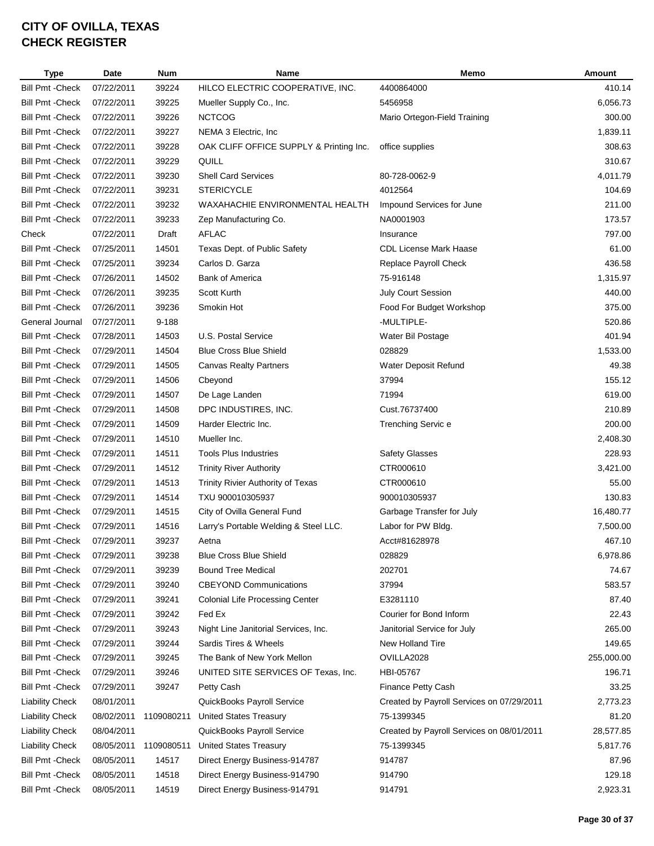| <b>Type</b>             | Date       | <b>Num</b> | Name                                    | Memo                                      | Amount     |
|-------------------------|------------|------------|-----------------------------------------|-------------------------------------------|------------|
| <b>Bill Pmt - Check</b> | 07/22/2011 | 39224      | HILCO ELECTRIC COOPERATIVE, INC.        | 4400864000                                | 410.14     |
| <b>Bill Pmt - Check</b> | 07/22/2011 | 39225      | Mueller Supply Co., Inc.                | 5456958                                   | 6,056.73   |
| <b>Bill Pmt - Check</b> | 07/22/2011 | 39226      | <b>NCTCOG</b>                           | Mario Ortegon-Field Training              | 300.00     |
| <b>Bill Pmt - Check</b> | 07/22/2011 | 39227      | NEMA 3 Electric, Inc.                   |                                           | 1,839.11   |
| <b>Bill Pmt - Check</b> | 07/22/2011 | 39228      | OAK CLIFF OFFICE SUPPLY & Printing Inc. | office supplies                           | 308.63     |
| <b>Bill Pmt - Check</b> | 07/22/2011 | 39229      | QUILL                                   |                                           | 310.67     |
| <b>Bill Pmt - Check</b> | 07/22/2011 | 39230      | <b>Shell Card Services</b>              | 80-728-0062-9                             | 4,011.79   |
| <b>Bill Pmt - Check</b> | 07/22/2011 | 39231      | <b>STERICYCLE</b>                       | 4012564                                   | 104.69     |
| <b>Bill Pmt - Check</b> | 07/22/2011 | 39232      | WAXAHACHIE ENVIRONMENTAL HEALTH         | Impound Services for June                 | 211.00     |
| <b>Bill Pmt - Check</b> | 07/22/2011 | 39233      | Zep Manufacturing Co.                   | NA0001903                                 | 173.57     |
| Check                   | 07/22/2011 | Draft      | AFLAC                                   | Insurance                                 | 797.00     |
| <b>Bill Pmt - Check</b> | 07/25/2011 | 14501      | Texas Dept. of Public Safety            | CDL License Mark Haase                    | 61.00      |
| <b>Bill Pmt - Check</b> | 07/25/2011 | 39234      | Carlos D. Garza                         | Replace Payroll Check                     | 436.58     |
| <b>Bill Pmt - Check</b> | 07/26/2011 | 14502      | <b>Bank of America</b>                  | 75-916148                                 | 1,315.97   |
| <b>Bill Pmt - Check</b> | 07/26/2011 | 39235      | Scott Kurth                             | <b>July Court Session</b>                 | 440.00     |
| <b>Bill Pmt - Check</b> | 07/26/2011 | 39236      | Smokin Hot                              | Food For Budget Workshop                  | 375.00     |
| General Journal         | 07/27/2011 | 9-188      |                                         | -MULTIPLE-                                | 520.86     |
| <b>Bill Pmt - Check</b> | 07/28/2011 | 14503      | U.S. Postal Service                     | Water Bil Postage                         | 401.94     |
| <b>Bill Pmt - Check</b> | 07/29/2011 | 14504      | <b>Blue Cross Blue Shield</b>           | 028829                                    | 1,533.00   |
| <b>Bill Pmt - Check</b> | 07/29/2011 | 14505      | Canvas Realty Partners                  | Water Deposit Refund                      | 49.38      |
| <b>Bill Pmt - Check</b> | 07/29/2011 | 14506      | Cbeyond                                 | 37994                                     | 155.12     |
| <b>Bill Pmt - Check</b> | 07/29/2011 | 14507      | De Lage Landen                          | 71994                                     | 619.00     |
| <b>Bill Pmt - Check</b> | 07/29/2011 | 14508      | DPC INDUSTIRES, INC.                    | Cust.76737400                             | 210.89     |
| <b>Bill Pmt - Check</b> | 07/29/2011 | 14509      | Harder Electric Inc.                    | Trenching Servic e                        | 200.00     |
| <b>Bill Pmt - Check</b> | 07/29/2011 | 14510      | Mueller Inc.                            |                                           | 2,408.30   |
| <b>Bill Pmt - Check</b> | 07/29/2011 | 14511      | <b>Tools Plus Industries</b>            | Safety Glasses                            | 228.93     |
| <b>Bill Pmt - Check</b> | 07/29/2011 | 14512      | <b>Trinity River Authority</b>          | CTR000610                                 | 3,421.00   |
| <b>Bill Pmt - Check</b> | 07/29/2011 | 14513      | Trinity Rivier Authority of Texas       | CTR000610                                 | 55.00      |
| <b>Bill Pmt - Check</b> | 07/29/2011 | 14514      | TXU 900010305937                        | 900010305937                              | 130.83     |
| <b>Bill Pmt - Check</b> | 07/29/2011 | 14515      | City of Ovilla General Fund             | Garbage Transfer for July                 | 16,480.77  |
| <b>Bill Pmt - Check</b> | 07/29/2011 | 14516      | Larry's Portable Welding & Steel LLC.   | Labor for PW Bldg.                        | 7,500.00   |
| <b>Bill Pmt - Check</b> | 07/29/2011 | 39237      | Aetna                                   | Acct#81628978                             | 467.10     |
| <b>Bill Pmt - Check</b> | 07/29/2011 | 39238      | <b>Blue Cross Blue Shield</b>           | 028829                                    | 6,978.86   |
| <b>Bill Pmt - Check</b> | 07/29/2011 | 39239      | <b>Bound Tree Medical</b>               | 202701                                    | 74.67      |
| <b>Bill Pmt - Check</b> | 07/29/2011 | 39240      | <b>CBEYOND Communications</b>           | 37994                                     | 583.57     |
| <b>Bill Pmt - Check</b> | 07/29/2011 | 39241      | <b>Colonial Life Processing Center</b>  | E3281110                                  | 87.40      |
| <b>Bill Pmt - Check</b> | 07/29/2011 | 39242      | Fed Ex                                  | Courier for Bond Inform                   | 22.43      |
| <b>Bill Pmt - Check</b> | 07/29/2011 | 39243      | Night Line Janitorial Services, Inc.    | Janitorial Service for July               | 265.00     |
| <b>Bill Pmt - Check</b> | 07/29/2011 | 39244      | Sardis Tires & Wheels                   | <b>New Holland Tire</b>                   | 149.65     |
| <b>Bill Pmt - Check</b> | 07/29/2011 | 39245      | The Bank of New York Mellon             | OVILLA2028                                | 255,000.00 |
| <b>Bill Pmt - Check</b> | 07/29/2011 | 39246      | UNITED SITE SERVICES OF Texas, Inc.     | HBI-05767                                 | 196.71     |
| <b>Bill Pmt - Check</b> | 07/29/2011 | 39247      | Petty Cash                              | Finance Petty Cash                        | 33.25      |
| <b>Liability Check</b>  | 08/01/2011 |            | QuickBooks Payroll Service              | Created by Payroll Services on 07/29/2011 | 2,773.23   |
| <b>Liability Check</b>  | 08/02/2011 | 1109080211 | <b>United States Treasury</b>           | 75-1399345                                | 81.20      |
| <b>Liability Check</b>  | 08/04/2011 |            | QuickBooks Payroll Service              | Created by Payroll Services on 08/01/2011 | 28,577.85  |
| <b>Liability Check</b>  | 08/05/2011 | 1109080511 | <b>United States Treasury</b>           | 75-1399345                                | 5,817.76   |
| <b>Bill Pmt - Check</b> | 08/05/2011 | 14517      | Direct Energy Business-914787           | 914787                                    | 87.96      |
| <b>Bill Pmt - Check</b> | 08/05/2011 | 14518      | Direct Energy Business-914790           | 914790                                    | 129.18     |
| <b>Bill Pmt - Check</b> | 08/05/2011 | 14519      | Direct Energy Business-914791           | 914791                                    | 2,923.31   |
|                         |            |            |                                         |                                           |            |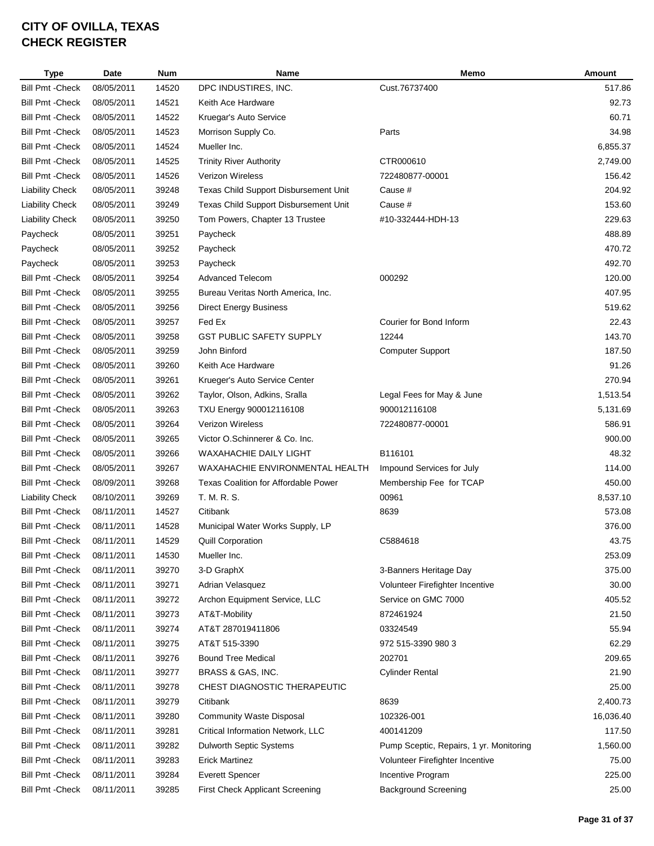| <b>Type</b>             | Date                     | <b>Num</b>     | Name                                  | Memo                                    | Amount    |
|-------------------------|--------------------------|----------------|---------------------------------------|-----------------------------------------|-----------|
| <b>Bill Pmt - Check</b> | 08/05/2011               | 14520          | DPC INDUSTIRES, INC.                  | Cust.76737400                           | 517.86    |
| <b>Bill Pmt - Check</b> | 08/05/2011               | 14521          | Keith Ace Hardware                    |                                         | 92.73     |
| <b>Bill Pmt - Check</b> | 08/05/2011               | 14522          | Kruegar's Auto Service                |                                         | 60.71     |
| <b>Bill Pmt - Check</b> | 08/05/2011               | 14523          | Morrison Supply Co.                   | Parts                                   | 34.98     |
| <b>Bill Pmt - Check</b> | 08/05/2011               | 14524          | Mueller Inc.                          |                                         | 6,855.37  |
| <b>Bill Pmt - Check</b> | 08/05/2011               | 14525          | <b>Trinity River Authority</b>        | CTR000610                               | 2,749.00  |
| <b>Bill Pmt - Check</b> | 08/05/2011               | 14526          | <b>Verizon Wireless</b>               | 722480877-00001                         | 156.42    |
| <b>Liability Check</b>  | 08/05/2011               | 39248          | Texas Child Support Disbursement Unit | Cause #                                 | 204.92    |
| <b>Liability Check</b>  | 08/05/2011               | 39249          | Texas Child Support Disbursement Unit | Cause #                                 | 153.60    |
| <b>Liability Check</b>  | 08/05/2011               | 39250          | Tom Powers, Chapter 13 Trustee        | #10-332444-HDH-13                       | 229.63    |
| Paycheck                | 08/05/2011               | 39251          | Paycheck                              |                                         | 488.89    |
| Paycheck                | 08/05/2011               | 39252          | Paycheck                              |                                         | 470.72    |
| Paycheck                | 08/05/2011               | 39253          | Paycheck                              |                                         | 492.70    |
| <b>Bill Pmt - Check</b> | 08/05/2011               | 39254          | <b>Advanced Telecom</b>               | 000292                                  | 120.00    |
| <b>Bill Pmt - Check</b> | 08/05/2011               | 39255          | Bureau Veritas North America, Inc.    |                                         | 407.95    |
| <b>Bill Pmt - Check</b> | 08/05/2011               | 39256          | <b>Direct Energy Business</b>         |                                         | 519.62    |
| <b>Bill Pmt - Check</b> | 08/05/2011               | 39257          | Fed Ex                                | Courier for Bond Inform                 | 22.43     |
| <b>Bill Pmt - Check</b> | 08/05/2011               | 39258          | <b>GST PUBLIC SAFETY SUPPLY</b>       | 12244                                   | 143.70    |
| <b>Bill Pmt - Check</b> | 08/05/2011               | 39259          | John Binford                          | <b>Computer Support</b>                 | 187.50    |
| <b>Bill Pmt - Check</b> | 08/05/2011               | 39260          | Keith Ace Hardware                    |                                         | 91.26     |
| <b>Bill Pmt - Check</b> | 08/05/2011               | 39261          | Krueger's Auto Service Center         |                                         | 270.94    |
| <b>Bill Pmt - Check</b> | 08/05/2011               | 39262          | Taylor, Olson, Adkins, Sralla         | Legal Fees for May & June               | 1,513.54  |
| <b>Bill Pmt - Check</b> | 08/05/2011               | 39263          | TXU Energy 900012116108               | 900012116108                            | 5,131.69  |
| <b>Bill Pmt - Check</b> | 08/05/2011               | 39264          | <b>Verizon Wireless</b>               | 722480877-00001                         | 586.91    |
| <b>Bill Pmt - Check</b> | 08/05/2011               | 39265          | Victor O.Schinnerer & Co. Inc.        |                                         | 900.00    |
| <b>Bill Pmt - Check</b> | 08/05/2011               | 39266          | WAXAHACHIE DAILY LIGHT                | B116101                                 | 48.32     |
| <b>Bill Pmt - Check</b> | 08/05/2011               | 39267          | WAXAHACHIE ENVIRONMENTAL HEALTH       | Impound Services for July               | 114.00    |
| <b>Bill Pmt - Check</b> | 08/09/2011               | 39268          | Texas Coalition for Affordable Power  | Membership Fee for TCAP                 | 450.00    |
| <b>Liability Check</b>  | 08/10/2011               | 39269          | T. M. R. S.                           | 00961                                   | 8,537.10  |
| <b>Bill Pmt - Check</b> | 08/11/2011               | 14527          | Citibank                              | 8639                                    | 573.08    |
| <b>Bill Pmt - Check</b> | 08/11/2011               | 14528          | Municipal Water Works Supply, LP      |                                         | 376.00    |
| <b>Bill Pmt - Check</b> | 08/11/2011               | 14529          | <b>Quill Corporation</b>              | C5884618                                | 43.75     |
| <b>Bill Pmt - Check</b> | 08/11/2011               | 14530          | Mueller Inc.                          |                                         | 253.09    |
| <b>Bill Pmt - Check</b> | 08/11/2011               | 39270          | 3-D GraphX                            | 3-Banners Heritage Day                  | 375.00    |
| <b>Bill Pmt - Check</b> | 08/11/2011               | 39271          | Adrian Velasquez                      | Volunteer Firefighter Incentive         | 30.00     |
| <b>Bill Pmt - Check</b> | 08/11/2011               | 39272          | Archon Equipment Service, LLC         | Service on GMC 7000                     | 405.52    |
| <b>Bill Pmt - Check</b> | 08/11/2011               | 39273          | AT&T-Mobility                         | 872461924                               | 21.50     |
| <b>Bill Pmt - Check</b> | 08/11/2011               | 39274          | AT&T 287019411806                     | 03324549                                | 55.94     |
| <b>Bill Pmt - Check</b> | 08/11/2011               | 39275          | AT&T 515-3390                         | 972 515-3390 980 3                      | 62.29     |
| <b>Bill Pmt - Check</b> | 08/11/2011               | 39276          | <b>Bound Tree Medical</b>             | 202701                                  | 209.65    |
| <b>Bill Pmt - Check</b> | 08/11/2011               | 39277          | BRASS & GAS, INC.                     | <b>Cylinder Rental</b>                  | 21.90     |
| <b>Bill Pmt - Check</b> | 08/11/2011               | 39278          | CHEST DIAGNOSTIC THERAPEUTIC          |                                         | 25.00     |
| <b>Bill Pmt - Check</b> | 08/11/2011               | 39279          | Citibank                              | 8639                                    | 2,400.73  |
| <b>Bill Pmt - Check</b> | 08/11/2011               | 39280          | <b>Community Waste Disposal</b>       | 102326-001                              | 16,036.40 |
| <b>Bill Pmt - Check</b> |                          |                | Critical Information Network, LLC     | 400141209                               | 117.50    |
| <b>Bill Pmt - Check</b> | 08/11/2011<br>08/11/2011 | 39281<br>39282 | Dulworth Septic Systems               | Pump Sceptic, Repairs, 1 yr. Monitoring | 1,560.00  |
| <b>Bill Pmt - Check</b> | 08/11/2011               | 39283          | <b>Erick Martinez</b>                 | Volunteer Firefighter Incentive         | 75.00     |
| <b>Bill Pmt - Check</b> | 08/11/2011               | 39284          | <b>Everett Spencer</b>                | Incentive Program                       | 225.00    |
|                         |                          |                |                                       |                                         |           |
| <b>Bill Pmt - Check</b> | 08/11/2011               | 39285          | First Check Applicant Screening       | <b>Background Screening</b>             | 25.00     |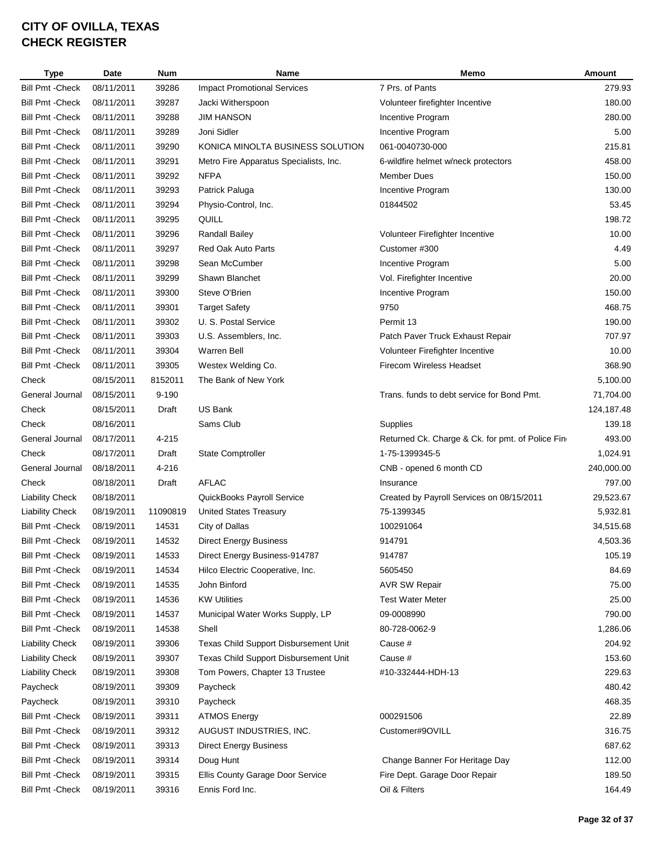| <b>Type</b>             | Date       | <b>Num</b> | Name                                   | Memo                                             | Amount     |
|-------------------------|------------|------------|----------------------------------------|--------------------------------------------------|------------|
| <b>Bill Pmt - Check</b> | 08/11/2011 | 39286      | <b>Impact Promotional Services</b>     | 7 Prs. of Pants                                  | 279.93     |
| <b>Bill Pmt - Check</b> | 08/11/2011 | 39287      | Jacki Witherspoon                      | Volunteer firefighter Incentive                  | 180.00     |
| <b>Bill Pmt - Check</b> | 08/11/2011 | 39288      | <b>JIM HANSON</b>                      | Incentive Program                                | 280.00     |
| <b>Bill Pmt - Check</b> | 08/11/2011 | 39289      | Joni Sidler                            | Incentive Program                                | 5.00       |
| <b>Bill Pmt - Check</b> | 08/11/2011 | 39290      | KONICA MINOLTA BUSINESS SOLUTION       | 061-0040730-000                                  | 215.81     |
| <b>Bill Pmt - Check</b> | 08/11/2011 | 39291      | Metro Fire Apparatus Specialists, Inc. | 6-wildfire helmet w/neck protectors              | 458.00     |
| <b>Bill Pmt - Check</b> | 08/11/2011 | 39292      | <b>NFPA</b>                            | <b>Member Dues</b>                               | 150.00     |
| <b>Bill Pmt - Check</b> | 08/11/2011 | 39293      | Patrick Paluga                         | Incentive Program                                | 130.00     |
| <b>Bill Pmt - Check</b> | 08/11/2011 | 39294      | Physio-Control, Inc.                   | 01844502                                         | 53.45      |
| <b>Bill Pmt - Check</b> | 08/11/2011 | 39295      | QUILL                                  |                                                  | 198.72     |
| <b>Bill Pmt - Check</b> | 08/11/2011 | 39296      | Randall Bailey                         | Volunteer Firefighter Incentive                  | 10.00      |
| <b>Bill Pmt - Check</b> | 08/11/2011 | 39297      | <b>Red Oak Auto Parts</b>              | Customer #300                                    | 4.49       |
| <b>Bill Pmt - Check</b> | 08/11/2011 | 39298      | Sean McCumber                          | Incentive Program                                | 5.00       |
| <b>Bill Pmt - Check</b> | 08/11/2011 | 39299      | Shawn Blanchet                         | Vol. Firefighter Incentive                       | 20.00      |
| <b>Bill Pmt - Check</b> | 08/11/2011 | 39300      | Steve O'Brien                          | Incentive Program                                | 150.00     |
| <b>Bill Pmt - Check</b> | 08/11/2011 | 39301      | <b>Target Safety</b>                   | 9750                                             | 468.75     |
| <b>Bill Pmt - Check</b> | 08/11/2011 | 39302      | U. S. Postal Service                   | Permit 13                                        | 190.00     |
| <b>Bill Pmt - Check</b> | 08/11/2011 | 39303      | U.S. Assemblers, Inc.                  | Patch Paver Truck Exhaust Repair                 | 707.97     |
| <b>Bill Pmt - Check</b> | 08/11/2011 | 39304      | <b>Warren Bell</b>                     | Volunteer Firefighter Incentive                  | 10.00      |
| <b>Bill Pmt - Check</b> | 08/11/2011 | 39305      | Westex Welding Co.                     | Firecom Wireless Headset                         | 368.90     |
| Check                   | 08/15/2011 | 8152011    | The Bank of New York                   |                                                  | 5,100.00   |
| General Journal         | 08/15/2011 | $9 - 190$  |                                        | Trans. funds to debt service for Bond Pmt.       | 71,704.00  |
| Check                   | 08/15/2011 | Draft      | <b>US Bank</b>                         |                                                  | 124,187.48 |
| Check                   | 08/16/2011 |            | Sams Club                              | Supplies                                         | 139.18     |
| General Journal         | 08/17/2011 | 4-215      |                                        | Returned Ck. Charge & Ck. for pmt. of Police Fin | 493.00     |
| Check                   | 08/17/2011 | Draft      | <b>State Comptroller</b>               | 1-75-1399345-5                                   | 1,024.91   |
| General Journal         | 08/18/2011 | 4-216      |                                        | CNB - opened 6 month CD                          | 240,000.00 |
| Check                   | 08/18/2011 | Draft      | <b>AFLAC</b>                           | Insurance                                        | 797.00     |
| <b>Liability Check</b>  | 08/18/2011 |            | QuickBooks Payroll Service             | Created by Payroll Services on 08/15/2011        | 29,523.67  |
| <b>Liability Check</b>  | 08/19/2011 | 11090819   | <b>United States Treasury</b>          | 75-1399345                                       | 5,932.81   |
| <b>Bill Pmt - Check</b> | 08/19/2011 | 14531      | City of Dallas                         | 100291064                                        | 34,515.68  |
| <b>Bill Pmt - Check</b> | 08/19/2011 | 14532      | <b>Direct Energy Business</b>          | 914791                                           | 4,503.36   |
| <b>Bill Pmt - Check</b> | 08/19/2011 | 14533      | Direct Energy Business-914787          | 914787                                           | 105.19     |
| <b>Bill Pmt - Check</b> | 08/19/2011 | 14534      | Hilco Electric Cooperative, Inc.       | 5605450                                          | 84.69      |
| <b>Bill Pmt - Check</b> | 08/19/2011 | 14535      | John Binford                           | <b>AVR SW Repair</b>                             | 75.00      |
| <b>Bill Pmt - Check</b> | 08/19/2011 | 14536      | <b>KW Utilities</b>                    | <b>Test Water Meter</b>                          | 25.00      |
| <b>Bill Pmt - Check</b> | 08/19/2011 | 14537      | Municipal Water Works Supply, LP       | 09-0008990                                       | 790.00     |
| <b>Bill Pmt - Check</b> | 08/19/2011 | 14538      | Shell                                  | 80-728-0062-9                                    | 1,286.06   |
| <b>Liability Check</b>  | 08/19/2011 | 39306      | Texas Child Support Disbursement Unit  | Cause #                                          | 204.92     |
| <b>Liability Check</b>  | 08/19/2011 | 39307      | Texas Child Support Disbursement Unit  | Cause #                                          | 153.60     |
| <b>Liability Check</b>  | 08/19/2011 | 39308      | Tom Powers, Chapter 13 Trustee         | #10-332444-HDH-13                                | 229.63     |
| Paycheck                | 08/19/2011 | 39309      | Paycheck                               |                                                  | 480.42     |
| Paycheck                | 08/19/2011 | 39310      | Paycheck                               |                                                  | 468.35     |
| <b>Bill Pmt - Check</b> | 08/19/2011 | 39311      | <b>ATMOS Energy</b>                    | 000291506                                        | 22.89      |
| <b>Bill Pmt - Check</b> | 08/19/2011 | 39312      | AUGUST INDUSTRIES, INC.                | Customer#9OVILL                                  | 316.75     |
| <b>Bill Pmt - Check</b> | 08/19/2011 | 39313      | <b>Direct Energy Business</b>          |                                                  | 687.62     |
| <b>Bill Pmt - Check</b> | 08/19/2011 | 39314      | Doug Hunt                              | Change Banner For Heritage Day                   | 112.00     |
| <b>Bill Pmt - Check</b> | 08/19/2011 | 39315      | Ellis County Garage Door Service       | Fire Dept. Garage Door Repair                    | 189.50     |
| <b>Bill Pmt - Check</b> | 08/19/2011 | 39316      | Ennis Ford Inc.                        | Oil & Filters                                    | 164.49     |
|                         |            |            |                                        |                                                  |            |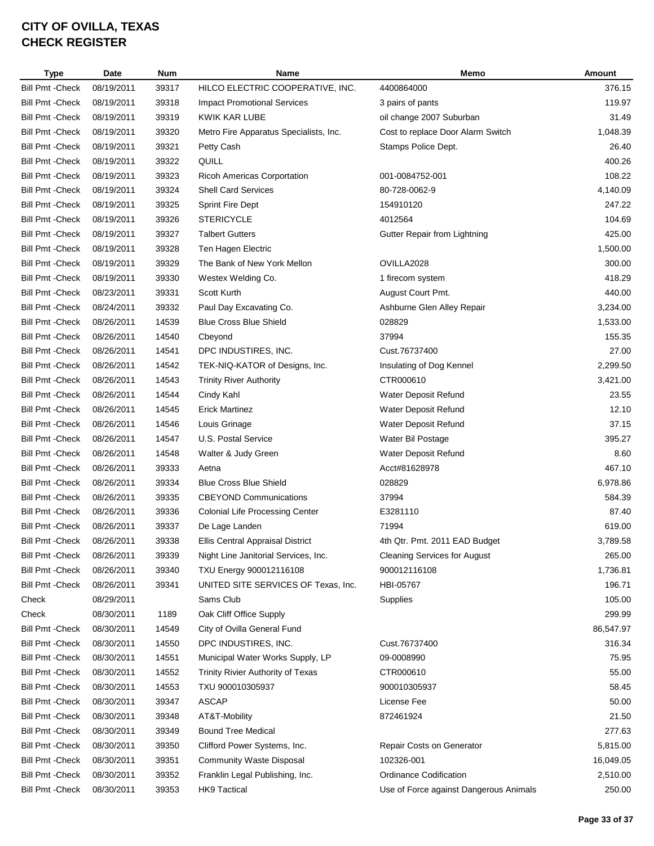| <b>Type</b>             | Date       | <b>Num</b> | <b>Name</b>                            | Memo                                   | Amount    |
|-------------------------|------------|------------|----------------------------------------|----------------------------------------|-----------|
| <b>Bill Pmt - Check</b> | 08/19/2011 | 39317      | HILCO ELECTRIC COOPERATIVE, INC.       | 4400864000                             | 376.15    |
| <b>Bill Pmt - Check</b> | 08/19/2011 | 39318      | <b>Impact Promotional Services</b>     | 3 pairs of pants                       | 119.97    |
| <b>Bill Pmt - Check</b> | 08/19/2011 | 39319      | <b>KWIK KAR LUBE</b>                   | oil change 2007 Suburban               | 31.49     |
| <b>Bill Pmt - Check</b> | 08/19/2011 | 39320      | Metro Fire Apparatus Specialists, Inc. | Cost to replace Door Alarm Switch      | 1,048.39  |
| <b>Bill Pmt - Check</b> | 08/19/2011 | 39321      | Petty Cash                             | Stamps Police Dept.                    | 26.40     |
| <b>Bill Pmt - Check</b> | 08/19/2011 | 39322      | QUILL                                  |                                        | 400.26    |
| <b>Bill Pmt - Check</b> | 08/19/2011 | 39323      | <b>Ricoh Americas Corportation</b>     | 001-0084752-001                        | 108.22    |
| <b>Bill Pmt - Check</b> | 08/19/2011 | 39324      | <b>Shell Card Services</b>             | 80-728-0062-9                          | 4,140.09  |
| <b>Bill Pmt - Check</b> | 08/19/2011 | 39325      | <b>Sprint Fire Dept</b>                | 154910120                              | 247.22    |
| <b>Bill Pmt - Check</b> | 08/19/2011 | 39326      | <b>STERICYCLE</b>                      | 4012564                                | 104.69    |
| <b>Bill Pmt - Check</b> | 08/19/2011 | 39327      | <b>Talbert Gutters</b>                 | Gutter Repair from Lightning           | 425.00    |
| <b>Bill Pmt - Check</b> | 08/19/2011 | 39328      | Ten Hagen Electric                     |                                        | 1,500.00  |
| <b>Bill Pmt - Check</b> | 08/19/2011 | 39329      | The Bank of New York Mellon            | OVILLA2028                             | 300.00    |
| <b>Bill Pmt - Check</b> | 08/19/2011 | 39330      | Westex Welding Co.                     | 1 firecom system                       | 418.29    |
| <b>Bill Pmt - Check</b> | 08/23/2011 | 39331      | Scott Kurth                            | August Court Pmt.                      | 440.00    |
| <b>Bill Pmt - Check</b> | 08/24/2011 | 39332      | Paul Day Excavating Co.                | Ashburne Glen Alley Repair             | 3,234.00  |
| <b>Bill Pmt - Check</b> | 08/26/2011 | 14539      | <b>Blue Cross Blue Shield</b>          | 028829                                 | 1,533.00  |
| <b>Bill Pmt - Check</b> | 08/26/2011 | 14540      | Cbeyond                                | 37994                                  | 155.35    |
| <b>Bill Pmt - Check</b> | 08/26/2011 | 14541      | DPC INDUSTIRES, INC.                   | Cust.76737400                          | 27.00     |
| <b>Bill Pmt - Check</b> | 08/26/2011 | 14542      | TEK-NIQ-KATOR of Designs, Inc.         | Insulating of Dog Kennel               | 2,299.50  |
| <b>Bill Pmt - Check</b> | 08/26/2011 | 14543      | <b>Trinity River Authority</b>         | CTR000610                              | 3,421.00  |
| <b>Bill Pmt - Check</b> | 08/26/2011 | 14544      | Cindy Kahl                             | Water Deposit Refund                   | 23.55     |
| <b>Bill Pmt - Check</b> | 08/26/2011 | 14545      | <b>Erick Martinez</b>                  | Water Deposit Refund                   | 12.10     |
| <b>Bill Pmt - Check</b> | 08/26/2011 | 14546      | Louis Grinage                          | Water Deposit Refund                   | 37.15     |
| <b>Bill Pmt - Check</b> | 08/26/2011 | 14547      | U.S. Postal Service                    | Water Bil Postage                      | 395.27    |
| <b>Bill Pmt - Check</b> | 08/26/2011 | 14548      | Walter & Judy Green                    | Water Deposit Refund                   | 8.60      |
| <b>Bill Pmt - Check</b> | 08/26/2011 | 39333      | Aetna                                  | Acct#81628978                          | 467.10    |
| <b>Bill Pmt - Check</b> | 08/26/2011 | 39334      | <b>Blue Cross Blue Shield</b>          | 028829                                 | 6,978.86  |
| <b>Bill Pmt - Check</b> | 08/26/2011 | 39335      | <b>CBEYOND Communications</b>          | 37994                                  | 584.39    |
| <b>Bill Pmt - Check</b> | 08/26/2011 | 39336      | <b>Colonial Life Processing Center</b> | E3281110                               | 87.40     |
| <b>Bill Pmt - Check</b> | 08/26/2011 | 39337      | De Lage Landen                         | 71994                                  | 619.00    |
| <b>Bill Pmt - Check</b> | 08/26/2011 | 39338      | Ellis Central Appraisal District       | 4th Qtr. Pmt. 2011 EAD Budget          | 3,789.58  |
| <b>Bill Pmt - Check</b> | 08/26/2011 | 39339      | Night Line Janitorial Services, Inc.   | <b>Cleaning Services for August</b>    | 265.00    |
| <b>Bill Pmt - Check</b> | 08/26/2011 | 39340      | TXU Energy 900012116108                | 900012116108                           | 1,736.81  |
| <b>Bill Pmt - Check</b> | 08/26/2011 | 39341      | UNITED SITE SERVICES OF Texas, Inc.    | HBI-05767                              | 196.71    |
| Check                   | 08/29/2011 |            | Sams Club                              | Supplies                               | 105.00    |
| Check                   | 08/30/2011 | 1189       | Oak Cliff Office Supply                |                                        | 299.99    |
| <b>Bill Pmt - Check</b> | 08/30/2011 | 14549      | City of Ovilla General Fund            |                                        | 86,547.97 |
| <b>Bill Pmt - Check</b> | 08/30/2011 | 14550      | DPC INDUSTIRES, INC.                   | Cust.76737400                          | 316.34    |
| <b>Bill Pmt - Check</b> | 08/30/2011 | 14551      | Municipal Water Works Supply, LP       | 09-0008990                             | 75.95     |
| <b>Bill Pmt - Check</b> | 08/30/2011 | 14552      | Trinity Rivier Authority of Texas      | CTR000610                              | 55.00     |
| <b>Bill Pmt - Check</b> | 08/30/2011 | 14553      | TXU 900010305937                       | 900010305937                           | 58.45     |
| Bill Pmt - Check        | 08/30/2011 | 39347      | <b>ASCAP</b>                           | License Fee                            | 50.00     |
| <b>Bill Pmt - Check</b> | 08/30/2011 | 39348      | AT&T-Mobility                          | 872461924                              | 21.50     |
| <b>Bill Pmt - Check</b> | 08/30/2011 | 39349      | <b>Bound Tree Medical</b>              |                                        | 277.63    |
| Bill Pmt - Check        | 08/30/2011 | 39350      | Clifford Power Systems, Inc.           | Repair Costs on Generator              | 5,815.00  |
| <b>Bill Pmt - Check</b> | 08/30/2011 | 39351      | <b>Community Waste Disposal</b>        | 102326-001                             | 16,049.05 |
| <b>Bill Pmt - Check</b> | 08/30/2011 | 39352      | Franklin Legal Publishing, Inc.        | <b>Ordinance Codification</b>          | 2,510.00  |
| <b>Bill Pmt - Check</b> | 08/30/2011 | 39353      | <b>HK9 Tactical</b>                    | Use of Force against Dangerous Animals | 250.00    |
|                         |            |            |                                        |                                        |           |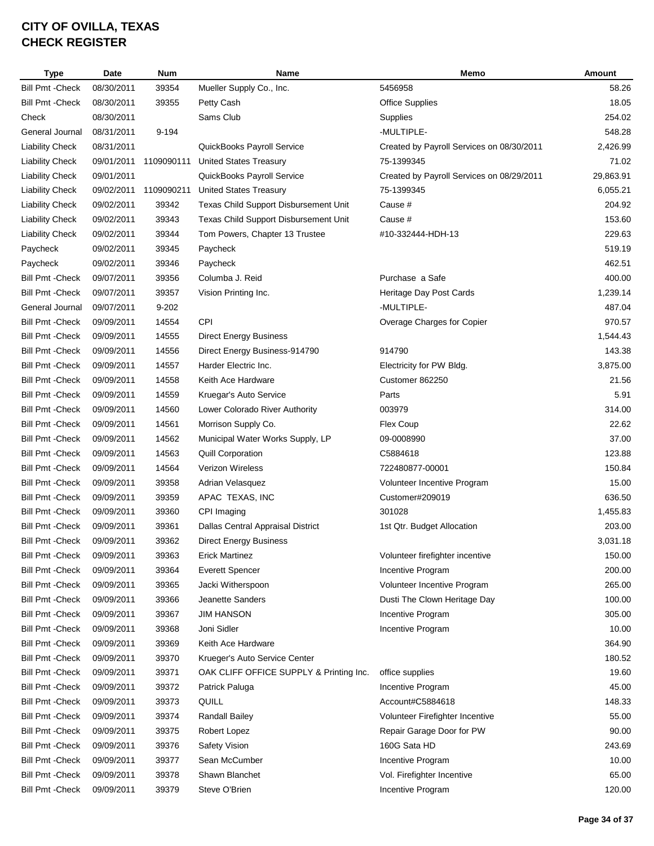| <b>Type</b>             | Date       | <b>Num</b> | <b>Name</b>                             | Memo                                      | Amount    |
|-------------------------|------------|------------|-----------------------------------------|-------------------------------------------|-----------|
| <b>Bill Pmt - Check</b> | 08/30/2011 | 39354      | Mueller Supply Co., Inc.                | 5456958                                   | 58.26     |
| <b>Bill Pmt - Check</b> | 08/30/2011 | 39355      | Petty Cash                              | <b>Office Supplies</b>                    | 18.05     |
| Check                   | 08/30/2011 |            | Sams Club                               | Supplies                                  | 254.02    |
| General Journal         | 08/31/2011 | 9-194      |                                         | -MULTIPLE-                                | 548.28    |
| <b>Liability Check</b>  | 08/31/2011 |            | QuickBooks Payroll Service              | Created by Payroll Services on 08/30/2011 | 2,426.99  |
| <b>Liability Check</b>  | 09/01/2011 | 1109090111 | <b>United States Treasury</b>           | 75-1399345                                | 71.02     |
| <b>Liability Check</b>  | 09/01/2011 |            | QuickBooks Payroll Service              | Created by Payroll Services on 08/29/2011 | 29,863.91 |
| <b>Liability Check</b>  | 09/02/2011 | 1109090211 | <b>United States Treasury</b>           | 75-1399345                                | 6,055.21  |
| <b>Liability Check</b>  | 09/02/2011 | 39342      | Texas Child Support Disbursement Unit   | Cause #                                   | 204.92    |
| <b>Liability Check</b>  | 09/02/2011 | 39343      | Texas Child Support Disbursement Unit   | Cause #                                   | 153.60    |
| <b>Liability Check</b>  | 09/02/2011 | 39344      | Tom Powers, Chapter 13 Trustee          | #10-332444-HDH-13                         | 229.63    |
| Paycheck                | 09/02/2011 | 39345      | Paycheck                                |                                           | 519.19    |
| Paycheck                | 09/02/2011 | 39346      | Paycheck                                |                                           | 462.51    |
| <b>Bill Pmt - Check</b> | 09/07/2011 | 39356      | Columba J. Reid                         | Purchase a Safe                           | 400.00    |
| <b>Bill Pmt - Check</b> | 09/07/2011 | 39357      | Vision Printing Inc.                    | Heritage Day Post Cards                   | 1,239.14  |
| General Journal         | 09/07/2011 | $9 - 202$  |                                         | -MULTIPLE-                                | 487.04    |
| <b>Bill Pmt - Check</b> | 09/09/2011 | 14554      | <b>CPI</b>                              | Overage Charges for Copier                | 970.57    |
| <b>Bill Pmt - Check</b> | 09/09/2011 | 14555      | <b>Direct Energy Business</b>           |                                           | 1,544.43  |
| <b>Bill Pmt - Check</b> | 09/09/2011 | 14556      | Direct Energy Business-914790           | 914790                                    | 143.38    |
| <b>Bill Pmt - Check</b> | 09/09/2011 | 14557      | Harder Electric Inc.                    | Electricity for PW Bldg.                  | 3,875.00  |
| <b>Bill Pmt - Check</b> | 09/09/2011 | 14558      | Keith Ace Hardware                      | Customer 862250                           | 21.56     |
| <b>Bill Pmt - Check</b> | 09/09/2011 | 14559      | Kruegar's Auto Service                  | Parts                                     | 5.91      |
| <b>Bill Pmt - Check</b> | 09/09/2011 | 14560      | Lower Colorado River Authority          | 003979                                    | 314.00    |
| <b>Bill Pmt - Check</b> | 09/09/2011 | 14561      | Morrison Supply Co.                     | Flex Coup                                 | 22.62     |
| <b>Bill Pmt - Check</b> | 09/09/2011 | 14562      | Municipal Water Works Supply, LP        | 09-0008990                                | 37.00     |
| <b>Bill Pmt - Check</b> | 09/09/2011 | 14563      | <b>Quill Corporation</b>                | C5884618                                  | 123.88    |
| <b>Bill Pmt - Check</b> | 09/09/2011 | 14564      | <b>Verizon Wireless</b>                 | 722480877-00001                           | 150.84    |
| <b>Bill Pmt - Check</b> | 09/09/2011 | 39358      | Adrian Velasquez                        | Volunteer Incentive Program               | 15.00     |
| <b>Bill Pmt - Check</b> | 09/09/2011 | 39359      | APAC TEXAS, INC                         | Customer#209019                           | 636.50    |
| <b>Bill Pmt - Check</b> | 09/09/2011 | 39360      | CPI Imaging                             | 301028                                    | 1,455.83  |
| <b>Bill Pmt - Check</b> | 09/09/2011 | 39361      | Dallas Central Appraisal District       | 1st Qtr. Budget Allocation                | 203.00    |
| <b>Bill Pmt - Check</b> | 09/09/2011 | 39362      | <b>Direct Energy Business</b>           |                                           | 3,031.18  |
| <b>Bill Pmt - Check</b> | 09/09/2011 | 39363      | <b>Erick Martinez</b>                   | Volunteer firefighter incentive           | 150.00    |
| <b>Bill Pmt - Check</b> | 09/09/2011 | 39364      | <b>Everett Spencer</b>                  | Incentive Program                         | 200.00    |
| <b>Bill Pmt - Check</b> | 09/09/2011 | 39365      | Jacki Witherspoon                       | Volunteer Incentive Program               | 265.00    |
| <b>Bill Pmt - Check</b> | 09/09/2011 | 39366      | Jeanette Sanders                        | Dusti The Clown Heritage Day              | 100.00    |
| <b>Bill Pmt - Check</b> | 09/09/2011 | 39367      | <b>JIM HANSON</b>                       | Incentive Program                         | 305.00    |
| <b>Bill Pmt - Check</b> | 09/09/2011 | 39368      | Joni Sidler                             | Incentive Program                         | 10.00     |
| <b>Bill Pmt - Check</b> | 09/09/2011 | 39369      | Keith Ace Hardware                      |                                           | 364.90    |
| <b>Bill Pmt - Check</b> | 09/09/2011 | 39370      | Krueger's Auto Service Center           |                                           | 180.52    |
| <b>Bill Pmt - Check</b> | 09/09/2011 | 39371      | OAK CLIFF OFFICE SUPPLY & Printing Inc. | office supplies                           | 19.60     |
| <b>Bill Pmt - Check</b> | 09/09/2011 | 39372      | Patrick Paluga                          | Incentive Program                         | 45.00     |
| <b>Bill Pmt - Check</b> | 09/09/2011 | 39373      | QUILL                                   | Account#C5884618                          | 148.33    |
| <b>Bill Pmt - Check</b> | 09/09/2011 | 39374      | Randall Bailey                          | Volunteer Firefighter Incentive           | 55.00     |
| <b>Bill Pmt - Check</b> | 09/09/2011 | 39375      | Robert Lopez                            | Repair Garage Door for PW                 | 90.00     |
| <b>Bill Pmt - Check</b> | 09/09/2011 | 39376      | Safety Vision                           | 160G Sata HD                              | 243.69    |
| <b>Bill Pmt - Check</b> | 09/09/2011 | 39377      | Sean McCumber                           | Incentive Program                         | 10.00     |
| <b>Bill Pmt - Check</b> | 09/09/2011 | 39378      | Shawn Blanchet                          | Vol. Firefighter Incentive                | 65.00     |
| <b>Bill Pmt - Check</b> | 09/09/2011 | 39379      | Steve O'Brien                           | Incentive Program                         | 120.00    |
|                         |            |            |                                         |                                           |           |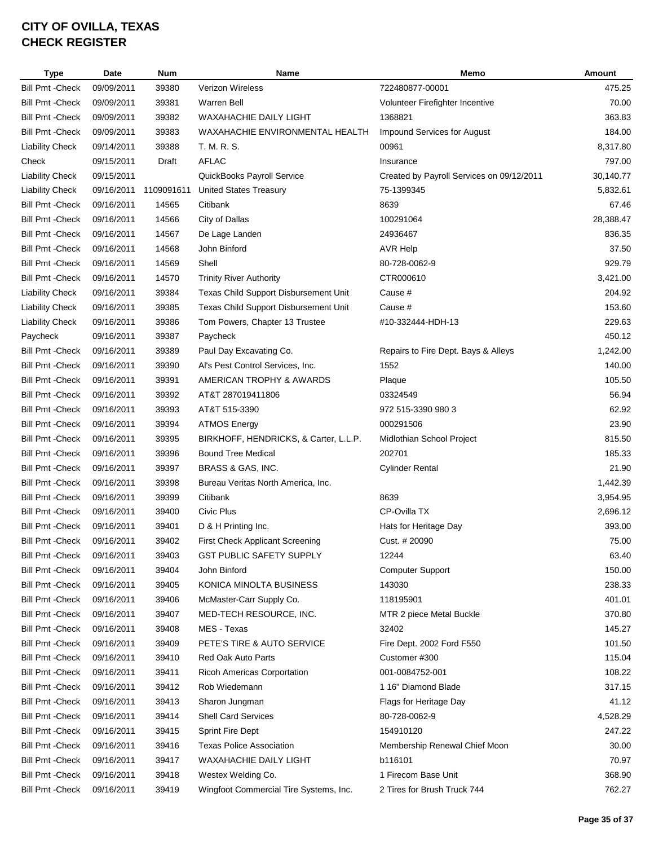|                         | <b>Type</b> | Date       | <b>Num</b> | Name                                   | Memo                                      | Amount    |
|-------------------------|-------------|------------|------------|----------------------------------------|-------------------------------------------|-----------|
| <b>Bill Pmt - Check</b> |             | 09/09/2011 | 39380      | <b>Verizon Wireless</b>                | 722480877-00001                           | 475.25    |
| <b>Bill Pmt - Check</b> |             | 09/09/2011 | 39381      | <b>Warren Bell</b>                     | Volunteer Firefighter Incentive           | 70.00     |
| <b>Bill Pmt - Check</b> |             | 09/09/2011 | 39382      | WAXAHACHIE DAILY LIGHT                 | 1368821                                   | 363.83    |
| <b>Bill Pmt - Check</b> |             | 09/09/2011 | 39383      | WAXAHACHIE ENVIRONMENTAL HEALTH        | <b>Impound Services for August</b>        | 184.00    |
| <b>Liability Check</b>  |             | 09/14/2011 | 39388      | T. M. R. S.                            | 00961                                     | 8,317.80  |
| Check                   |             | 09/15/2011 | Draft      | <b>AFLAC</b>                           | Insurance                                 | 797.00    |
| <b>Liability Check</b>  |             | 09/15/2011 |            | QuickBooks Payroll Service             | Created by Payroll Services on 09/12/2011 | 30,140.77 |
| <b>Liability Check</b>  |             | 09/16/2011 | 1109091611 | <b>United States Treasury</b>          | 75-1399345                                | 5,832.61  |
| <b>Bill Pmt - Check</b> |             | 09/16/2011 | 14565      | Citibank                               | 8639                                      | 67.46     |
| <b>Bill Pmt - Check</b> |             | 09/16/2011 | 14566      | City of Dallas                         | 100291064                                 | 28,388.47 |
| <b>Bill Pmt - Check</b> |             | 09/16/2011 | 14567      | De Lage Landen                         | 24936467                                  | 836.35    |
| <b>Bill Pmt - Check</b> |             | 09/16/2011 | 14568      | John Binford                           | <b>AVR Help</b>                           | 37.50     |
| <b>Bill Pmt - Check</b> |             | 09/16/2011 | 14569      | Shell                                  | 80-728-0062-9                             | 929.79    |
| <b>Bill Pmt - Check</b> |             | 09/16/2011 | 14570      | <b>Trinity River Authority</b>         | CTR000610                                 | 3,421.00  |
| <b>Liability Check</b>  |             | 09/16/2011 | 39384      | Texas Child Support Disbursement Unit  | Cause #                                   | 204.92    |
| <b>Liability Check</b>  |             | 09/16/2011 | 39385      | Texas Child Support Disbursement Unit  | Cause #                                   | 153.60    |
| <b>Liability Check</b>  |             | 09/16/2011 | 39386      | Tom Powers, Chapter 13 Trustee         | #10-332444-HDH-13                         | 229.63    |
| Paycheck                |             | 09/16/2011 | 39387      | Paycheck                               |                                           | 450.12    |
| <b>Bill Pmt - Check</b> |             | 09/16/2011 | 39389      | Paul Day Excavating Co.                | Repairs to Fire Dept. Bays & Alleys       | 1,242.00  |
| <b>Bill Pmt - Check</b> |             | 09/16/2011 | 39390      | Al's Pest Control Services, Inc.       | 1552                                      | 140.00    |
| <b>Bill Pmt - Check</b> |             | 09/16/2011 | 39391      | AMERICAN TROPHY & AWARDS               | Plaque                                    | 105.50    |
| <b>Bill Pmt - Check</b> |             | 09/16/2011 | 39392      | AT&T 287019411806                      | 03324549                                  | 56.94     |
| <b>Bill Pmt - Check</b> |             | 09/16/2011 | 39393      | AT&T 515-3390                          | 972 515-3390 980 3                        | 62.92     |
| <b>Bill Pmt - Check</b> |             | 09/16/2011 | 39394      | <b>ATMOS Energy</b>                    | 000291506                                 | 23.90     |
| <b>Bill Pmt - Check</b> |             | 09/16/2011 | 39395      | BIRKHOFF, HENDRICKS, & Carter, L.L.P.  | Midlothian School Project                 | 815.50    |
| <b>Bill Pmt - Check</b> |             | 09/16/2011 | 39396      | <b>Bound Tree Medical</b>              | 202701                                    | 185.33    |
| <b>Bill Pmt - Check</b> |             | 09/16/2011 | 39397      | BRASS & GAS, INC.                      | <b>Cylinder Rental</b>                    | 21.90     |
| <b>Bill Pmt - Check</b> |             | 09/16/2011 | 39398      | Bureau Veritas North America, Inc.     |                                           | 1,442.39  |
| <b>Bill Pmt - Check</b> |             | 09/16/2011 | 39399      | Citibank                               | 8639                                      | 3,954.95  |
| <b>Bill Pmt - Check</b> |             | 09/16/2011 | 39400      | Civic Plus                             | CP-Ovilla TX                              | 2,696.12  |
| <b>Bill Pmt - Check</b> |             | 09/16/2011 | 39401      | D & H Printing Inc.                    | Hats for Heritage Day                     | 393.00    |
| Bill Pmt - Check        |             | 09/16/2011 | 39402      | <b>First Check Applicant Screening</b> | Cust. # 20090                             | 75.00     |
| <b>Bill Pmt - Check</b> |             | 09/16/2011 | 39403      | <b>GST PUBLIC SAFETY SUPPLY</b>        | 12244                                     | 63.40     |
| <b>Bill Pmt - Check</b> |             | 09/16/2011 | 39404      | John Binford                           | <b>Computer Support</b>                   | 150.00    |
| <b>Bill Pmt - Check</b> |             | 09/16/2011 | 39405      | KONICA MINOLTA BUSINESS                | 143030                                    | 238.33    |
| <b>Bill Pmt - Check</b> |             | 09/16/2011 | 39406      | McMaster-Carr Supply Co.               | 118195901                                 | 401.01    |
| <b>Bill Pmt - Check</b> |             | 09/16/2011 | 39407      | MED-TECH RESOURCE, INC.                | MTR 2 piece Metal Buckle                  | 370.80    |
| <b>Bill Pmt - Check</b> |             | 09/16/2011 | 39408      | MES - Texas                            | 32402                                     | 145.27    |
| <b>Bill Pmt - Check</b> |             | 09/16/2011 | 39409      | PETE'S TIRE & AUTO SERVICE             | Fire Dept. 2002 Ford F550                 | 101.50    |
| <b>Bill Pmt - Check</b> |             | 09/16/2011 | 39410      | Red Oak Auto Parts                     | Customer #300                             | 115.04    |
| <b>Bill Pmt - Check</b> |             | 09/16/2011 | 39411      | Ricoh Americas Corportation            | 001-0084752-001                           | 108.22    |
| <b>Bill Pmt - Check</b> |             | 09/16/2011 | 39412      | Rob Wiedemann                          | 1 16" Diamond Blade                       | 317.15    |
| <b>Bill Pmt - Check</b> |             | 09/16/2011 | 39413      | Sharon Jungman                         | Flags for Heritage Day                    | 41.12     |
| <b>Bill Pmt - Check</b> |             | 09/16/2011 | 39414      | <b>Shell Card Services</b>             | 80-728-0062-9                             | 4,528.29  |
| <b>Bill Pmt - Check</b> |             | 09/16/2011 | 39415      | Sprint Fire Dept                       | 154910120                                 | 247.22    |
| <b>Bill Pmt - Check</b> |             | 09/16/2011 | 39416      | <b>Texas Police Association</b>        | Membership Renewal Chief Moon             | 30.00     |
| <b>Bill Pmt - Check</b> |             | 09/16/2011 | 39417      | <b>WAXAHACHIE DAILY LIGHT</b>          | b116101                                   | 70.97     |
| <b>Bill Pmt - Check</b> |             | 09/16/2011 | 39418      | Westex Welding Co.                     | 1 Firecom Base Unit                       | 368.90    |
| <b>Bill Pmt - Check</b> |             | 09/16/2011 | 39419      | Wingfoot Commercial Tire Systems, Inc. | 2 Tires for Brush Truck 744               | 762.27    |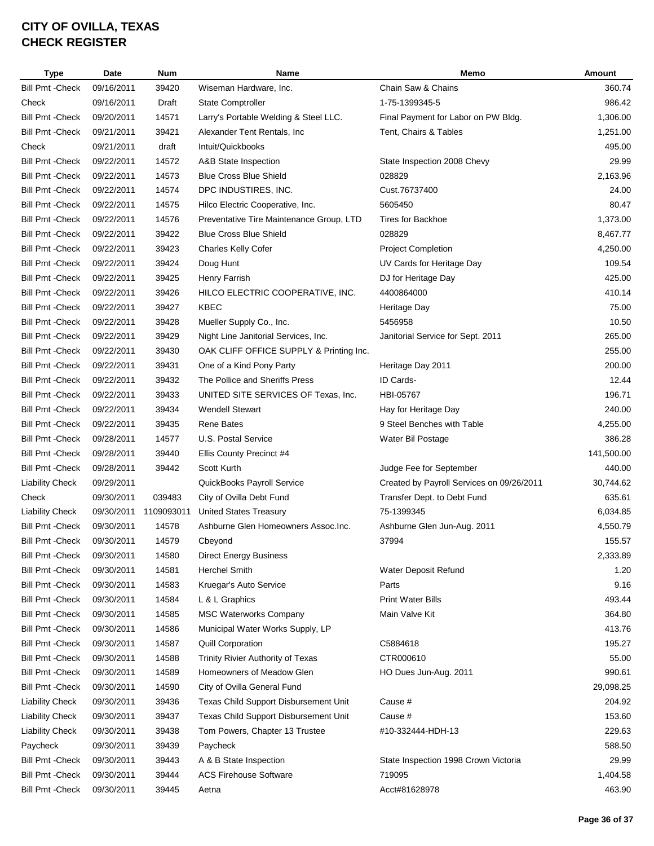| <b>Type</b>             | Date       | <b>Num</b> | Name                                     | Memo                                      | Amount     |
|-------------------------|------------|------------|------------------------------------------|-------------------------------------------|------------|
| <b>Bill Pmt - Check</b> | 09/16/2011 | 39420      | Wiseman Hardware, Inc.                   | Chain Saw & Chains                        | 360.74     |
| Check                   | 09/16/2011 | Draft      | State Comptroller                        | 1-75-1399345-5                            | 986.42     |
| <b>Bill Pmt - Check</b> | 09/20/2011 | 14571      | Larry's Portable Welding & Steel LLC.    | Final Payment for Labor on PW Bldg.       | 1,306.00   |
| <b>Bill Pmt - Check</b> | 09/21/2011 | 39421      | Alexander Tent Rentals, Inc.             | Tent, Chairs & Tables                     | 1,251.00   |
| Check                   | 09/21/2011 | draft      | Intuit/Quickbooks                        |                                           | 495.00     |
| <b>Bill Pmt - Check</b> | 09/22/2011 | 14572      | A&B State Inspection                     | State Inspection 2008 Chevy               | 29.99      |
| <b>Bill Pmt - Check</b> | 09/22/2011 | 14573      | <b>Blue Cross Blue Shield</b>            | 028829                                    | 2,163.96   |
| <b>Bill Pmt - Check</b> | 09/22/2011 | 14574      | DPC INDUSTIRES, INC.                     | Cust.76737400                             | 24.00      |
| <b>Bill Pmt - Check</b> | 09/22/2011 | 14575      | Hilco Electric Cooperative, Inc.         | 5605450                                   | 80.47      |
| <b>Bill Pmt - Check</b> | 09/22/2011 | 14576      | Preventative Tire Maintenance Group, LTD | <b>Tires for Backhoe</b>                  | 1,373.00   |
| <b>Bill Pmt - Check</b> | 09/22/2011 | 39422      | <b>Blue Cross Blue Shield</b>            | 028829                                    | 8,467.77   |
| <b>Bill Pmt - Check</b> | 09/22/2011 | 39423      | <b>Charles Kelly Cofer</b>               | <b>Project Completion</b>                 | 4,250.00   |
| <b>Bill Pmt - Check</b> | 09/22/2011 | 39424      | Doug Hunt                                | UV Cards for Heritage Day                 | 109.54     |
| <b>Bill Pmt - Check</b> | 09/22/2011 | 39425      | Henry Farrish                            | DJ for Heritage Day                       | 425.00     |
| <b>Bill Pmt - Check</b> | 09/22/2011 | 39426      | HILCO ELECTRIC COOPERATIVE, INC.         | 4400864000                                | 410.14     |
| <b>Bill Pmt - Check</b> | 09/22/2011 | 39427      | KBEC                                     | Heritage Day                              | 75.00      |
| <b>Bill Pmt - Check</b> | 09/22/2011 | 39428      | Mueller Supply Co., Inc.                 | 5456958                                   | 10.50      |
| <b>Bill Pmt - Check</b> | 09/22/2011 | 39429      | Night Line Janitorial Services, Inc.     | Janitorial Service for Sept. 2011         | 265.00     |
| <b>Bill Pmt - Check</b> | 09/22/2011 | 39430      | OAK CLIFF OFFICE SUPPLY & Printing Inc.  |                                           | 255.00     |
| <b>Bill Pmt - Check</b> | 09/22/2011 | 39431      | One of a Kind Pony Party                 | Heritage Day 2011                         | 200.00     |
| <b>Bill Pmt - Check</b> | 09/22/2011 | 39432      | The Pollice and Sheriffs Press           | ID Cards-                                 | 12.44      |
| <b>Bill Pmt - Check</b> | 09/22/2011 | 39433      | UNITED SITE SERVICES OF Texas, Inc.      | HBI-05767                                 | 196.71     |
| <b>Bill Pmt - Check</b> | 09/22/2011 | 39434      | <b>Wendell Stewart</b>                   | Hay for Heritage Day                      | 240.00     |
| <b>Bill Pmt - Check</b> | 09/22/2011 | 39435      | <b>Rene Bates</b>                        | 9 Steel Benches with Table                | 4,255.00   |
| <b>Bill Pmt - Check</b> | 09/28/2011 | 14577      | U.S. Postal Service                      | Water Bil Postage                         | 386.28     |
| <b>Bill Pmt - Check</b> | 09/28/2011 | 39440      | Ellis County Precinct #4                 |                                           | 141,500.00 |
| <b>Bill Pmt - Check</b> | 09/28/2011 | 39442      | Scott Kurth                              | Judge Fee for September                   | 440.00     |
| <b>Liability Check</b>  | 09/29/2011 |            | QuickBooks Payroll Service               | Created by Payroll Services on 09/26/2011 | 30,744.62  |
| Check                   | 09/30/2011 | 039483     | City of Ovilla Debt Fund                 | Transfer Dept. to Debt Fund               | 635.61     |
| <b>Liability Check</b>  | 09/30/2011 | 1109093011 | <b>United States Treasury</b>            | 75-1399345                                | 6,034.85   |
| Bill Pmt - Check        | 09/30/2011 | 14578      | Ashburne Glen Homeowners Assoc. Inc.     | Ashburne Glen Jun-Aug. 2011               | 4,550.79   |
| <b>Bill Pmt - Check</b> | 09/30/2011 | 14579      | Cbeyond                                  | 37994                                     | 155.57     |
| <b>Bill Pmt - Check</b> | 09/30/2011 | 14580      | <b>Direct Energy Business</b>            |                                           | 2,333.89   |
| <b>Bill Pmt - Check</b> | 09/30/2011 | 14581      | <b>Herchel Smith</b>                     | Water Deposit Refund                      | 1.20       |
| <b>Bill Pmt - Check</b> | 09/30/2011 | 14583      | Kruegar's Auto Service                   | Parts                                     | 9.16       |
| <b>Bill Pmt - Check</b> | 09/30/2011 | 14584      | L & L Graphics                           | <b>Print Water Bills</b>                  | 493.44     |
| <b>Bill Pmt - Check</b> | 09/30/2011 | 14585      | <b>MSC Waterworks Company</b>            | Main Valve Kit                            | 364.80     |
| <b>Bill Pmt - Check</b> | 09/30/2011 | 14586      | Municipal Water Works Supply, LP         |                                           | 413.76     |
| <b>Bill Pmt - Check</b> | 09/30/2011 | 14587      | <b>Quill Corporation</b>                 | C5884618                                  | 195.27     |
| Bill Pmt - Check        | 09/30/2011 | 14588      | Trinity Rivier Authority of Texas        | CTR000610                                 | 55.00      |
| <b>Bill Pmt - Check</b> | 09/30/2011 | 14589      | Homeowners of Meadow Glen                | HO Dues Jun-Aug. 2011                     | 990.61     |
| <b>Bill Pmt - Check</b> | 09/30/2011 | 14590      | City of Ovilla General Fund              |                                           | 29,098.25  |
| <b>Liability Check</b>  | 09/30/2011 | 39436      | Texas Child Support Disbursement Unit    | Cause #                                   | 204.92     |
| <b>Liability Check</b>  | 09/30/2011 | 39437      | Texas Child Support Disbursement Unit    | Cause #                                   | 153.60     |
| <b>Liability Check</b>  | 09/30/2011 | 39438      | Tom Powers, Chapter 13 Trustee           | #10-332444-HDH-13                         | 229.63     |
| Paycheck                | 09/30/2011 | 39439      | Paycheck                                 |                                           | 588.50     |
| <b>Bill Pmt - Check</b> | 09/30/2011 | 39443      | A & B State Inspection                   | State Inspection 1998 Crown Victoria      | 29.99      |
| <b>Bill Pmt - Check</b> | 09/30/2011 | 39444      | <b>ACS Firehouse Software</b>            | 719095                                    | 1,404.58   |
| <b>Bill Pmt - Check</b> | 09/30/2011 | 39445      | Aetna                                    | Acct#81628978                             | 463.90     |
|                         |            |            |                                          |                                           |            |